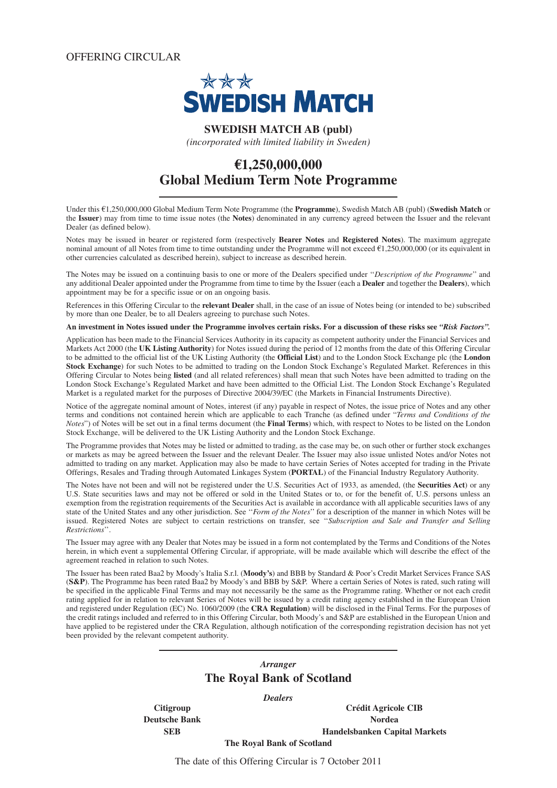OFFERING CIRCULAR



# **SWEDISH MATCH AB (publ)**

*(incorporated with limited liability in Sweden)*

# **€1,250,000,000 Global Medium Term Note Programme**

Under this €1,250,000,000 Global Medium Term Note Programme (the **Programme**), Swedish Match AB (publ) (**Swedish Match** or the **Issuer**) may from time to time issue notes (the **Notes**) denominated in any currency agreed between the Issuer and the relevant Dealer (as defined below).

Notes may be issued in bearer or registered form (respectively **Bearer Notes** and **Registered Notes**). The maximum aggregate nominal amount of all Notes from time to time outstanding under the Programme will not exceed €1,250,000,000 (or its equivalent in other currencies calculated as described herein), subject to increase as described herein.

The Notes may be issued on a continuing basis to one or more of the Dealers specified under ''*Description of the Programme*'' and any additional Dealer appointed under the Programme from time to time by the Issuer (each a **Dealer** and together the **Dealers**), which appointment may be for a specific issue or on an ongoing basis.

References in this Offering Circular to the **relevant Dealer** shall, in the case of an issue of Notes being (or intended to be) subscribed by more than one Dealer, be to all Dealers agreeing to purchase such Notes.

**An investment in Notes issued under the Programme involves certain risks. For a discussion of these risks see** *"Risk Factors".*

Application has been made to the Financial Services Authority in its capacity as competent authority under the Financial Services and Markets Act 2000 (the **UK Listing Authority**) for Notes issued during the period of 12 months from the date of this Offering Circular to be admitted to the official list of the UK Listing Authority (the **Official List**) and to the London Stock Exchange plc (the **London Stock Exchange**) for such Notes to be admitted to trading on the London Stock Exchange's Regulated Market. References in this Offering Circular to Notes being **listed** (and all related references) shall mean that such Notes have been admitted to trading on the London Stock Exchange's Regulated Market and have been admitted to the Official List. The London Stock Exchange's Regulated Market is a regulated market for the purposes of Directive 2004/39/EC (the Markets in Financial Instruments Directive).

Notice of the aggregate nominal amount of Notes, interest (if any) payable in respect of Notes, the issue price of Notes and any other terms and conditions not contained herein which are applicable to each Tranche (as defined under "*Terms and Conditions of the Notes*") of Notes will be set out in a final terms document (the **Final Terms**) which, with respect to Notes to be listed on the London Stock Exchange, will be delivered to the UK Listing Authority and the London Stock Exchange.

The Programme provides that Notes may be listed or admitted to trading, as the case may be, on such other or further stock exchanges or markets as may be agreed between the Issuer and the relevant Dealer. The Issuer may also issue unlisted Notes and/or Notes not admitted to trading on any market. Application may also be made to have certain Series of Notes accepted for trading in the Private Offerings, Resales and Trading through Automated Linkages System (**PORTAL**) of the Financial Industry Regulatory Authority.

The Notes have not been and will not be registered under the U.S. Securities Act of 1933, as amended, (the **Securities Act**) or any U.S. State securities laws and may not be offered or sold in the United States or to, or for the benefit of, U.S. persons unless an exemption from the registration requirements of the Securities Act is available in accordance with all applicable securities laws of any state of the United States and any other jurisdiction. See ''*Form of the Notes*'' for a description of the manner in which Notes will be issued. Registered Notes are subject to certain restrictions on transfer, see ''*Subscription and Sale and Transfer and Selling Restrictions*''.

The Issuer may agree with any Dealer that Notes may be issued in a form not contemplated by the Terms and Conditions of the Notes herein, in which event a supplemental Offering Circular, if appropriate, will be made available which will describe the effect of the agreement reached in relation to such Notes.

The Issuer has been rated Baa2 by Moody's Italia S.r.l. (**Moody's**) and BBB by Standard & Poor's Credit Market Services France SAS (**S&P**). The Programme has been rated Baa2 by Moody's and BBB by S&P. Where a certain Series of Notes is rated, such rating will be specified in the applicable Final Terms and may not necessarily be the same as the Programme rating. Whether or not each credit rating applied for in relation to relevant Series of Notes will be issued by a credit rating agency established in the European Union and registered under Regulation (EC) No. 1060/2009 (the **CRA Regulation**) will be disclosed in the Final Terms. For the purposes of the credit ratings included and referred to in this Offering Circular, both Moody's and S&P are established in the European Union and have applied to be registered under the CRA Regulation, although notification of the corresponding registration decision has not yet been provided by the relevant competent authority.

# *Arranger* **The Royal Bank of Scotland**

*Dealers*

**Citigroup Crédit Agricole CIB Deutsche Bank** Nordea **SEB Handelsbanken Capital Markets**

**The Royal Bank of Scotland**

The date of this Offering Circular is 7 October 2011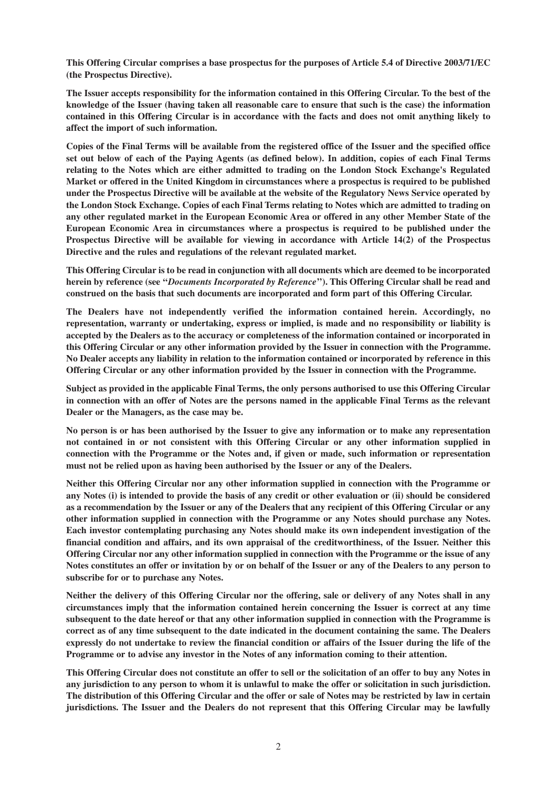**This Offering Circular comprises a base prospectus for the purposes of Article 5.4 of Directive 2003/71/EC (the Prospectus Directive).**

**The Issuer accepts responsibility for the information contained in this Offering Circular. To the best of the knowledge of the Issuer (having taken all reasonable care to ensure that such is the case) the information contained in this Offering Circular is in accordance with the facts and does not omit anything likely to affect the import of such information.**

**Copies of the Final Terms will be available from the registered office of the Issuer and the specified office set out below of each of the Paying Agents (as defined below). In addition, copies of each Final Terms relating to the Notes which are either admitted to trading on the London Stock Exchange's Regulated Market or offered in the United Kingdom in circumstances where a prospectus is required to be published under the Prospectus Directive will be available at the website of the Regulatory News Service operated by the London Stock Exchange. Copies of each Final Terms relating to Notes which are admitted to trading on any other regulated market in the European Economic Area or offered in any other Member State of the European Economic Area in circumstances where a prospectus is required to be published under the Prospectus Directive will be available for viewing in accordance with Article 14(2) of the Prospectus Directive and the rules and regulations of the relevant regulated market.**

**This Offering Circular is to be read in conjunction with all documents which are deemed to be incorporated herein by reference (see ''***Documents Incorporated by Reference***''). This Offering Circular shall be read and construed on the basis that such documents are incorporated and form part of this Offering Circular.**

**The Dealers have not independently verified the information contained herein. Accordingly, no representation, warranty or undertaking, express or implied, is made and no responsibility or liability is accepted by the Dealers as to the accuracy or completeness of the information contained or incorporated in this Offering Circular or any other information provided by the Issuer in connection with the Programme. No Dealer accepts any liability in relation to the information contained or incorporated by reference in this Offering Circular or any other information provided by the Issuer in connection with the Programme.**

**Subject as provided in the applicable Final Terms, the only persons authorised to use this Offering Circular in connection with an offer of Notes are the persons named in the applicable Final Terms as the relevant Dealer or the Managers, as the case may be.**

**No person is or has been authorised by the Issuer to give any information or to make any representation not contained in or not consistent with this Offering Circular or any other information supplied in connection with the Programme or the Notes and, if given or made, such information or representation must not be relied upon as having been authorised by the Issuer or any of the Dealers.**

**Neither this Offering Circular nor any other information supplied in connection with the Programme or any Notes (i) is intended to provide the basis of any credit or other evaluation or (ii) should be considered as a recommendation by the Issuer or any of the Dealers that any recipient of this Offering Circular or any other information supplied in connection with the Programme or any Notes should purchase any Notes. Each investor contemplating purchasing any Notes should make its own independent investigation of the financial condition and affairs, and its own appraisal of the creditworthiness, of the Issuer. Neither this Offering Circular nor any other information supplied in connection with the Programme or the issue of any Notes constitutes an offer or invitation by or on behalf of the Issuer or any of the Dealers to any person to subscribe for or to purchase any Notes.**

**Neither the delivery of this Offering Circular nor the offering, sale or delivery of any Notes shall in any circumstances imply that the information contained herein concerning the Issuer is correct at any time subsequent to the date hereof or that any other information supplied in connection with the Programme is correct as of any time subsequent to the date indicated in the document containing the same. The Dealers expressly do not undertake to review the financial condition or affairs of the Issuer during the life of the Programme or to advise any investor in the Notes of any information coming to their attention.**

**This Offering Circular does not constitute an offer to sell or the solicitation of an offer to buy any Notes in any jurisdiction to any person to whom it is unlawful to make the offer or solicitation in such jurisdiction. The distribution of this Offering Circular and the offer or sale of Notes may be restricted by law in certain jurisdictions. The Issuer and the Dealers do not represent that this Offering Circular may be lawfully**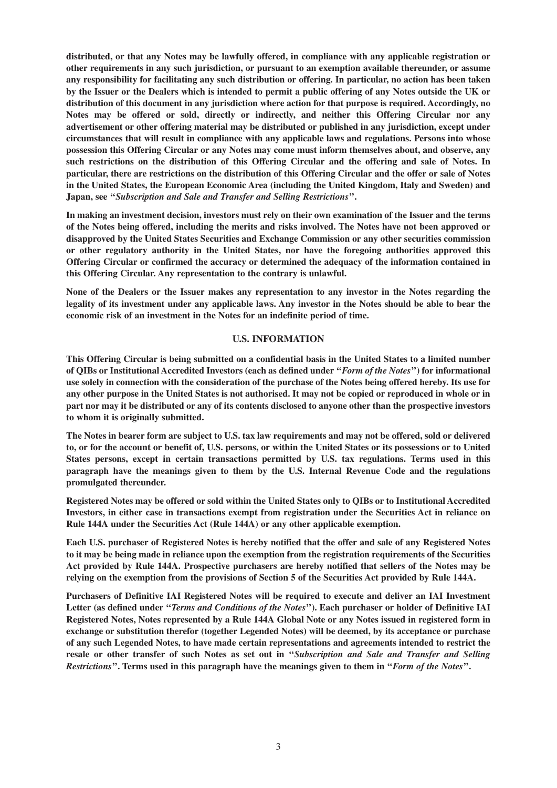**distributed, or that any Notes may be lawfully offered, in compliance with any applicable registration or other requirements in any such jurisdiction, or pursuant to an exemption available thereunder, or assume any responsibility for facilitating any such distribution or offering. In particular, no action has been taken by the Issuer or the Dealers which is intended to permit a public offering of any Notes outside the UK or distribution of this document in any jurisdiction where action for that purpose is required. Accordingly, no Notes may be offered or sold, directly or indirectly, and neither this Offering Circular nor any advertisement or other offering material may be distributed or published in any jurisdiction, except under circumstances that will result in compliance with any applicable laws and regulations. Persons into whose possession this Offering Circular or any Notes may come must inform themselves about, and observe, any such restrictions on the distribution of this Offering Circular and the offering and sale of Notes. In particular, there are restrictions on the distribution of this Offering Circular and the offer or sale of Notes in the United States, the European Economic Area (including the United Kingdom, Italy and Sweden) and Japan, see ''***Subscription and Sale and Transfer and Selling Restrictions***''.**

**In making an investment decision, investors must rely on their own examination of the Issuer and the terms of the Notes being offered, including the merits and risks involved. The Notes have not been approved or disapproved by the United States Securities and Exchange Commission or any other securities commission or other regulatory authority in the United States, nor have the foregoing authorities approved this Offering Circular or confirmed the accuracy or determined the adequacy of the information contained in this Offering Circular. Any representation to the contrary is unlawful.**

**None of the Dealers or the Issuer makes any representation to any investor in the Notes regarding the legality of its investment under any applicable laws. Any investor in the Notes should be able to bear the economic risk of an investment in the Notes for an indefinite period of time.**

#### **U.S. INFORMATION**

**This Offering Circular is being submitted on a confidential basis in the United States to a limited number of QIBs or Institutional Accredited Investors (each as defined under ''***Form of the Notes***'') for informational use solely in connection with the consideration of the purchase of the Notes being offered hereby. Its use for any other purpose in the United States is not authorised. It may not be copied or reproduced in whole or in part nor may it be distributed or any of its contents disclosed to anyone other than the prospective investors to whom it is originally submitted.**

**The Notes in bearer form are subject to U.S. tax law requirements and may not be offered, sold or delivered to, or for the account or benefit of, U.S. persons, or within the United States or its possessions or to United States persons, except in certain transactions permitted by U.S. tax regulations. Terms used in this paragraph have the meanings given to them by the U.S. Internal Revenue Code and the regulations promulgated thereunder.**

**Registered Notes may be offered or sold within the United States only to QIBs or to Institutional Accredited Investors, in either case in transactions exempt from registration under the Securities Act in reliance on Rule 144A under the Securities Act (Rule 144A) or any other applicable exemption.**

**Each U.S. purchaser of Registered Notes is hereby notified that the offer and sale of any Registered Notes to it may be being made in reliance upon the exemption from the registration requirements of the Securities Act provided by Rule 144A. Prospective purchasers are hereby notified that sellers of the Notes may be relying on the exemption from the provisions of Section 5 of the Securities Act provided by Rule 144A.**

**Purchasers of Definitive IAI Registered Notes will be required to execute and deliver an IAI Investment Letter (as defined under ''***Terms and Conditions of the Notes***''). Each purchaser or holder of Definitive IAI Registered Notes, Notes represented by a Rule 144A Global Note or any Notes issued in registered form in exchange or substitution therefor (together Legended Notes) will be deemed, by its acceptance or purchase of any such Legended Notes, to have made certain representations and agreements intended to restrict the resale or other transfer of such Notes as set out in ''***Subscription and Sale and Transfer and Selling Restrictions***''. Terms used in this paragraph have the meanings given to them in ''***Form of the Notes***''.**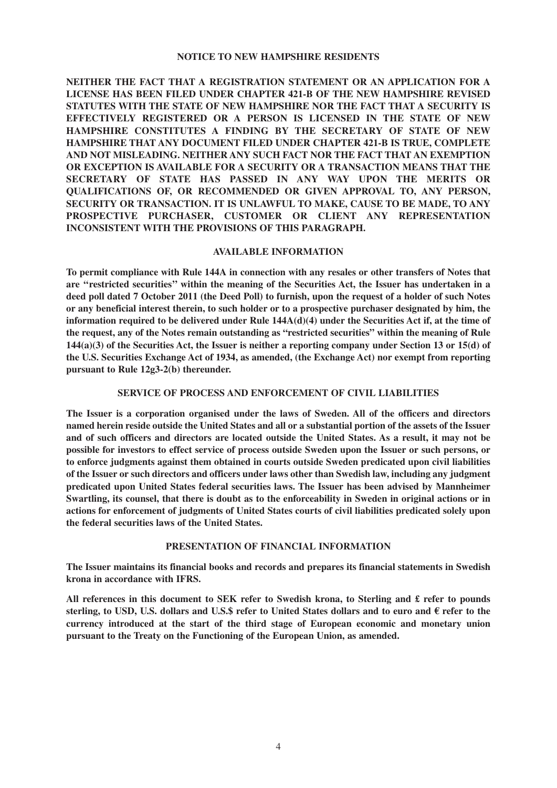#### **NOTICE TO NEW HAMPSHIRE RESIDENTS**

**NEITHER THE FACT THAT A REGISTRATION STATEMENT OR AN APPLICATION FOR A LICENSE HAS BEEN FILED UNDER CHAPTER 421-B OF THE NEW HAMPSHIRE REVISED STATUTES WITH THE STATE OF NEW HAMPSHIRE NOR THE FACT THAT A SECURITY IS EFFECTIVELY REGISTERED OR A PERSON IS LICENSED IN THE STATE OF NEW HAMPSHIRE CONSTITUTES A FINDING BY THE SECRETARY OF STATE OF NEW HAMPSHIRE THAT ANY DOCUMENT FILED UNDER CHAPTER 421-B IS TRUE, COMPLETE AND NOT MISLEADING. NEITHER ANY SUCH FACT NOR THE FACT THAT AN EXEMPTION OR EXCEPTION IS AVAILABLE FOR A SECURITY OR A TRANSACTION MEANS THAT THE SECRETARY OF STATE HAS PASSED IN ANY WAY UPON THE MERITS OR QUALIFICATIONS OF, OR RECOMMENDED OR GIVEN APPROVAL TO, ANY PERSON, SECURITY OR TRANSACTION. IT IS UNLAWFUL TO MAKE, CAUSE TO BE MADE, TO ANY PROSPECTIVE PURCHASER, CUSTOMER OR CLIENT ANY REPRESENTATION INCONSISTENT WITH THE PROVISIONS OF THIS PARAGRAPH.**

#### **AVAILABLE INFORMATION**

**To permit compliance with Rule 144A in connection with any resales or other transfers of Notes that are ''restricted securities'' within the meaning of the Securities Act, the Issuer has undertaken in a deed poll dated 7 October 2011 (the Deed Poll) to furnish, upon the request of a holder of such Notes or any beneficial interest therein, to such holder or to a prospective purchaser designated by him, the information required to be delivered under Rule 144A(d)(4) under the Securities Act if, at the time of the request, any of the Notes remain outstanding as "restricted securities" within the meaning of Rule 144(a)(3) of the Securities Act, the Issuer is neither a reporting company under Section 13 or 15(d) of the U.S. Securities Exchange Act of 1934, as amended, (the Exchange Act) nor exempt from reporting pursuant to Rule 12g3-2(b) thereunder.**

#### **SERVICE OF PROCESS AND ENFORCEMENT OF CIVIL LIABILITIES**

**The Issuer is a corporation organised under the laws of Sweden. All of the officers and directors named herein reside outside the United States and all or a substantial portion of the assets of the Issuer and of such officers and directors are located outside the United States. As a result, it may not be possible for investors to effect service of process outside Sweden upon the Issuer or such persons, or to enforce judgments against them obtained in courts outside Sweden predicated upon civil liabilities of the Issuer or such directors and officers under laws other than Swedish law, including any judgment predicated upon United States federal securities laws. The Issuer has been advised by Mannheimer Swartling, its counsel, that there is doubt as to the enforceability in Sweden in original actions or in actions for enforcement of judgments of United States courts of civil liabilities predicated solely upon the federal securities laws of the United States.**

#### **PRESENTATION OF FINANCIAL INFORMATION**

**The Issuer maintains its financial books and records and prepares its financial statements in Swedish krona in accordance with IFRS.**

**All references in this document to SEK refer to Swedish krona, to Sterling and £ refer to pounds sterling, to USD, U.S. dollars and U.S.\$ refer to United States dollars and to euro and € refer to the currency introduced at the start of the third stage of European economic and monetary union pursuant to the Treaty on the Functioning of the European Union, as amended.**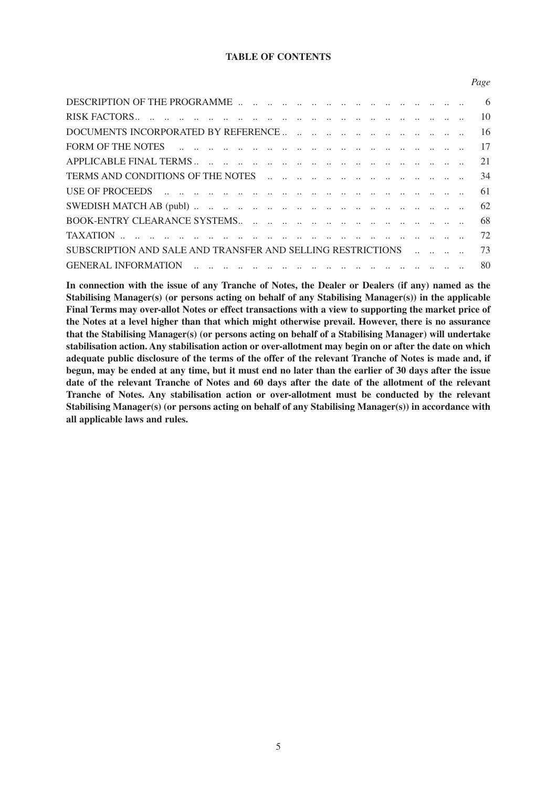# **TABLE OF CONTENTS**

*Page*

| USE OF PROCEEDS $\ldots$ $\ldots$ $\ldots$ $\ldots$ $\ldots$ $\ldots$ $\ldots$ $\ldots$ $\ldots$ $\ldots$ $\ldots$ $\ldots$ $\ldots$ $\ldots$ 61 |  |  |  |  |  |  |  |  |  |
|--------------------------------------------------------------------------------------------------------------------------------------------------|--|--|--|--|--|--|--|--|--|
|                                                                                                                                                  |  |  |  |  |  |  |  |  |  |
|                                                                                                                                                  |  |  |  |  |  |  |  |  |  |
|                                                                                                                                                  |  |  |  |  |  |  |  |  |  |
| SUBSCRIPTION AND SALE AND TRANSFER AND SELLING RESTRICTIONS    73                                                                                |  |  |  |  |  |  |  |  |  |
|                                                                                                                                                  |  |  |  |  |  |  |  |  |  |

**In connection with the issue of any Tranche of Notes, the Dealer or Dealers (if any) named as the Stabilising Manager(s) (or persons acting on behalf of any Stabilising Manager(s)) in the applicable Final Terms may over-allot Notes or effect transactions with a view to supporting the market price of the Notes at a level higher than that which might otherwise prevail. However, there is no assurance that the Stabilising Manager(s) (or persons acting on behalf of a Stabilising Manager) will undertake stabilisation action. Any stabilisation action or over-allotment may begin on or after the date on which adequate public disclosure of the terms of the offer of the relevant Tranche of Notes is made and, if begun, may be ended at any time, but it must end no later than the earlier of 30 days after the issue date of the relevant Tranche of Notes and 60 days after the date of the allotment of the relevant Tranche of Notes. Any stabilisation action or over-allotment must be conducted by the relevant Stabilising Manager(s) (or persons acting on behalf of any Stabilising Manager(s)) in accordance with all applicable laws and rules.**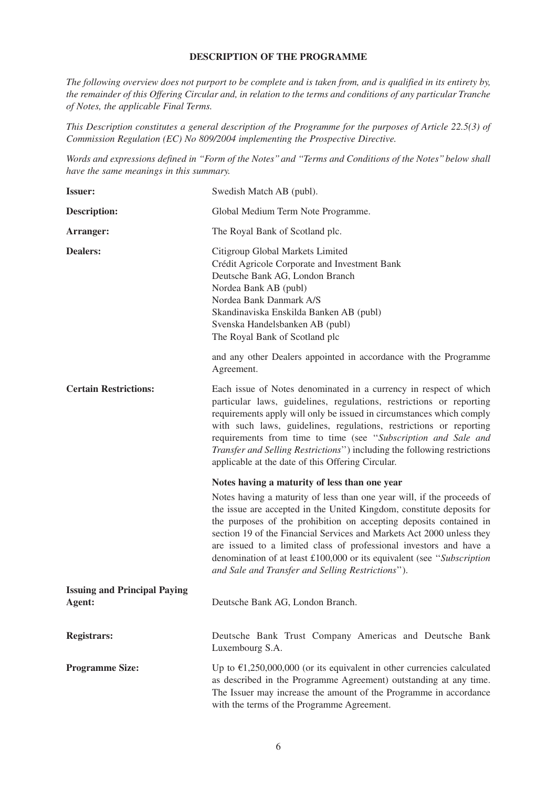# **DESCRIPTION OF THE PROGRAMME**

*The following overview does not purport to be complete and is taken from, and is qualified in its entirety by, the remainder of this Offering Circular and, in relation to the terms and conditions of any particular Tranche of Notes, the applicable Final Terms.* 

*This Description constitutes a general description of the Programme for the purposes of Article 22.5(3) of Commission Regulation (EC) No 809/2004 implementing the Prospective Directive.*

*Words and expressions defined in ''Form of the Notes'' and ''Terms and Conditions of the Notes'' below shall have the same meanings in this summary.*

| <b>Issuer:</b>                                | Swedish Match AB (publ).                                                                                                                                                                                                                                                                                                                                                                                                                                                                            |  |  |  |
|-----------------------------------------------|-----------------------------------------------------------------------------------------------------------------------------------------------------------------------------------------------------------------------------------------------------------------------------------------------------------------------------------------------------------------------------------------------------------------------------------------------------------------------------------------------------|--|--|--|
| <b>Description:</b>                           | Global Medium Term Note Programme.                                                                                                                                                                                                                                                                                                                                                                                                                                                                  |  |  |  |
| Arranger:                                     | The Royal Bank of Scotland plc.                                                                                                                                                                                                                                                                                                                                                                                                                                                                     |  |  |  |
| <b>Dealers:</b>                               | Citigroup Global Markets Limited<br>Crédit Agricole Corporate and Investment Bank<br>Deutsche Bank AG, London Branch<br>Nordea Bank AB (publ)<br>Nordea Bank Danmark A/S<br>Skandinaviska Enskilda Banken AB (publ)<br>Svenska Handelsbanken AB (publ)<br>The Royal Bank of Scotland plc                                                                                                                                                                                                            |  |  |  |
|                                               | and any other Dealers appointed in accordance with the Programme<br>Agreement.                                                                                                                                                                                                                                                                                                                                                                                                                      |  |  |  |
| <b>Certain Restrictions:</b>                  | Each issue of Notes denominated in a currency in respect of which<br>particular laws, guidelines, regulations, restrictions or reporting<br>requirements apply will only be issued in circumstances which comply<br>with such laws, guidelines, regulations, restrictions or reporting<br>requirements from time to time (see "Subscription and Sale and<br>Transfer and Selling Restrictions") including the following restrictions<br>applicable at the date of this Offering Circular.           |  |  |  |
|                                               | Notes having a maturity of less than one year                                                                                                                                                                                                                                                                                                                                                                                                                                                       |  |  |  |
|                                               | Notes having a maturity of less than one year will, if the proceeds of<br>the issue are accepted in the United Kingdom, constitute deposits for<br>the purposes of the prohibition on accepting deposits contained in<br>section 19 of the Financial Services and Markets Act 2000 unless they<br>are issued to a limited class of professional investors and have a<br>denomination of at least £100,000 or its equivalent (see "Subscription<br>and Sale and Transfer and Selling Restrictions"). |  |  |  |
| <b>Issuing and Principal Paying</b><br>Agent: | Deutsche Bank AG, London Branch.                                                                                                                                                                                                                                                                                                                                                                                                                                                                    |  |  |  |
| <b>Registrars:</b>                            | Deutsche Bank Trust Company Americas and Deutsche Bank<br>Luxembourg S.A.                                                                                                                                                                                                                                                                                                                                                                                                                           |  |  |  |
| <b>Programme Size:</b>                        | Up to $\epsilon$ 1,250,000,000 (or its equivalent in other currencies calculated<br>as described in the Programme Agreement) outstanding at any time.<br>The Issuer may increase the amount of the Programme in accordance<br>with the terms of the Programme Agreement.                                                                                                                                                                                                                            |  |  |  |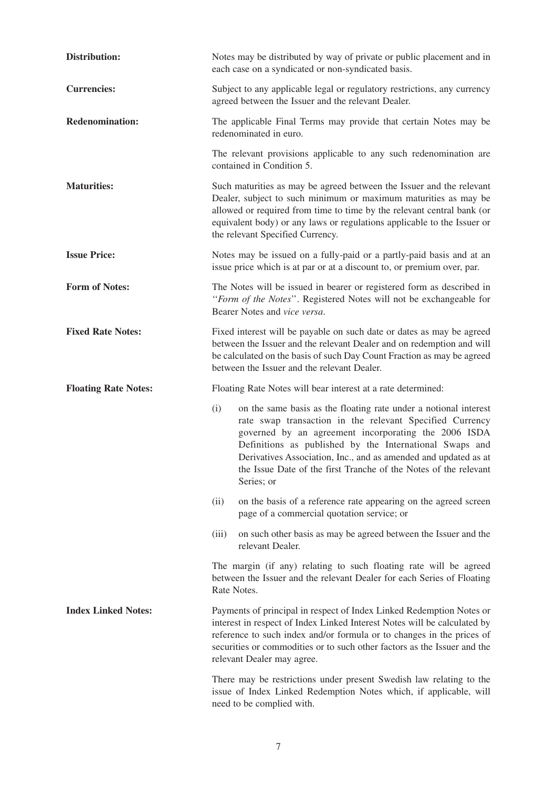| Distribution:               | Notes may be distributed by way of private or public placement and in<br>each case on a syndicated or non-syndicated basis.                                                                                                                                                                                                                                                                                 |
|-----------------------------|-------------------------------------------------------------------------------------------------------------------------------------------------------------------------------------------------------------------------------------------------------------------------------------------------------------------------------------------------------------------------------------------------------------|
| <b>Currencies:</b>          | Subject to any applicable legal or regulatory restrictions, any currency<br>agreed between the Issuer and the relevant Dealer.                                                                                                                                                                                                                                                                              |
| <b>Redenomination:</b>      | The applicable Final Terms may provide that certain Notes may be<br>redenominated in euro.                                                                                                                                                                                                                                                                                                                  |
|                             | The relevant provisions applicable to any such redenomination are<br>contained in Condition 5.                                                                                                                                                                                                                                                                                                              |
| <b>Maturities:</b>          | Such maturities as may be agreed between the Issuer and the relevant<br>Dealer, subject to such minimum or maximum maturities as may be<br>allowed or required from time to time by the relevant central bank (or<br>equivalent body) or any laws or regulations applicable to the Issuer or<br>the relevant Specified Currency.                                                                            |
| <b>Issue Price:</b>         | Notes may be issued on a fully-paid or a partly-paid basis and at an<br>issue price which is at par or at a discount to, or premium over, par.                                                                                                                                                                                                                                                              |
| <b>Form of Notes:</b>       | The Notes will be issued in bearer or registered form as described in<br>"Form of the Notes". Registered Notes will not be exchangeable for<br>Bearer Notes and vice versa.                                                                                                                                                                                                                                 |
| <b>Fixed Rate Notes:</b>    | Fixed interest will be payable on such date or dates as may be agreed<br>between the Issuer and the relevant Dealer and on redemption and will<br>be calculated on the basis of such Day Count Fraction as may be agreed<br>between the Issuer and the relevant Dealer.                                                                                                                                     |
| <b>Floating Rate Notes:</b> |                                                                                                                                                                                                                                                                                                                                                                                                             |
|                             | Floating Rate Notes will bear interest at a rate determined:                                                                                                                                                                                                                                                                                                                                                |
|                             | (i)<br>on the same basis as the floating rate under a notional interest<br>rate swap transaction in the relevant Specified Currency<br>governed by an agreement incorporating the 2006 ISDA<br>Definitions as published by the International Swaps and<br>Derivatives Association, Inc., and as amended and updated as at<br>the Issue Date of the first Tranche of the Notes of the relevant<br>Series; or |
|                             | (ii)<br>on the basis of a reference rate appearing on the agreed screen<br>page of a commercial quotation service; or                                                                                                                                                                                                                                                                                       |
|                             | on such other basis as may be agreed between the Issuer and the<br>(iii)<br>relevant Dealer.                                                                                                                                                                                                                                                                                                                |
|                             | The margin (if any) relating to such floating rate will be agreed<br>between the Issuer and the relevant Dealer for each Series of Floating<br>Rate Notes.                                                                                                                                                                                                                                                  |
| <b>Index Linked Notes:</b>  | Payments of principal in respect of Index Linked Redemption Notes or<br>interest in respect of Index Linked Interest Notes will be calculated by<br>reference to such index and/or formula or to changes in the prices of<br>securities or commodities or to such other factors as the Issuer and the<br>relevant Dealer may agree.                                                                         |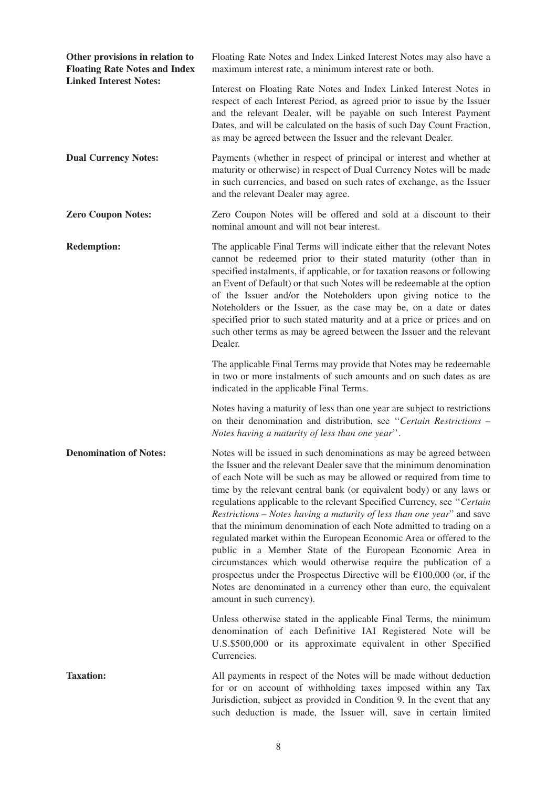| Other provisions in relation to<br><b>Floating Rate Notes and Index</b> | Floating Rate Notes and Index Linked Interest Notes may also have a<br>maximum interest rate, a minimum interest rate or both.                                                                                                                                                                                                                                                                                                                                                                                                                                                                                                                                                                                                                                                                                                                                                                                             |
|-------------------------------------------------------------------------|----------------------------------------------------------------------------------------------------------------------------------------------------------------------------------------------------------------------------------------------------------------------------------------------------------------------------------------------------------------------------------------------------------------------------------------------------------------------------------------------------------------------------------------------------------------------------------------------------------------------------------------------------------------------------------------------------------------------------------------------------------------------------------------------------------------------------------------------------------------------------------------------------------------------------|
| <b>Linked Interest Notes:</b>                                           | Interest on Floating Rate Notes and Index Linked Interest Notes in<br>respect of each Interest Period, as agreed prior to issue by the Issuer<br>and the relevant Dealer, will be payable on such Interest Payment<br>Dates, and will be calculated on the basis of such Day Count Fraction,<br>as may be agreed between the Issuer and the relevant Dealer.                                                                                                                                                                                                                                                                                                                                                                                                                                                                                                                                                               |
| <b>Dual Currency Notes:</b>                                             | Payments (whether in respect of principal or interest and whether at<br>maturity or otherwise) in respect of Dual Currency Notes will be made<br>in such currencies, and based on such rates of exchange, as the Issuer<br>and the relevant Dealer may agree.                                                                                                                                                                                                                                                                                                                                                                                                                                                                                                                                                                                                                                                              |
| <b>Zero Coupon Notes:</b>                                               | Zero Coupon Notes will be offered and sold at a discount to their<br>nominal amount and will not bear interest.                                                                                                                                                                                                                                                                                                                                                                                                                                                                                                                                                                                                                                                                                                                                                                                                            |
| <b>Redemption:</b>                                                      | The applicable Final Terms will indicate either that the relevant Notes<br>cannot be redeemed prior to their stated maturity (other than in<br>specified instalments, if applicable, or for taxation reasons or following<br>an Event of Default) or that such Notes will be redeemable at the option<br>of the Issuer and/or the Noteholders upon giving notice to the<br>Noteholders or the Issuer, as the case may be, on a date or dates<br>specified prior to such stated maturity and at a price or prices and on<br>such other terms as may be agreed between the Issuer and the relevant<br>Dealer.                                                                                                                                                                                                                                                                                                                |
|                                                                         | The applicable Final Terms may provide that Notes may be redeemable<br>in two or more instalments of such amounts and on such dates as are<br>indicated in the applicable Final Terms.                                                                                                                                                                                                                                                                                                                                                                                                                                                                                                                                                                                                                                                                                                                                     |
|                                                                         | Notes having a maturity of less than one year are subject to restrictions<br>on their denomination and distribution, see "Certain Restrictions -<br>Notes having a maturity of less than one year".                                                                                                                                                                                                                                                                                                                                                                                                                                                                                                                                                                                                                                                                                                                        |
| <b>Denomination of Notes:</b>                                           | Notes will be issued in such denominations as may be agreed between<br>the Issuer and the relevant Dealer save that the minimum denomination<br>of each Note will be such as may be allowed or required from time to<br>time by the relevant central bank (or equivalent body) or any laws or<br>regulations applicable to the relevant Specified Currency, see "Certain<br>Restrictions - Notes having a maturity of less than one year" and save<br>that the minimum denomination of each Note admitted to trading on a<br>regulated market within the European Economic Area or offered to the<br>public in a Member State of the European Economic Area in<br>circumstances which would otherwise require the publication of a<br>prospectus under the Prospectus Directive will be $\epsilon$ 100,000 (or, if the<br>Notes are denominated in a currency other than euro, the equivalent<br>amount in such currency). |
|                                                                         | Unless otherwise stated in the applicable Final Terms, the minimum<br>denomination of each Definitive IAI Registered Note will be<br>U.S.\$500,000 or its approximate equivalent in other Specified<br>Currencies.                                                                                                                                                                                                                                                                                                                                                                                                                                                                                                                                                                                                                                                                                                         |
| <b>Taxation:</b>                                                        | All payments in respect of the Notes will be made without deduction<br>for or on account of withholding taxes imposed within any Tax<br>Jurisdiction, subject as provided in Condition 9. In the event that any<br>such deduction is made, the Issuer will, save in certain limited                                                                                                                                                                                                                                                                                                                                                                                                                                                                                                                                                                                                                                        |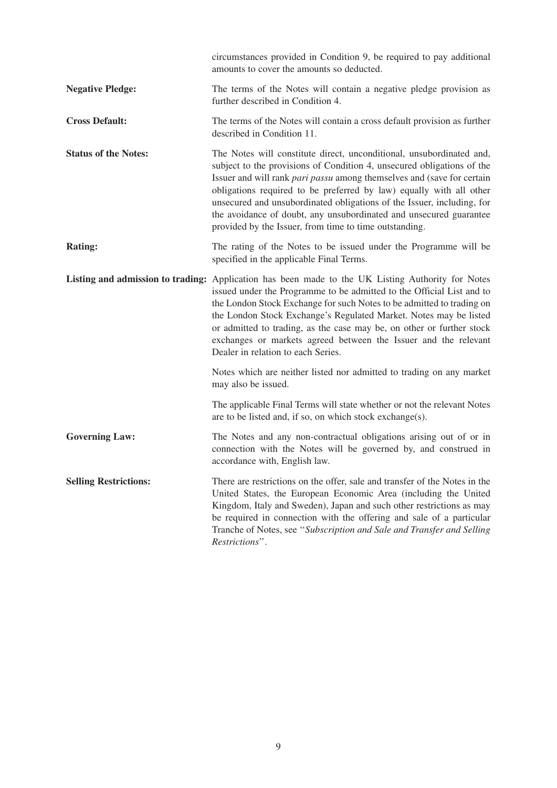|                              | circumstances provided in Condition 9, be required to pay additional<br>amounts to cover the amounts so deducted.                                                                                                                                                                                                                                                                                                                                                                                          |
|------------------------------|------------------------------------------------------------------------------------------------------------------------------------------------------------------------------------------------------------------------------------------------------------------------------------------------------------------------------------------------------------------------------------------------------------------------------------------------------------------------------------------------------------|
| <b>Negative Pledge:</b>      | The terms of the Notes will contain a negative pledge provision as<br>further described in Condition 4.                                                                                                                                                                                                                                                                                                                                                                                                    |
| <b>Cross Default:</b>        | The terms of the Notes will contain a cross default provision as further<br>described in Condition 11.                                                                                                                                                                                                                                                                                                                                                                                                     |
| <b>Status of the Notes:</b>  | The Notes will constitute direct, unconditional, unsubordinated and,<br>subject to the provisions of Condition 4, unsecured obligations of the<br>Issuer and will rank pari passu among themselves and (save for certain<br>obligations required to be preferred by law) equally with all other<br>unsecured and unsubordinated obligations of the Issuer, including, for<br>the avoidance of doubt, any unsubordinated and unsecured guarantee<br>provided by the Issuer, from time to time outstanding.  |
| <b>Rating:</b>               | The rating of the Notes to be issued under the Programme will be<br>specified in the applicable Final Terms.                                                                                                                                                                                                                                                                                                                                                                                               |
|                              | Listing and admission to trading: Application has been made to the UK Listing Authority for Notes<br>issued under the Programme to be admitted to the Official List and to<br>the London Stock Exchange for such Notes to be admitted to trading on<br>the London Stock Exchange's Regulated Market. Notes may be listed<br>or admitted to trading, as the case may be, on other or further stock<br>exchanges or markets agreed between the Issuer and the relevant<br>Dealer in relation to each Series. |
|                              | Notes which are neither listed nor admitted to trading on any market<br>may also be issued.                                                                                                                                                                                                                                                                                                                                                                                                                |
|                              | The applicable Final Terms will state whether or not the relevant Notes<br>are to be listed and, if so, on which stock exchange(s).                                                                                                                                                                                                                                                                                                                                                                        |
| <b>Governing Law:</b>        | The Notes and any non-contractual obligations arising out of or in<br>connection with the Notes will be governed by, and construed in<br>accordance with, English law.                                                                                                                                                                                                                                                                                                                                     |
| <b>Selling Restrictions:</b> | There are restrictions on the offer, sale and transfer of the Notes in the<br>United States, the European Economic Area (including the United<br>Kingdom, Italy and Sweden), Japan and such other restrictions as may<br>be required in connection with the offering and sale of a particular<br>Tranche of Notes, see "Subscription and Sale and Transfer and Selling<br>Restrictions".                                                                                                                   |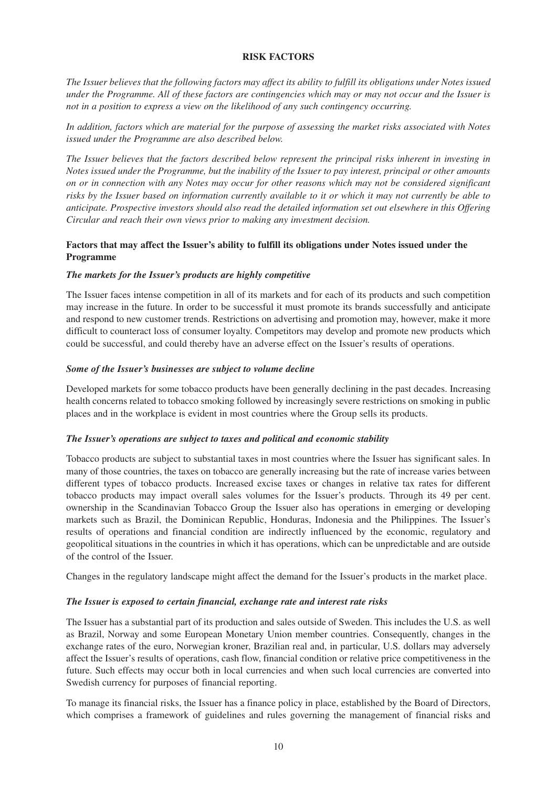# **RISK FACTORS**

*The Issuer believes that the following factors may affect its ability to fulfill its obligations under Notes issued under the Programme. All of these factors are contingencies which may or may not occur and the Issuer is not in a position to express a view on the likelihood of any such contingency occurring.* 

*In addition, factors which are material for the purpose of assessing the market risks associated with Notes issued under the Programme are also described below.* 

*The Issuer believes that the factors described below represent the principal risks inherent in investing in Notes issued under the Programme, but the inability of the Issuer to pay interest, principal or other amounts on or in connection with any Notes may occur for other reasons which may not be considered significant risks by the Issuer based on information currently available to it or which it may not currently be able to anticipate. Prospective investors should also read the detailed information set out elsewhere in this Offering Circular and reach their own views prior to making any investment decision.* 

# **Factors that may affect the Issuer's ability to fulfill its obligations under Notes issued under the Programme**

#### *The markets for the Issuer's products are highly competitive*

The Issuer faces intense competition in all of its markets and for each of its products and such competition may increase in the future. In order to be successful it must promote its brands successfully and anticipate and respond to new customer trends. Restrictions on advertising and promotion may, however, make it more difficult to counteract loss of consumer loyalty. Competitors may develop and promote new products which could be successful, and could thereby have an adverse effect on the Issuer's results of operations.

#### *Some of the Issuer's businesses are subject to volume decline*

Developed markets for some tobacco products have been generally declining in the past decades. Increasing health concerns related to tobacco smoking followed by increasingly severe restrictions on smoking in public places and in the workplace is evident in most countries where the Group sells its products.

#### *The Issuer's operations are subject to taxes and political and economic stability*

Tobacco products are subject to substantial taxes in most countries where the Issuer has significant sales. In many of those countries, the taxes on tobacco are generally increasing but the rate of increase varies between different types of tobacco products. Increased excise taxes or changes in relative tax rates for different tobacco products may impact overall sales volumes for the Issuer's products. Through its 49 per cent. ownership in the Scandinavian Tobacco Group the Issuer also has operations in emerging or developing markets such as Brazil, the Dominican Republic, Honduras, Indonesia and the Philippines. The Issuer's results of operations and financial condition are indirectly influenced by the economic, regulatory and geopolitical situations in the countries in which it has operations, which can be unpredictable and are outside of the control of the Issuer.

Changes in the regulatory landscape might affect the demand for the Issuer's products in the market place.

# *The Issuer is exposed to certain financial, exchange rate and interest rate risks*

The Issuer has a substantial part of its production and sales outside of Sweden. This includes the U.S. as well as Brazil, Norway and some European Monetary Union member countries. Consequently, changes in the exchange rates of the euro, Norwegian kroner, Brazilian real and, in particular, U.S. dollars may adversely affect the Issuer's results of operations, cash flow, financial condition or relative price competitiveness in the future. Such effects may occur both in local currencies and when such local currencies are converted into Swedish currency for purposes of financial reporting.

To manage its financial risks, the Issuer has a finance policy in place, established by the Board of Directors, which comprises a framework of guidelines and rules governing the management of financial risks and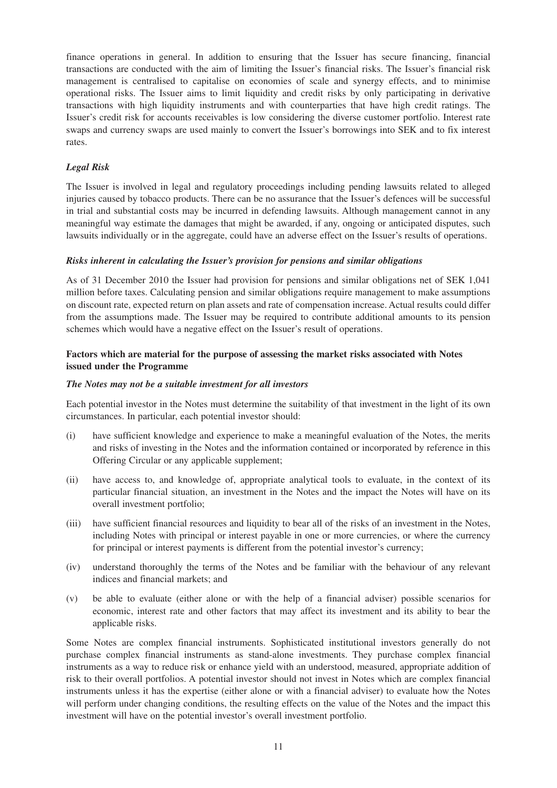finance operations in general. In addition to ensuring that the Issuer has secure financing, financial transactions are conducted with the aim of limiting the Issuer's financial risks. The Issuer's financial risk management is centralised to capitalise on economies of scale and synergy effects, and to minimise operational risks. The Issuer aims to limit liquidity and credit risks by only participating in derivative transactions with high liquidity instruments and with counterparties that have high credit ratings. The Issuer's credit risk for accounts receivables is low considering the diverse customer portfolio. Interest rate swaps and currency swaps are used mainly to convert the Issuer's borrowings into SEK and to fix interest rates.

# *Legal Risk*

The Issuer is involved in legal and regulatory proceedings including pending lawsuits related to alleged injuries caused by tobacco products. There can be no assurance that the Issuer's defences will be successful in trial and substantial costs may be incurred in defending lawsuits. Although management cannot in any meaningful way estimate the damages that might be awarded, if any, ongoing or anticipated disputes, such lawsuits individually or in the aggregate, could have an adverse effect on the Issuer's results of operations.

#### *Risks inherent in calculating the Issuer's provision for pensions and similar obligations*

As of 31 December 2010 the Issuer had provision for pensions and similar obligations net of SEK 1,041 million before taxes. Calculating pension and similar obligations require management to make assumptions on discount rate, expected return on plan assets and rate of compensation increase. Actual results could differ from the assumptions made. The Issuer may be required to contribute additional amounts to its pension schemes which would have a negative effect on the Issuer's result of operations.

# **Factors which are material for the purpose of assessing the market risks associated with Notes issued under the Programme**

# *The Notes may not be a suitable investment for all investors*

Each potential investor in the Notes must determine the suitability of that investment in the light of its own circumstances. In particular, each potential investor should:

- (i) have sufficient knowledge and experience to make a meaningful evaluation of the Notes, the merits and risks of investing in the Notes and the information contained or incorporated by reference in this Offering Circular or any applicable supplement;
- (ii) have access to, and knowledge of, appropriate analytical tools to evaluate, in the context of its particular financial situation, an investment in the Notes and the impact the Notes will have on its overall investment portfolio;
- (iii) have sufficient financial resources and liquidity to bear all of the risks of an investment in the Notes, including Notes with principal or interest payable in one or more currencies, or where the currency for principal or interest payments is different from the potential investor's currency;
- (iv) understand thoroughly the terms of the Notes and be familiar with the behaviour of any relevant indices and financial markets; and
- (v) be able to evaluate (either alone or with the help of a financial adviser) possible scenarios for economic, interest rate and other factors that may affect its investment and its ability to bear the applicable risks.

Some Notes are complex financial instruments. Sophisticated institutional investors generally do not purchase complex financial instruments as stand-alone investments. They purchase complex financial instruments as a way to reduce risk or enhance yield with an understood, measured, appropriate addition of risk to their overall portfolios. A potential investor should not invest in Notes which are complex financial instruments unless it has the expertise (either alone or with a financial adviser) to evaluate how the Notes will perform under changing conditions, the resulting effects on the value of the Notes and the impact this investment will have on the potential investor's overall investment portfolio.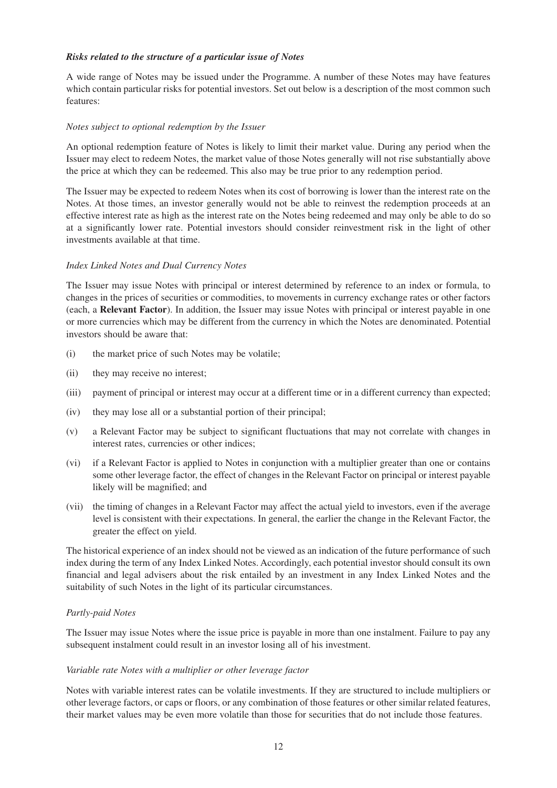## *Risks related to the structure of a particular issue of Notes*

A wide range of Notes may be issued under the Programme. A number of these Notes may have features which contain particular risks for potential investors. Set out below is a description of the most common such features:

#### *Notes subject to optional redemption by the Issuer*

An optional redemption feature of Notes is likely to limit their market value. During any period when the Issuer may elect to redeem Notes, the market value of those Notes generally will not rise substantially above the price at which they can be redeemed. This also may be true prior to any redemption period.

The Issuer may be expected to redeem Notes when its cost of borrowing is lower than the interest rate on the Notes. At those times, an investor generally would not be able to reinvest the redemption proceeds at an effective interest rate as high as the interest rate on the Notes being redeemed and may only be able to do so at a significantly lower rate. Potential investors should consider reinvestment risk in the light of other investments available at that time.

#### *Index Linked Notes and Dual Currency Notes*

The Issuer may issue Notes with principal or interest determined by reference to an index or formula, to changes in the prices of securities or commodities, to movements in currency exchange rates or other factors (each, a **Relevant Factor**). In addition, the Issuer may issue Notes with principal or interest payable in one or more currencies which may be different from the currency in which the Notes are denominated. Potential investors should be aware that:

- (i) the market price of such Notes may be volatile;
- (ii) they may receive no interest;
- (iii) payment of principal or interest may occur at a different time or in a different currency than expected;
- (iv) they may lose all or a substantial portion of their principal;
- (v) a Relevant Factor may be subject to significant fluctuations that may not correlate with changes in interest rates, currencies or other indices;
- (vi) if a Relevant Factor is applied to Notes in conjunction with a multiplier greater than one or contains some other leverage factor, the effect of changes in the Relevant Factor on principal or interest payable likely will be magnified; and
- (vii) the timing of changes in a Relevant Factor may affect the actual yield to investors, even if the average level is consistent with their expectations. In general, the earlier the change in the Relevant Factor, the greater the effect on yield.

The historical experience of an index should not be viewed as an indication of the future performance of such index during the term of any Index Linked Notes. Accordingly, each potential investor should consult its own financial and legal advisers about the risk entailed by an investment in any Index Linked Notes and the suitability of such Notes in the light of its particular circumstances.

#### *Partly-paid Notes*

The Issuer may issue Notes where the issue price is payable in more than one instalment. Failure to pay any subsequent instalment could result in an investor losing all of his investment.

#### *Variable rate Notes with a multiplier or other leverage factor*

Notes with variable interest rates can be volatile investments. If they are structured to include multipliers or other leverage factors, or caps or floors, or any combination of those features or other similar related features, their market values may be even more volatile than those for securities that do not include those features.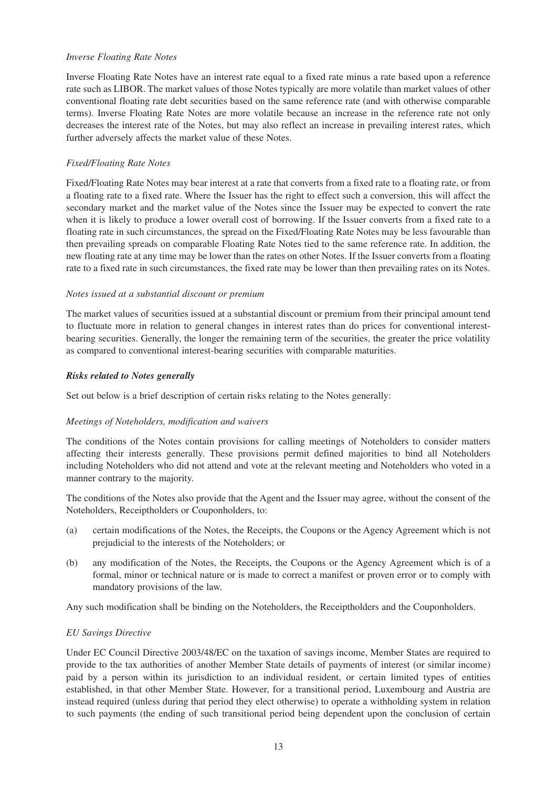#### *Inverse Floating Rate Notes*

Inverse Floating Rate Notes have an interest rate equal to a fixed rate minus a rate based upon a reference rate such as LIBOR. The market values of those Notes typically are more volatile than market values of other conventional floating rate debt securities based on the same reference rate (and with otherwise comparable terms). Inverse Floating Rate Notes are more volatile because an increase in the reference rate not only decreases the interest rate of the Notes, but may also reflect an increase in prevailing interest rates, which further adversely affects the market value of these Notes.

# *Fixed/Floating Rate Notes*

Fixed/Floating Rate Notes may bear interest at a rate that converts from a fixed rate to a floating rate, or from a floating rate to a fixed rate. Where the Issuer has the right to effect such a conversion, this will affect the secondary market and the market value of the Notes since the Issuer may be expected to convert the rate when it is likely to produce a lower overall cost of borrowing. If the Issuer converts from a fixed rate to a floating rate in such circumstances, the spread on the Fixed/Floating Rate Notes may be less favourable than then prevailing spreads on comparable Floating Rate Notes tied to the same reference rate. In addition, the new floating rate at any time may be lower than the rates on other Notes. If the Issuer converts from a floating rate to a fixed rate in such circumstances, the fixed rate may be lower than then prevailing rates on its Notes.

#### *Notes issued at a substantial discount or premium*

The market values of securities issued at a substantial discount or premium from their principal amount tend to fluctuate more in relation to general changes in interest rates than do prices for conventional interestbearing securities. Generally, the longer the remaining term of the securities, the greater the price volatility as compared to conventional interest-bearing securities with comparable maturities.

#### *Risks related to Notes generally*

Set out below is a brief description of certain risks relating to the Notes generally:

# *Meetings of Noteholders, modification and waivers*

The conditions of the Notes contain provisions for calling meetings of Noteholders to consider matters affecting their interests generally. These provisions permit defined majorities to bind all Noteholders including Noteholders who did not attend and vote at the relevant meeting and Noteholders who voted in a manner contrary to the majority.

The conditions of the Notes also provide that the Agent and the Issuer may agree, without the consent of the Noteholders, Receiptholders or Couponholders, to:

- (a) certain modifications of the Notes, the Receipts, the Coupons or the Agency Agreement which is not prejudicial to the interests of the Noteholders; or
- (b) any modification of the Notes, the Receipts, the Coupons or the Agency Agreement which is of a formal, minor or technical nature or is made to correct a manifest or proven error or to comply with mandatory provisions of the law.

Any such modification shall be binding on the Noteholders, the Receiptholders and the Couponholders.

# *EU Savings Directive*

Under EC Council Directive 2003/48/EC on the taxation of savings income, Member States are required to provide to the tax authorities of another Member State details of payments of interest (or similar income) paid by a person within its jurisdiction to an individual resident, or certain limited types of entities established, in that other Member State. However, for a transitional period, Luxembourg and Austria are instead required (unless during that period they elect otherwise) to operate a withholding system in relation to such payments (the ending of such transitional period being dependent upon the conclusion of certain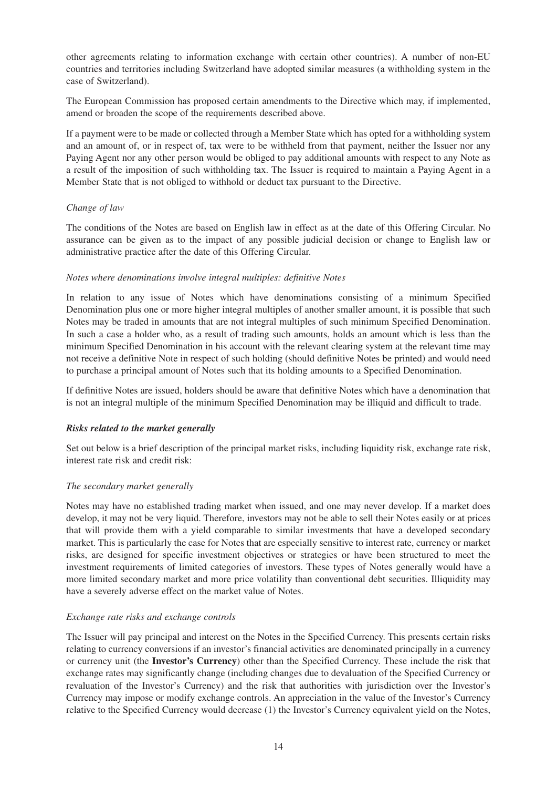other agreements relating to information exchange with certain other countries). A number of non-EU countries and territories including Switzerland have adopted similar measures (a withholding system in the case of Switzerland).

The European Commission has proposed certain amendments to the Directive which may, if implemented, amend or broaden the scope of the requirements described above.

If a payment were to be made or collected through a Member State which has opted for a withholding system and an amount of, or in respect of, tax were to be withheld from that payment, neither the Issuer nor any Paying Agent nor any other person would be obliged to pay additional amounts with respect to any Note as a result of the imposition of such withholding tax. The Issuer is required to maintain a Paying Agent in a Member State that is not obliged to withhold or deduct tax pursuant to the Directive.

# *Change of law*

The conditions of the Notes are based on English law in effect as at the date of this Offering Circular. No assurance can be given as to the impact of any possible judicial decision or change to English law or administrative practice after the date of this Offering Circular.

# *Notes where denominations involve integral multiples: definitive Notes*

In relation to any issue of Notes which have denominations consisting of a minimum Specified Denomination plus one or more higher integral multiples of another smaller amount, it is possible that such Notes may be traded in amounts that are not integral multiples of such minimum Specified Denomination. In such a case a holder who, as a result of trading such amounts, holds an amount which is less than the minimum Specified Denomination in his account with the relevant clearing system at the relevant time may not receive a definitive Note in respect of such holding (should definitive Notes be printed) and would need to purchase a principal amount of Notes such that its holding amounts to a Specified Denomination.

If definitive Notes are issued, holders should be aware that definitive Notes which have a denomination that is not an integral multiple of the minimum Specified Denomination may be illiquid and difficult to trade.

# *Risks related to the market generally*

Set out below is a brief description of the principal market risks, including liquidity risk, exchange rate risk, interest rate risk and credit risk:

# *The secondary market generally*

Notes may have no established trading market when issued, and one may never develop. If a market does develop, it may not be very liquid. Therefore, investors may not be able to sell their Notes easily or at prices that will provide them with a yield comparable to similar investments that have a developed secondary market. This is particularly the case for Notes that are especially sensitive to interest rate, currency or market risks, are designed for specific investment objectives or strategies or have been structured to meet the investment requirements of limited categories of investors. These types of Notes generally would have a more limited secondary market and more price volatility than conventional debt securities. Illiquidity may have a severely adverse effect on the market value of Notes.

# *Exchange rate risks and exchange controls*

The Issuer will pay principal and interest on the Notes in the Specified Currency. This presents certain risks relating to currency conversions if an investor's financial activities are denominated principally in a currency or currency unit (the **Investor's Currency**) other than the Specified Currency. These include the risk that exchange rates may significantly change (including changes due to devaluation of the Specified Currency or revaluation of the Investor's Currency) and the risk that authorities with jurisdiction over the Investor's Currency may impose or modify exchange controls. An appreciation in the value of the Investor's Currency relative to the Specified Currency would decrease (1) the Investor's Currency equivalent yield on the Notes,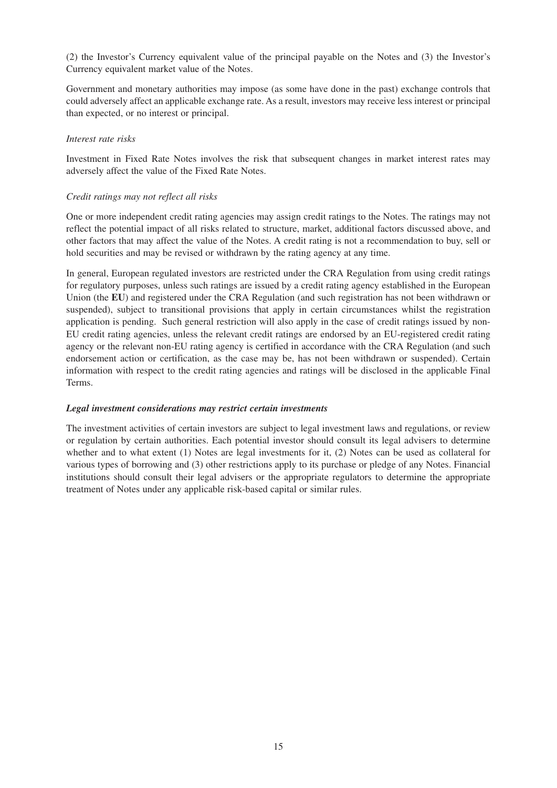(2) the Investor's Currency equivalent value of the principal payable on the Notes and (3) the Investor's Currency equivalent market value of the Notes.

Government and monetary authorities may impose (as some have done in the past) exchange controls that could adversely affect an applicable exchange rate. As a result, investors may receive less interest or principal than expected, or no interest or principal.

# *Interest rate risks*

Investment in Fixed Rate Notes involves the risk that subsequent changes in market interest rates may adversely affect the value of the Fixed Rate Notes.

# *Credit ratings may not reflect all risks*

One or more independent credit rating agencies may assign credit ratings to the Notes. The ratings may not reflect the potential impact of all risks related to structure, market, additional factors discussed above, and other factors that may affect the value of the Notes. A credit rating is not a recommendation to buy, sell or hold securities and may be revised or withdrawn by the rating agency at any time.

In general, European regulated investors are restricted under the CRA Regulation from using credit ratings for regulatory purposes, unless such ratings are issued by a credit rating agency established in the European Union (the **EU**) and registered under the CRA Regulation (and such registration has not been withdrawn or suspended), subject to transitional provisions that apply in certain circumstances whilst the registration application is pending. Such general restriction will also apply in the case of credit ratings issued by non-EU credit rating agencies, unless the relevant credit ratings are endorsed by an EU-registered credit rating agency or the relevant non-EU rating agency is certified in accordance with the CRA Regulation (and such endorsement action or certification, as the case may be, has not been withdrawn or suspended). Certain information with respect to the credit rating agencies and ratings will be disclosed in the applicable Final Terms.

# *Legal investment considerations may restrict certain investments*

The investment activities of certain investors are subject to legal investment laws and regulations, or review or regulation by certain authorities. Each potential investor should consult its legal advisers to determine whether and to what extent (1) Notes are legal investments for it, (2) Notes can be used as collateral for various types of borrowing and (3) other restrictions apply to its purchase or pledge of any Notes. Financial institutions should consult their legal advisers or the appropriate regulators to determine the appropriate treatment of Notes under any applicable risk-based capital or similar rules.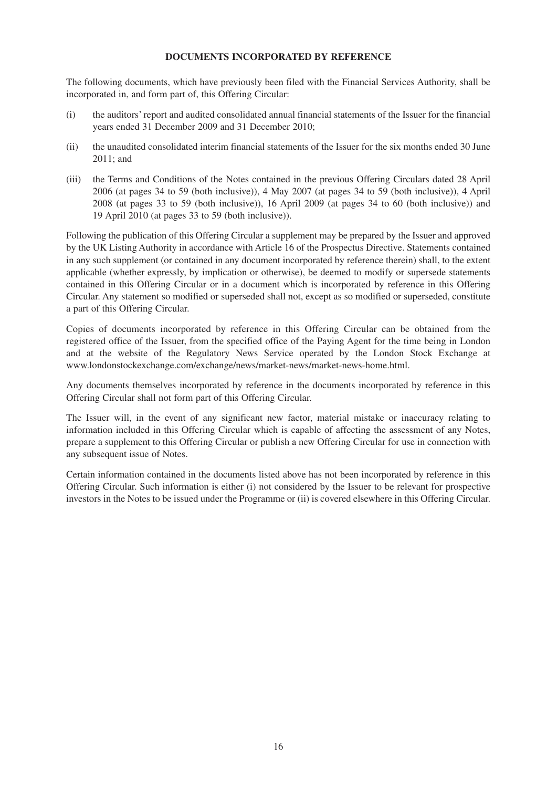# **DOCUMENTS INCORPORATED BY REFERENCE**

The following documents, which have previously been filed with the Financial Services Authority, shall be incorporated in, and form part of, this Offering Circular:

- (i) the auditors' report and audited consolidated annual financial statements of the Issuer for the financial years ended 31 December 2009 and 31 December 2010;
- (ii) the unaudited consolidated interim financial statements of the Issuer for the six months ended 30 June 2011; and
- (iii) the Terms and Conditions of the Notes contained in the previous Offering Circulars dated 28 April 2006 (at pages 34 to 59 (both inclusive)), 4 May 2007 (at pages 34 to 59 (both inclusive)), 4 April 2008 (at pages 33 to 59 (both inclusive)), 16 April 2009 (at pages 34 to 60 (both inclusive)) and 19 April 2010 (at pages 33 to 59 (both inclusive)).

Following the publication of this Offering Circular a supplement may be prepared by the Issuer and approved by the UK Listing Authority in accordance with Article 16 of the Prospectus Directive. Statements contained in any such supplement (or contained in any document incorporated by reference therein) shall, to the extent applicable (whether expressly, by implication or otherwise), be deemed to modify or supersede statements contained in this Offering Circular or in a document which is incorporated by reference in this Offering Circular. Any statement so modified or superseded shall not, except as so modified or superseded, constitute a part of this Offering Circular.

Copies of documents incorporated by reference in this Offering Circular can be obtained from the registered office of the Issuer, from the specified office of the Paying Agent for the time being in London and at the website of the Regulatory News Service operated by the London Stock Exchange at www.londonstockexchange.com/exchange/news/market-news/market-news-home.html.

Any documents themselves incorporated by reference in the documents incorporated by reference in this Offering Circular shall not form part of this Offering Circular.

The Issuer will, in the event of any significant new factor, material mistake or inaccuracy relating to information included in this Offering Circular which is capable of affecting the assessment of any Notes, prepare a supplement to this Offering Circular or publish a new Offering Circular for use in connection with any subsequent issue of Notes.

Certain information contained in the documents listed above has not been incorporated by reference in this Offering Circular. Such information is either (i) not considered by the Issuer to be relevant for prospective investors in the Notes to be issued under the Programme or (ii) is covered elsewhere in this Offering Circular.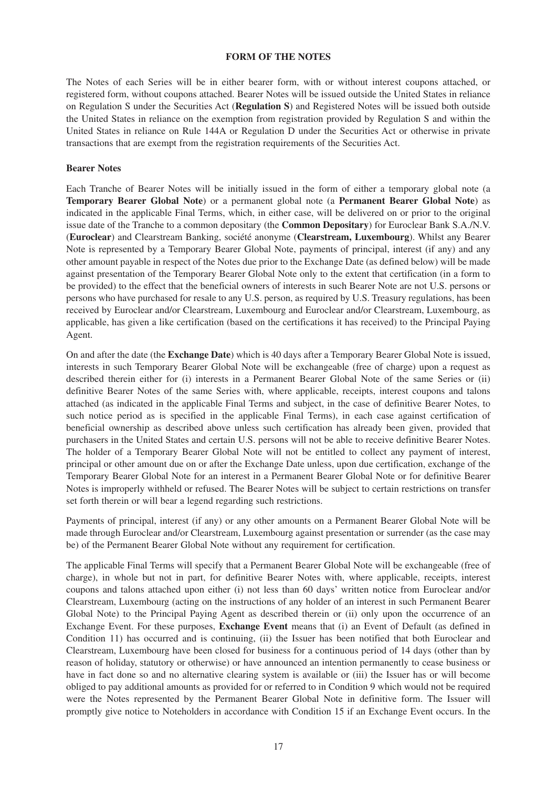#### **FORM OF THE NOTES**

The Notes of each Series will be in either bearer form, with or without interest coupons attached, or registered form, without coupons attached. Bearer Notes will be issued outside the United States in reliance on Regulation S under the Securities Act (**Regulation S**) and Registered Notes will be issued both outside the United States in reliance on the exemption from registration provided by Regulation S and within the United States in reliance on Rule 144A or Regulation D under the Securities Act or otherwise in private transactions that are exempt from the registration requirements of the Securities Act.

# **Bearer Notes**

Each Tranche of Bearer Notes will be initially issued in the form of either a temporary global note (a **Temporary Bearer Global Note**) or a permanent global note (a **Permanent Bearer Global Note**) as indicated in the applicable Final Terms, which, in either case, will be delivered on or prior to the original issue date of the Tranche to a common depositary (the **Common Depositary**) for Euroclear Bank S.A./N.V. (**Euroclear**) and Clearstream Banking, société anonyme (**Clearstream, Luxembourg**). Whilst any Bearer Note is represented by a Temporary Bearer Global Note, payments of principal, interest (if any) and any other amount payable in respect of the Notes due prior to the Exchange Date (as defined below) will be made against presentation of the Temporary Bearer Global Note only to the extent that certification (in a form to be provided) to the effect that the beneficial owners of interests in such Bearer Note are not U.S. persons or persons who have purchased for resale to any U.S. person, as required by U.S. Treasury regulations, has been received by Euroclear and/or Clearstream, Luxembourg and Euroclear and/or Clearstream, Luxembourg, as applicable, has given a like certification (based on the certifications it has received) to the Principal Paying Agent.

On and after the date (the **Exchange Date**) which is 40 days after a Temporary Bearer Global Note is issued, interests in such Temporary Bearer Global Note will be exchangeable (free of charge) upon a request as described therein either for (i) interests in a Permanent Bearer Global Note of the same Series or (ii) definitive Bearer Notes of the same Series with, where applicable, receipts, interest coupons and talons attached (as indicated in the applicable Final Terms and subject, in the case of definitive Bearer Notes, to such notice period as is specified in the applicable Final Terms), in each case against certification of beneficial ownership as described above unless such certification has already been given, provided that purchasers in the United States and certain U.S. persons will not be able to receive definitive Bearer Notes. The holder of a Temporary Bearer Global Note will not be entitled to collect any payment of interest, principal or other amount due on or after the Exchange Date unless, upon due certification, exchange of the Temporary Bearer Global Note for an interest in a Permanent Bearer Global Note or for definitive Bearer Notes is improperly withheld or refused. The Bearer Notes will be subject to certain restrictions on transfer set forth therein or will bear a legend regarding such restrictions.

Payments of principal, interest (if any) or any other amounts on a Permanent Bearer Global Note will be made through Euroclear and/or Clearstream, Luxembourg against presentation or surrender (as the case may be) of the Permanent Bearer Global Note without any requirement for certification.

The applicable Final Terms will specify that a Permanent Bearer Global Note will be exchangeable (free of charge), in whole but not in part, for definitive Bearer Notes with, where applicable, receipts, interest coupons and talons attached upon either (i) not less than 60 days' written notice from Euroclear and/or Clearstream, Luxembourg (acting on the instructions of any holder of an interest in such Permanent Bearer Global Note) to the Principal Paying Agent as described therein or (ii) only upon the occurrence of an Exchange Event. For these purposes, **Exchange Event** means that (i) an Event of Default (as defined in Condition 11) has occurred and is continuing, (ii) the Issuer has been notified that both Euroclear and Clearstream, Luxembourg have been closed for business for a continuous period of 14 days (other than by reason of holiday, statutory or otherwise) or have announced an intention permanently to cease business or have in fact done so and no alternative clearing system is available or (iii) the Issuer has or will become obliged to pay additional amounts as provided for or referred to in Condition 9 which would not be required were the Notes represented by the Permanent Bearer Global Note in definitive form. The Issuer will promptly give notice to Noteholders in accordance with Condition 15 if an Exchange Event occurs. In the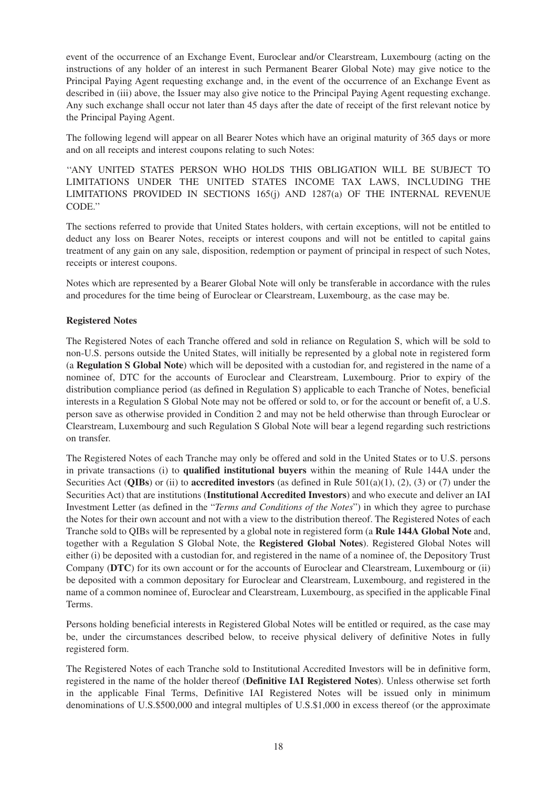event of the occurrence of an Exchange Event, Euroclear and/or Clearstream, Luxembourg (acting on the instructions of any holder of an interest in such Permanent Bearer Global Note) may give notice to the Principal Paying Agent requesting exchange and, in the event of the occurrence of an Exchange Event as described in (iii) above, the Issuer may also give notice to the Principal Paying Agent requesting exchange. Any such exchange shall occur not later than 45 days after the date of receipt of the first relevant notice by the Principal Paying Agent.

The following legend will appear on all Bearer Notes which have an original maturity of 365 days or more and on all receipts and interest coupons relating to such Notes:

''ANY UNITED STATES PERSON WHO HOLDS THIS OBLIGATION WILL BE SUBJECT TO LIMITATIONS UNDER THE UNITED STATES INCOME TAX LAWS, INCLUDING THE LIMITATIONS PROVIDED IN SECTIONS 165(j) AND 1287(a) OF THE INTERNAL REVENUE CODE.''

The sections referred to provide that United States holders, with certain exceptions, will not be entitled to deduct any loss on Bearer Notes, receipts or interest coupons and will not be entitled to capital gains treatment of any gain on any sale, disposition, redemption or payment of principal in respect of such Notes, receipts or interest coupons.

Notes which are represented by a Bearer Global Note will only be transferable in accordance with the rules and procedures for the time being of Euroclear or Clearstream, Luxembourg, as the case may be.

# **Registered Notes**

The Registered Notes of each Tranche offered and sold in reliance on Regulation S, which will be sold to non-U.S. persons outside the United States, will initially be represented by a global note in registered form (a **Regulation S Global Note**) which will be deposited with a custodian for, and registered in the name of a nominee of, DTC for the accounts of Euroclear and Clearstream, Luxembourg. Prior to expiry of the distribution compliance period (as defined in Regulation S) applicable to each Tranche of Notes, beneficial interests in a Regulation S Global Note may not be offered or sold to, or for the account or benefit of, a U.S. person save as otherwise provided in Condition 2 and may not be held otherwise than through Euroclear or Clearstream, Luxembourg and such Regulation S Global Note will bear a legend regarding such restrictions on transfer.

The Registered Notes of each Tranche may only be offered and sold in the United States or to U.S. persons in private transactions (i) to **qualified institutional buyers** within the meaning of Rule 144A under the Securities Act (**QIBs**) or (ii) to **accredited investors** (as defined in Rule 501(a)(1), (2), (3) or (7) under the Securities Act) that are institutions (**Institutional Accredited Investors**) and who execute and deliver an IAI Investment Letter (as defined in the "*Terms and Conditions of the Notes*") in which they agree to purchase the Notes for their own account and not with a view to the distribution thereof. The Registered Notes of each Tranche sold to QIBs will be represented by a global note in registered form (a **Rule 144A Global Note** and, together with a Regulation S Global Note, the **Registered Global Notes**). Registered Global Notes will either (i) be deposited with a custodian for, and registered in the name of a nominee of, the Depository Trust Company (**DTC**) for its own account or for the accounts of Euroclear and Clearstream, Luxembourg or (ii) be deposited with a common depositary for Euroclear and Clearstream, Luxembourg, and registered in the name of a common nominee of, Euroclear and Clearstream, Luxembourg, as specified in the applicable Final Terms.

Persons holding beneficial interests in Registered Global Notes will be entitled or required, as the case may be, under the circumstances described below, to receive physical delivery of definitive Notes in fully registered form.

The Registered Notes of each Tranche sold to Institutional Accredited Investors will be in definitive form, registered in the name of the holder thereof (**Definitive IAI Registered Notes**). Unless otherwise set forth in the applicable Final Terms, Definitive IAI Registered Notes will be issued only in minimum denominations of U.S.\$500,000 and integral multiples of U.S.\$1,000 in excess thereof (or the approximate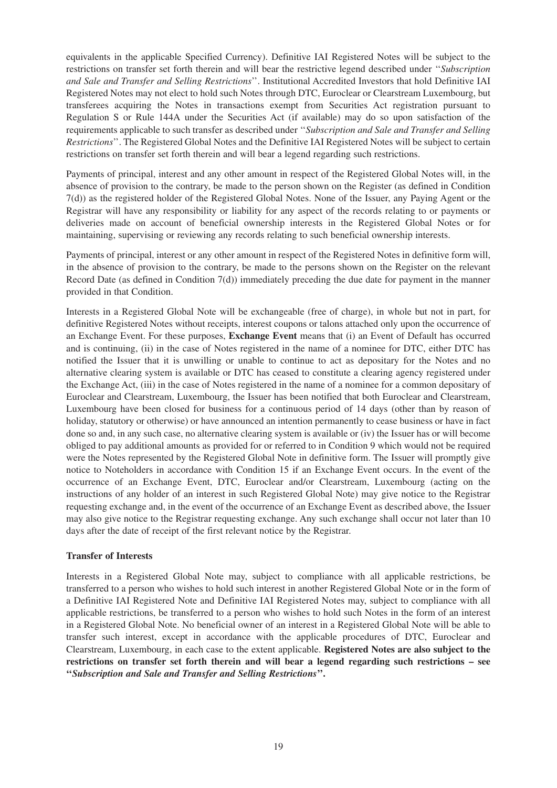equivalents in the applicable Specified Currency). Definitive IAI Registered Notes will be subject to the restrictions on transfer set forth therein and will bear the restrictive legend described under ''*Subscription and Sale and Transfer and Selling Restrictions*''. Institutional Accredited Investors that hold Definitive IAI Registered Notes may not elect to hold such Notes through DTC, Euroclear or Clearstream Luxembourg, but transferees acquiring the Notes in transactions exempt from Securities Act registration pursuant to Regulation S or Rule 144A under the Securities Act (if available) may do so upon satisfaction of the requirements applicable to such transfer as described under ''*Subscription and Sale and Transfer and Selling Restrictions*''. The Registered Global Notes and the Definitive IAI Registered Notes will be subject to certain restrictions on transfer set forth therein and will bear a legend regarding such restrictions.

Payments of principal, interest and any other amount in respect of the Registered Global Notes will, in the absence of provision to the contrary, be made to the person shown on the Register (as defined in Condition 7(d)) as the registered holder of the Registered Global Notes. None of the Issuer, any Paying Agent or the Registrar will have any responsibility or liability for any aspect of the records relating to or payments or deliveries made on account of beneficial ownership interests in the Registered Global Notes or for maintaining, supervising or reviewing any records relating to such beneficial ownership interests.

Payments of principal, interest or any other amount in respect of the Registered Notes in definitive form will, in the absence of provision to the contrary, be made to the persons shown on the Register on the relevant Record Date (as defined in Condition  $7(d)$ ) immediately preceding the due date for payment in the manner provided in that Condition.

Interests in a Registered Global Note will be exchangeable (free of charge), in whole but not in part, for definitive Registered Notes without receipts, interest coupons or talons attached only upon the occurrence of an Exchange Event. For these purposes, **Exchange Event** means that (i) an Event of Default has occurred and is continuing, (ii) in the case of Notes registered in the name of a nominee for DTC, either DTC has notified the Issuer that it is unwilling or unable to continue to act as depositary for the Notes and no alternative clearing system is available or DTC has ceased to constitute a clearing agency registered under the Exchange Act, (iii) in the case of Notes registered in the name of a nominee for a common depositary of Euroclear and Clearstream, Luxembourg, the Issuer has been notified that both Euroclear and Clearstream, Luxembourg have been closed for business for a continuous period of 14 days (other than by reason of holiday, statutory or otherwise) or have announced an intention permanently to cease business or have in fact done so and, in any such case, no alternative clearing system is available or (iv) the Issuer has or will become obliged to pay additional amounts as provided for or referred to in Condition 9 which would not be required were the Notes represented by the Registered Global Note in definitive form. The Issuer will promptly give notice to Noteholders in accordance with Condition 15 if an Exchange Event occurs. In the event of the occurrence of an Exchange Event, DTC, Euroclear and/or Clearstream, Luxembourg (acting on the instructions of any holder of an interest in such Registered Global Note) may give notice to the Registrar requesting exchange and, in the event of the occurrence of an Exchange Event as described above, the Issuer may also give notice to the Registrar requesting exchange. Any such exchange shall occur not later than 10 days after the date of receipt of the first relevant notice by the Registrar.

# **Transfer of Interests**

Interests in a Registered Global Note may, subject to compliance with all applicable restrictions, be transferred to a person who wishes to hold such interest in another Registered Global Note or in the form of a Definitive IAI Registered Note and Definitive IAI Registered Notes may, subject to compliance with all applicable restrictions, be transferred to a person who wishes to hold such Notes in the form of an interest in a Registered Global Note. No beneficial owner of an interest in a Registered Global Note will be able to transfer such interest, except in accordance with the applicable procedures of DTC, Euroclear and Clearstream, Luxembourg, in each case to the extent applicable. **Registered Notes are also subject to the restrictions on transfer set forth therein and will bear a legend regarding such restrictions – see ''***Subscription and Sale and Transfer and Selling Restrictions***''.**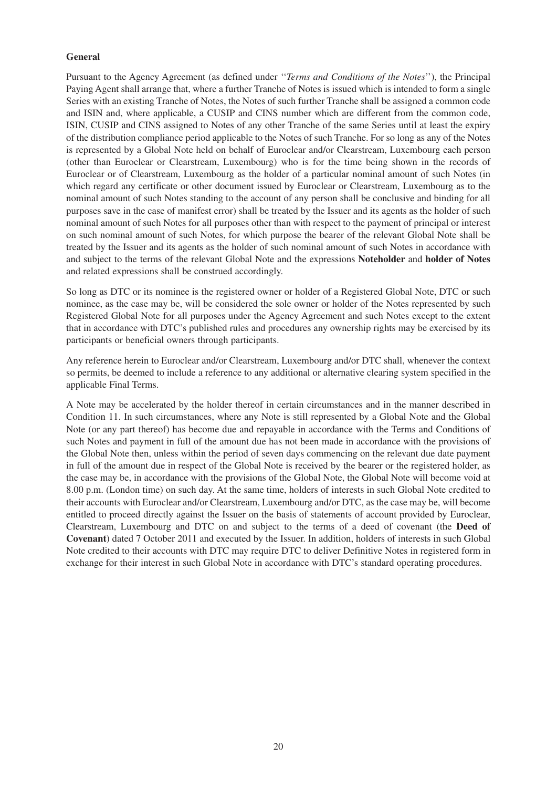# **General**

Pursuant to the Agency Agreement (as defined under ''*Terms and Conditions of the Notes*''), the Principal Paying Agent shall arrange that, where a further Tranche of Notes is issued which is intended to form a single Series with an existing Tranche of Notes, the Notes of such further Tranche shall be assigned a common code and ISIN and, where applicable, a CUSIP and CINS number which are different from the common code, ISIN, CUSIP and CINS assigned to Notes of any other Tranche of the same Series until at least the expiry of the distribution compliance period applicable to the Notes of such Tranche. For so long as any of the Notes is represented by a Global Note held on behalf of Euroclear and/or Clearstream, Luxembourg each person (other than Euroclear or Clearstream, Luxembourg) who is for the time being shown in the records of Euroclear or of Clearstream, Luxembourg as the holder of a particular nominal amount of such Notes (in which regard any certificate or other document issued by Euroclear or Clearstream, Luxembourg as to the nominal amount of such Notes standing to the account of any person shall be conclusive and binding for all purposes save in the case of manifest error) shall be treated by the Issuer and its agents as the holder of such nominal amount of such Notes for all purposes other than with respect to the payment of principal or interest on such nominal amount of such Notes, for which purpose the bearer of the relevant Global Note shall be treated by the Issuer and its agents as the holder of such nominal amount of such Notes in accordance with and subject to the terms of the relevant Global Note and the expressions **Noteholder** and **holder of Notes** and related expressions shall be construed accordingly.

So long as DTC or its nominee is the registered owner or holder of a Registered Global Note, DTC or such nominee, as the case may be, will be considered the sole owner or holder of the Notes represented by such Registered Global Note for all purposes under the Agency Agreement and such Notes except to the extent that in accordance with DTC's published rules and procedures any ownership rights may be exercised by its participants or beneficial owners through participants.

Any reference herein to Euroclear and/or Clearstream, Luxembourg and/or DTC shall, whenever the context so permits, be deemed to include a reference to any additional or alternative clearing system specified in the applicable Final Terms.

A Note may be accelerated by the holder thereof in certain circumstances and in the manner described in Condition 11. In such circumstances, where any Note is still represented by a Global Note and the Global Note (or any part thereof) has become due and repayable in accordance with the Terms and Conditions of such Notes and payment in full of the amount due has not been made in accordance with the provisions of the Global Note then, unless within the period of seven days commencing on the relevant due date payment in full of the amount due in respect of the Global Note is received by the bearer or the registered holder, as the case may be, in accordance with the provisions of the Global Note, the Global Note will become void at 8.00 p.m. (London time) on such day. At the same time, holders of interests in such Global Note credited to their accounts with Euroclear and/or Clearstream, Luxembourg and/or DTC, as the case may be, will become entitled to proceed directly against the Issuer on the basis of statements of account provided by Euroclear, Clearstream, Luxembourg and DTC on and subject to the terms of a deed of covenant (the **Deed of Covenant**) dated 7 October 2011 and executed by the Issuer. In addition, holders of interests in such Global Note credited to their accounts with DTC may require DTC to deliver Definitive Notes in registered form in exchange for their interest in such Global Note in accordance with DTC's standard operating procedures.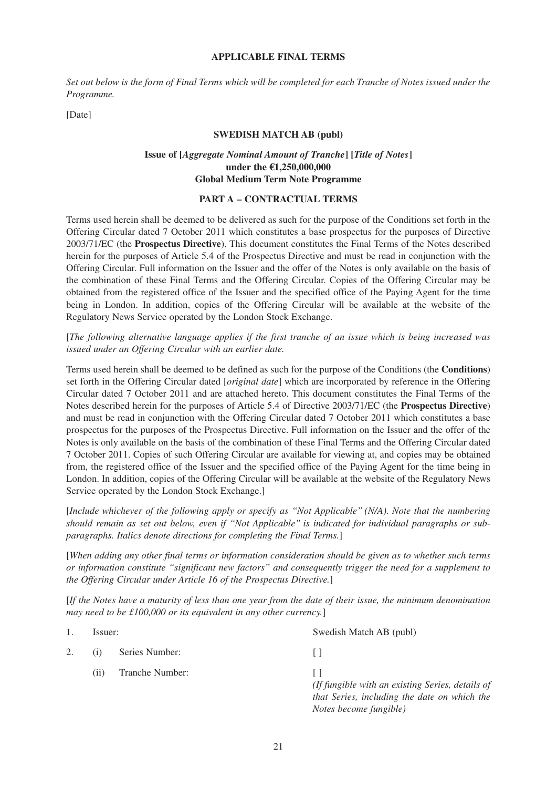#### **APPLICABLE FINAL TERMS**

*Set out below is the form of Final Terms which will be completed for each Tranche of Notes issued under the Programme.*

[Date]

#### **SWEDISH MATCH AB (publ)**

# **Issue of [***Aggregate Nominal Amount of Tranche***] [***Title of Notes***] under the €1,250,000,000 Global Medium Term Note Programme**

# **PART A – CONTRACTUAL TERMS**

Terms used herein shall be deemed to be delivered as such for the purpose of the Conditions set forth in the Offering Circular dated 7 October 2011 which constitutes a base prospectus for the purposes of Directive 2003/71/EC (the **Prospectus Directive**). This document constitutes the Final Terms of the Notes described herein for the purposes of Article 5.4 of the Prospectus Directive and must be read in conjunction with the Offering Circular. Full information on the Issuer and the offer of the Notes is only available on the basis of the combination of these Final Terms and the Offering Circular. Copies of the Offering Circular may be obtained from the registered office of the Issuer and the specified office of the Paying Agent for the time being in London. In addition, copies of the Offering Circular will be available at the website of the Regulatory News Service operated by the London Stock Exchange.

[*The following alternative language applies if the first tranche of an issue which is being increased was issued under an Offering Circular with an earlier date.*

Terms used herein shall be deemed to be defined as such for the purpose of the Conditions (the **Conditions**) set forth in the Offering Circular dated [*original date*] which are incorporated by reference in the Offering Circular dated 7 October 2011 and are attached hereto. This document constitutes the Final Terms of the Notes described herein for the purposes of Article 5.4 of Directive 2003/71/EC (the **Prospectus Directive**) and must be read in conjunction with the Offering Circular dated 7 October 2011 which constitutes a base prospectus for the purposes of the Prospectus Directive. Full information on the Issuer and the offer of the Notes is only available on the basis of the combination of these Final Terms and the Offering Circular dated 7 October 2011. Copies of such Offering Circular are available for viewing at, and copies may be obtained from, the registered office of the Issuer and the specified office of the Paying Agent for the time being in London. In addition, copies of the Offering Circular will be available at the website of the Regulatory News Service operated by the London Stock Exchange.]

[*Include whichever of the following apply or specify as ''Not Applicable'' (N/A). Note that the numbering should remain as set out below, even if ''Not Applicable'' is indicated for individual paragraphs or subparagraphs. Italics denote directions for completing the Final Terms.*]

[*When adding any other final terms or information consideration should be given as to whether such terms or information constitute "significant new factors" and consequently trigger the need for a supplement to the Offering Circular under Article 16 of the Prospectus Directive.*]

[*If the Notes have a maturity of less than one year from the date of their issue, the minimum denomination may need to be £100,000 or its equivalent in any other currency.*]

|    | Issuer: |                 | Swedish Match AB (publ)                                                                                                    |
|----|---------|-----------------|----------------------------------------------------------------------------------------------------------------------------|
| 2. | (1)     | Series Number:  |                                                                                                                            |
|    | (i)     | Tranche Number: | (If fungible with an existing Series, details of<br>that Series, including the date on which the<br>Notes become fungible) |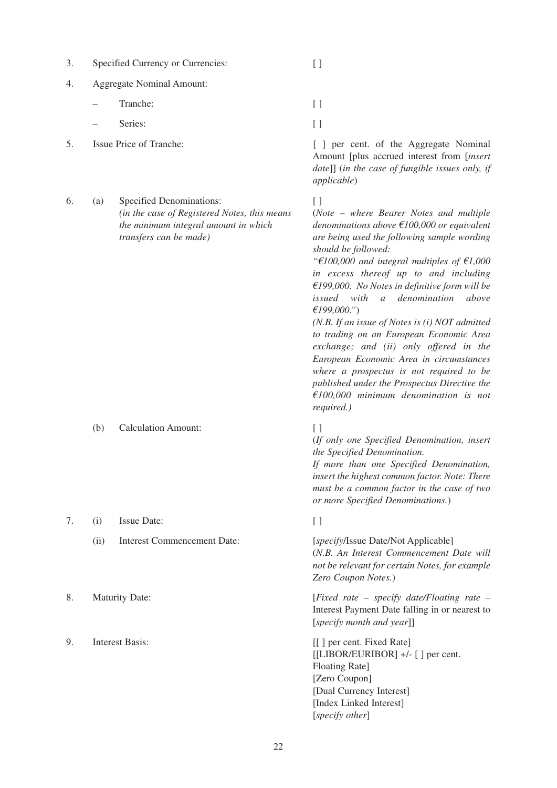| Specified Currency or Currencies:<br>$\mathfrak{I}.$ |  |  |  |
|------------------------------------------------------|--|--|--|
|------------------------------------------------------|--|--|--|

4. Aggregate Nominal Amount:

– Tranche: [ ]

- Series: [ ]
- 
- 6. (a) Specified Denominations: [ ] *(in the case of Registered Notes, this means the minimum integral amount in which transfers can be made)*

(b) Calculation Amount: [ ]

- 7. (i) Issue Date: [ ]
	- (ii) Interest Commencement Date: [*specify*/Issue Date/Not Applicable]
- 
- 
- 
- 

5. Issue Price of Tranche: [ ] per cent. of the Aggregate Nominal Amount [plus accrued interest from [*insert date*]] (*in the case of fungible issues only, if applicable*)

(*Note – where Bearer Notes and multiple denominations above €100,000 or equivalent are being used the following sample wording should be followed:*

*"€100,000 and integral multiples of €1,000 in excess thereof up to and including €199,000. No Notes in definitive form will be issued with a denomination above €199,000."*)

*(N.B. If an issue of Notes is (i) NOT admitted to trading on an European Economic Area exchange; and (ii) only offered in the European Economic Area in circumstances where a prospectus is not required to be published under the Prospectus Directive the €100,000 minimum denomination is not required.)*

(*If only one Specified Denomination, insert the Specified Denomination.*

*If more than one Specified Denomination, insert the highest common factor. Note: There must be a common factor in the case of two or more Specified Denominations.*)

(*N.B. An Interest Commencement Date will not be relevant for certain Notes, for example Zero Coupon Notes.*)

8. Maturity Date: [*Fixed rate – specify date/Floating rate* – Interest Payment Date falling in or nearest to [*specify month and year*]]

9. Interest Basis: [[] per cent. Fixed Rate] [[LIBOR/EURIBOR] +/- [ ] per cent. Floating Rate] [Zero Coupon] [Dual Currency Interest] [Index Linked Interest] [*specify other*]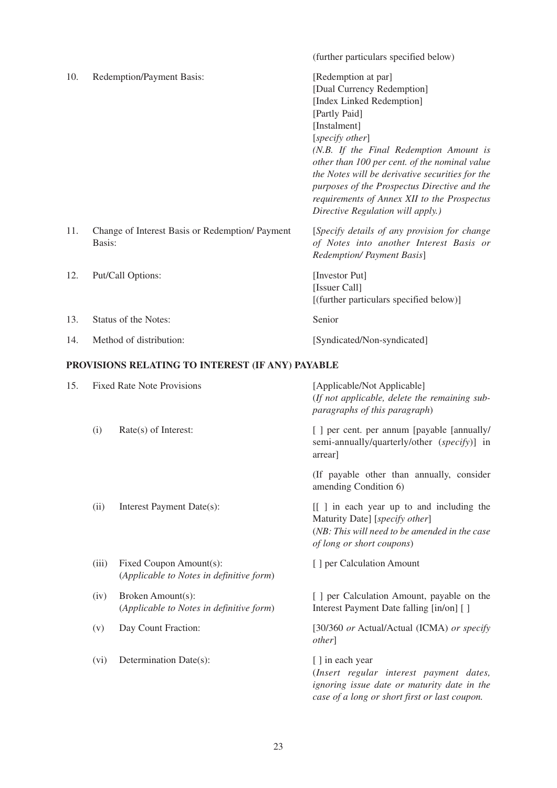|     |        |                                                                     | (further particulars specified below)                                                                                                                                                                                                                                                                                                                                                                                 |
|-----|--------|---------------------------------------------------------------------|-----------------------------------------------------------------------------------------------------------------------------------------------------------------------------------------------------------------------------------------------------------------------------------------------------------------------------------------------------------------------------------------------------------------------|
| 10. |        | Redemption/Payment Basis:                                           | [Redemption at par]<br>[Dual Currency Redemption]<br>[Index Linked Redemption]<br>[Partly Paid]<br>[Instalment]<br>[specify other]<br>(N.B. If the Final Redemption Amount is<br>other than 100 per cent. of the nominal value<br>the Notes will be derivative securities for the<br>purposes of the Prospectus Directive and the<br>requirements of Annex XII to the Prospectus<br>Directive Regulation will apply.) |
| 11. | Basis: | Change of Interest Basis or Redemption/ Payment                     | [Specify details of any provision for change<br>of Notes into another Interest Basis or<br>Redemption/ Payment Basis]                                                                                                                                                                                                                                                                                                 |
| 12. |        | Put/Call Options:                                                   | [Investor Put]<br>[Issuer Call]<br>[(further particulars specified below)]                                                                                                                                                                                                                                                                                                                                            |
| 13. |        | Status of the Notes:                                                | Senior                                                                                                                                                                                                                                                                                                                                                                                                                |
| 14. |        | Method of distribution:                                             | [Syndicated/Non-syndicated]                                                                                                                                                                                                                                                                                                                                                                                           |
|     |        | PROVISIONS RELATING TO INTEREST (IF ANY) PAYABLE                    |                                                                                                                                                                                                                                                                                                                                                                                                                       |
| 15. |        | <b>Fixed Rate Note Provisions</b>                                   | [Applicable/Not Applicable]<br>(If not applicable, delete the remaining sub-<br>paragraphs of this paragraph)                                                                                                                                                                                                                                                                                                         |
|     | (i)    | Rate(s) of Interest:                                                | [ ] per cent. per annum [payable [annually/<br>semi-annually/quarterly/other (specify)] in<br>arrear]                                                                                                                                                                                                                                                                                                                 |
|     |        |                                                                     | (If payable other than annually, consider<br>amending Condition 6)                                                                                                                                                                                                                                                                                                                                                    |
|     | (ii)   | Interest Payment Date(s):                                           | [[ ] in each year up to and including the<br>Maturity Date] [specify other]<br>(NB: This will need to be amended in the case<br>of long or short coupons)                                                                                                                                                                                                                                                             |
|     | (iii)  | Fixed Coupon Amount(s):<br>(Applicable to Notes in definitive form) | [ ] per Calculation Amount                                                                                                                                                                                                                                                                                                                                                                                            |
|     |        |                                                                     |                                                                                                                                                                                                                                                                                                                                                                                                                       |

- (iv) Broken Amount(s): [ ] per Calculation Amount, payable on the Broken Amount(s): (*Applicable to Notes in definitive form*)
- 
- (vi) Determination Date(s): [ ] in each year

Interest Payment Date falling [in/on] [ ] (v) Day Count Fraction: [30/360 *or* Actual/Actual (ICMA) *or specify*

> (*Insert regular interest payment dates, ignoring issue date or maturity date in the case of a long or short first or last coupon.*

*other*]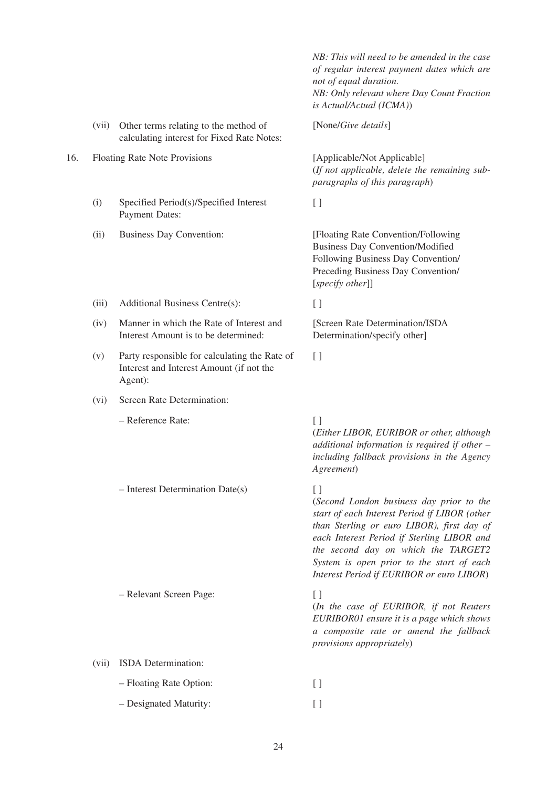|     |       |                                                                                                      | NB: This will need to be amended in the case<br>of regular interest payment dates which are<br>not of equal duration.<br>NB: Only relevant where Day Count Fraction<br>is Actual/Actual (ICMA))                                                                                                                                   |
|-----|-------|------------------------------------------------------------------------------------------------------|-----------------------------------------------------------------------------------------------------------------------------------------------------------------------------------------------------------------------------------------------------------------------------------------------------------------------------------|
|     | (vii) | Other terms relating to the method of<br>calculating interest for Fixed Rate Notes:                  | [None/Give details]                                                                                                                                                                                                                                                                                                               |
| 16. |       | <b>Floating Rate Note Provisions</b>                                                                 | [Applicable/Not Applicable]<br>(If not applicable, delete the remaining sub-<br>paragraphs of this paragraph)                                                                                                                                                                                                                     |
|     | (i)   | Specified Period(s)/Specified Interest<br><b>Payment Dates:</b>                                      | $[ \ ]$                                                                                                                                                                                                                                                                                                                           |
|     | (ii)  | <b>Business Day Convention:</b>                                                                      | [Floating Rate Convention/Following<br><b>Business Day Convention/Modified</b><br>Following Business Day Convention/<br>Preceding Business Day Convention/<br>[specify other]]                                                                                                                                                    |
|     | (iii) | Additional Business Centre(s):                                                                       | $[ \ ]$                                                                                                                                                                                                                                                                                                                           |
|     | (iv)  | Manner in which the Rate of Interest and<br>Interest Amount is to be determined:                     | [Screen Rate Determination/ISDA<br>Determination/specify other]                                                                                                                                                                                                                                                                   |
|     | (v)   | Party responsible for calculating the Rate of<br>Interest and Interest Amount (if not the<br>Agent): | $[ \ ]$                                                                                                                                                                                                                                                                                                                           |
|     | (vi)  | Screen Rate Determination:                                                                           |                                                                                                                                                                                                                                                                                                                                   |
|     |       | - Reference Rate:                                                                                    | $[$<br>(Either LIBOR, EURIBOR or other, although<br>additional information is required if other $-$<br>including fallback provisions in the Agency<br>Agreement)                                                                                                                                                                  |
|     |       | $-$ Interest Determination Date(s)                                                                   | $[ \ ]$<br>(Second London business day prior to the<br>start of each Interest Period if LIBOR (other<br>than Sterling or euro LIBOR), first day of<br>each Interest Period if Sterling LIBOR and<br>the second day on which the TARGET2<br>System is open prior to the start of each<br>Interest Period if EURIBOR or euro LIBOR) |
|     |       | - Relevant Screen Page:                                                                              | $[ \ ]$<br>(In the case of EURIBOR, if not Reuters<br>EURIBOR01 ensure it is a page which shows<br>a composite rate or amend the fallback<br>provisions appropriately)                                                                                                                                                            |
|     | (vii) | ISDA Determination:                                                                                  |                                                                                                                                                                                                                                                                                                                                   |
|     |       | - Floating Rate Option:                                                                              | $[ \ ]$                                                                                                                                                                                                                                                                                                                           |
|     |       | - Designated Maturity:                                                                               | $\left[ \ \right]$                                                                                                                                                                                                                                                                                                                |
|     |       |                                                                                                      |                                                                                                                                                                                                                                                                                                                                   |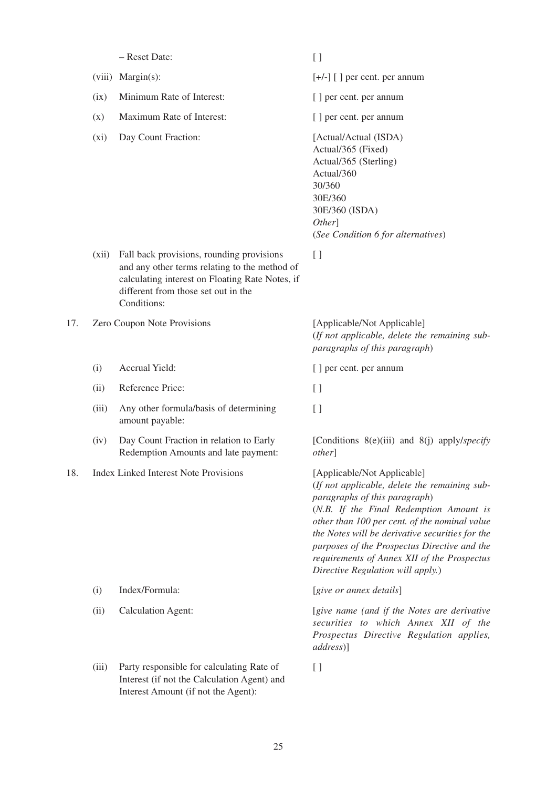|     |        | - Reset Date:                                                                                                                                                                                       | $\left[ \ \right]$                                                                                                                                                                                                                                                                                                                                                                               |
|-----|--------|-----------------------------------------------------------------------------------------------------------------------------------------------------------------------------------------------------|--------------------------------------------------------------------------------------------------------------------------------------------------------------------------------------------------------------------------------------------------------------------------------------------------------------------------------------------------------------------------------------------------|
|     | (viii) | $Margin(s)$ :                                                                                                                                                                                       | $[+/$ ] [] per cent. per annum                                                                                                                                                                                                                                                                                                                                                                   |
|     | (ix)   | Minimum Rate of Interest:                                                                                                                                                                           | [ ] per cent. per annum                                                                                                                                                                                                                                                                                                                                                                          |
|     | (x)    | Maximum Rate of Interest:                                                                                                                                                                           | [ ] per cent. per annum                                                                                                                                                                                                                                                                                                                                                                          |
|     | (xi)   | Day Count Fraction:                                                                                                                                                                                 | [Actual/Actual (ISDA)<br>Actual/365 (Fixed)<br>Actual/365 (Sterling)<br>Actual/360<br>30/360<br>30E/360<br>30E/360 (ISDA)<br>Other]<br>(See Condition 6 for alternatives)                                                                                                                                                                                                                        |
|     | (xii)  | Fall back provisions, rounding provisions<br>and any other terms relating to the method of<br>calculating interest on Floating Rate Notes, if<br>different from those set out in the<br>Conditions: | $[ \ ]$                                                                                                                                                                                                                                                                                                                                                                                          |
| 17. |        | Zero Coupon Note Provisions                                                                                                                                                                         | [Applicable/Not Applicable]<br>(If not applicable, delete the remaining sub-<br>paragraphs of this paragraph)                                                                                                                                                                                                                                                                                    |
|     | (i)    | Accrual Yield:                                                                                                                                                                                      | [ ] per cent. per annum                                                                                                                                                                                                                                                                                                                                                                          |
|     | (ii)   | Reference Price:                                                                                                                                                                                    | $[ \ ]$                                                                                                                                                                                                                                                                                                                                                                                          |
|     | (iii)  | Any other formula/basis of determining<br>amount payable:                                                                                                                                           | $[ \ ]$                                                                                                                                                                                                                                                                                                                                                                                          |
|     | (iv)   | Day Count Fraction in relation to Early<br>Redemption Amounts and late payment:                                                                                                                     | [Conditions 8(e)(iii) and 8(j) apply/specify<br><i>other</i>                                                                                                                                                                                                                                                                                                                                     |
| 18. |        | Index Linked Interest Note Provisions                                                                                                                                                               | [Applicable/Not Applicable]<br>(If not applicable, delete the remaining sub-<br>paragraphs of this paragraph)<br>(N.B. If the Final Redemption Amount is<br>other than 100 per cent. of the nominal value<br>the Notes will be derivative securities for the<br>purposes of the Prospectus Directive and the<br>requirements of Annex XII of the Prospectus<br>Directive Regulation will apply.) |
|     | (i)    | Index/Formula:                                                                                                                                                                                      | [give or annex details]                                                                                                                                                                                                                                                                                                                                                                          |
|     | (ii)   | <b>Calculation Agent:</b>                                                                                                                                                                           | [give name (and if the Notes are derivative<br>securities to which Annex XII of the<br>Prospectus Directive Regulation applies,<br>address)]                                                                                                                                                                                                                                                     |
|     | (iii)  | Party responsible for calculating Rate of<br>Interest (if not the Calculation Agent) and<br>Interest Amount (if not the Agent):                                                                     | $[ \ ]$                                                                                                                                                                                                                                                                                                                                                                                          |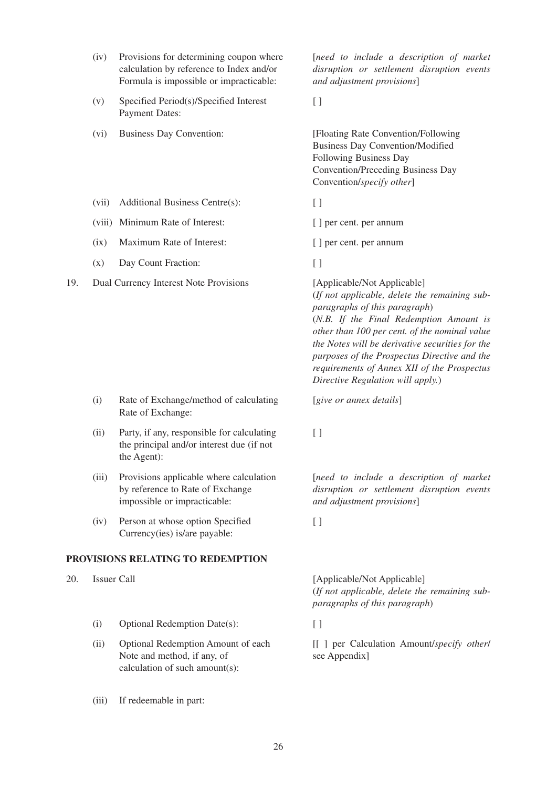|     | (iv)   | Provisions for determining coupon where<br>calculation by reference to Index and/or<br>Formula is impossible or impracticable: | [need to include a description of market<br>disruption or settlement disruption events<br>and adjustment provisions]                                                                                                                                                                                                                                                                             |
|-----|--------|--------------------------------------------------------------------------------------------------------------------------------|--------------------------------------------------------------------------------------------------------------------------------------------------------------------------------------------------------------------------------------------------------------------------------------------------------------------------------------------------------------------------------------------------|
|     | (v)    | Specified Period(s)/Specified Interest<br><b>Payment Dates:</b>                                                                | $[ \ ]$                                                                                                                                                                                                                                                                                                                                                                                          |
|     | (vi)   | <b>Business Day Convention:</b>                                                                                                | [Floating Rate Convention/Following<br><b>Business Day Convention/Modified</b><br>Following Business Day<br><b>Convention/Preceding Business Day</b><br>Convention/specify other]                                                                                                                                                                                                                |
|     | (vii)  | Additional Business Centre(s):                                                                                                 | $\left[ \ \right]$                                                                                                                                                                                                                                                                                                                                                                               |
|     | (viii) | Minimum Rate of Interest:                                                                                                      | [ ] per cent. per annum                                                                                                                                                                                                                                                                                                                                                                          |
|     | (ix)   | Maximum Rate of Interest:                                                                                                      | [ ] per cent. per annum                                                                                                                                                                                                                                                                                                                                                                          |
|     | (x)    | Day Count Fraction:                                                                                                            | $[ \ ]$                                                                                                                                                                                                                                                                                                                                                                                          |
| 19. |        | Dual Currency Interest Note Provisions                                                                                         | [Applicable/Not Applicable]<br>(If not applicable, delete the remaining sub-<br>paragraphs of this paragraph)<br>(N.B. If the Final Redemption Amount is<br>other than 100 per cent. of the nominal value<br>the Notes will be derivative securities for the<br>purposes of the Prospectus Directive and the<br>requirements of Annex XII of the Prospectus<br>Directive Regulation will apply.) |
|     | (i)    | Rate of Exchange/method of calculating<br>Rate of Exchange:                                                                    | [give or annex details]                                                                                                                                                                                                                                                                                                                                                                          |
|     | (ii)   | Party, if any, responsible for calculating<br>the principal and/or interest due (if not<br>the Agent):                         | $[ \ ]$                                                                                                                                                                                                                                                                                                                                                                                          |
|     | (iii)  | Provisions applicable where calculation<br>by reference to Rate of Exchange<br>impossible or impracticable:                    | [need to include a description of market<br>disruption or settlement disruption events<br>and adjustment provisions]                                                                                                                                                                                                                                                                             |

(iv) Person at whose option Specified [ ] Currency(ies) is/are payable:

# **PROVISIONS RELATING TO REDEMPTION**

- - (i) Optional Redemption Date(s): [ ]
	- Optional Redemption Amount of each Note and method, if any, of calculation of such amount(s):
	- (iii) If redeemable in part:

20. Issuer Call [Applicable/Not Applicable] (*If not applicable, delete the remaining subparagraphs of this paragraph*)

(ii) Optional Redemption Amount of each [[ ] per Calculation Amount/*specify other*/ see Appendix]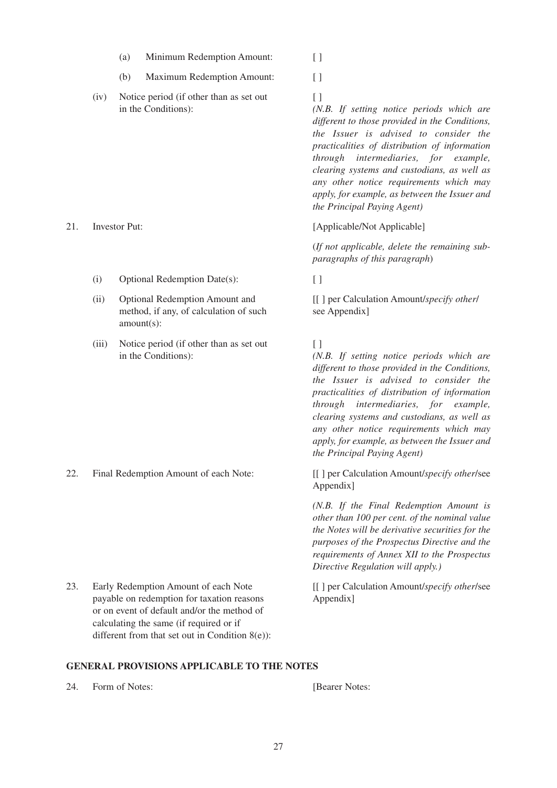- (a) Minimum Redemption Amount: [ ]
- (b) Maximum Redemption Amount: [ ]
- (iv) Notice period (if other than as set out [ ] in the Conditions):

- (i) Optional Redemption Date(s):
- (ii) Optional Redemption Amount and **Figure 2** [[ ] per Calculation Amount/*specify other*/ Optional Redemption Amount and method, if any, of calculation of such amount(s):
- (iii) Notice period (if other than as set out [ ] in the Conditions):

22. Final Redemption Amount of each Note: [[ ] per Calculation Amount/*specify other*/see

Early Redemption Amount of each Note payable on redemption for taxation reasons or on event of default and/or the method of calculating the same (if required or if different from that set out in Condition 8(e)):

*(N.B. If setting notice periods which are different to those provided in the Conditions, the Issuer is advised to consider the practicalities of distribution of information through intermediaries, for example, clearing systems and custodians, as well as any other notice requirements which may apply, for example, as between the Issuer and the Principal Paying Agent)*

21. Investor Put: [Applicable/Not Applicable]

(*If not applicable, delete the remaining subparagraphs of this paragraph*)

see Appendix]

*(N.B. If setting notice periods which are different to those provided in the Conditions, the Issuer is advised to consider the practicalities of distribution of information through intermediaries, for example, clearing systems and custodians, as well as any other notice requirements which may apply, for example, as between the Issuer and the Principal Paying Agent)*

Appendix]

*(N.B. If the Final Redemption Amount is other than 100 per cent. of the nominal value the Notes will be derivative securities for the purposes of the Prospectus Directive and the requirements of Annex XII to the Prospectus Directive Regulation will apply.)*

23. Early Redemption Amount of each Note [[] per Calculation Amount/*specify other/see* Appendix]

#### **GENERAL PROVISIONS APPLICABLE TO THE NOTES**

24. Form of Notes: [Bearer Notes: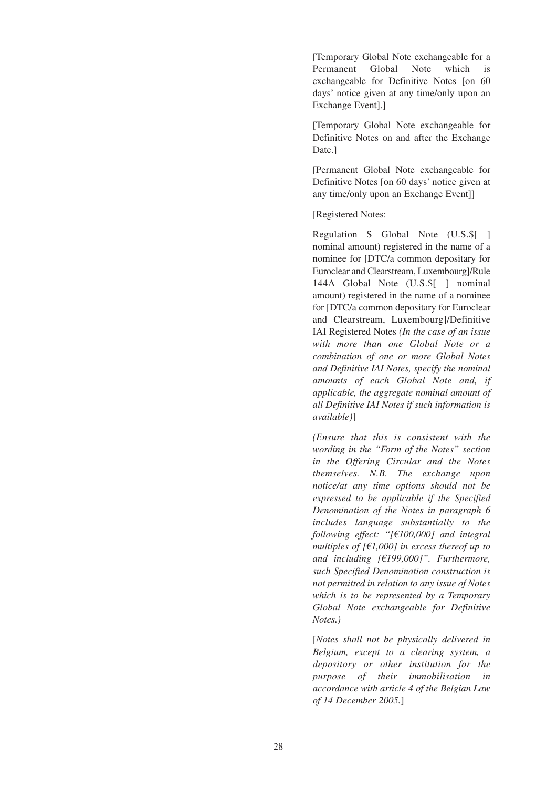[Temporary Global Note exchangeable for a Permanent Global Note which is exchangeable for Definitive Notes [on 60 days' notice given at any time/only upon an Exchange Event].]

[Temporary Global Note exchangeable for Definitive Notes on and after the Exchange Date.]

[Permanent Global Note exchangeable for Definitive Notes [on 60 days' notice given at any time/only upon an Exchange Event]]

[Registered Notes:

Regulation S Global Note (U.S.\$[ ] nominal amount) registered in the name of a nominee for [DTC/a common depositary for Euroclear and Clearstream, Luxembourg]/Rule 144A Global Note (U.S.\$[ ] nominal amount) registered in the name of a nominee for [DTC/a common depositary for Euroclear and Clearstream, Luxembourg]/Definitive IAI Registered Notes *(In the case of an issue with more than one Global Note or a combination of one or more Global Notes and Definitive IAI Notes, specify the nominal amounts of each Global Note and, if applicable, the aggregate nominal amount of all Definitive IAI Notes if such information is available)*]

*(Ensure that this is consistent with the wording in the "Form of the Notes" section in the Offering Circular and the Notes themselves. N.B. The exchange upon notice/at any time options should not be expressed to be applicable if the Specified Denomination of the Notes in paragraph 6 includes language substantially to the following effect: "[€100,000] and integral multiples of [€1,000] in excess thereof up to and including [€199,000]". Furthermore, such Specified Denomination construction is not permitted in relation to any issue of Notes which is to be represented by a Temporary Global Note exchangeable for Definitive Notes.)*

[*Notes shall not be physically delivered in Belgium, except to a clearing system, a depository or other institution for the purpose of their immobilisation in accordance with article 4 of the Belgian Law of 14 December 2005.*]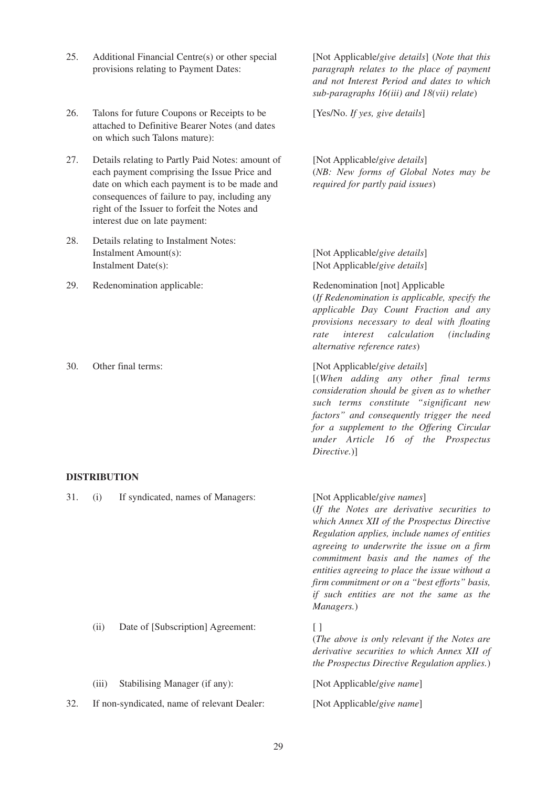|     |       |                                                                                                                                                                                                                                                                                   | sub-paragraphs $16(iii)$ and $18(vii)$ relate)                                                                                                                                                                                                                                                                                                                                                                                |
|-----|-------|-----------------------------------------------------------------------------------------------------------------------------------------------------------------------------------------------------------------------------------------------------------------------------------|-------------------------------------------------------------------------------------------------------------------------------------------------------------------------------------------------------------------------------------------------------------------------------------------------------------------------------------------------------------------------------------------------------------------------------|
| 26. |       | Talons for future Coupons or Receipts to be<br>attached to Definitive Bearer Notes (and dates<br>on which such Talons mature):                                                                                                                                                    | [Yes/No. If yes, give details]                                                                                                                                                                                                                                                                                                                                                                                                |
| 27. |       | Details relating to Partly Paid Notes: amount of<br>each payment comprising the Issue Price and<br>date on which each payment is to be made and<br>consequences of failure to pay, including any<br>right of the Issuer to forfeit the Notes and<br>interest due on late payment: | [Not Applicable/give details]<br>(NB: New forms of Global Notes may be<br>required for partly paid issues)                                                                                                                                                                                                                                                                                                                    |
| 28. |       | Details relating to Instalment Notes:<br>Instalment Amount(s):<br>Instalment Date(s):                                                                                                                                                                                             | [Not Applicable/give details]<br>[Not Applicable/give details]                                                                                                                                                                                                                                                                                                                                                                |
| 29. |       | Redenomination applicable:                                                                                                                                                                                                                                                        | Redenomination [not] Applicable<br>(If Redenomination is applicable, specify the<br>applicable Day Count Fraction and any<br>provisions necessary to deal with floating<br>interest<br>calculation<br><i>(including</i><br>rate<br>alternative reference rates)                                                                                                                                                               |
| 30. |       | Other final terms:                                                                                                                                                                                                                                                                | [Not Applicable/give details]<br>[(When adding any other final terms<br>consideration should be given as to whether<br>such terms constitute "significant new<br>factors" and consequently trigger the need<br>for a supplement to the Offering Circular<br>under Article 16 of the Prospectus<br>Directive.)]                                                                                                                |
|     |       | <b>DISTRIBUTION</b>                                                                                                                                                                                                                                                               |                                                                                                                                                                                                                                                                                                                                                                                                                               |
| 31. | (i)   | If syndicated, names of Managers:                                                                                                                                                                                                                                                 | [Not Applicable/give names]<br>(If the Notes are derivative securities to<br>which Annex XII of the Prospectus Directive<br>Regulation applies, include names of entities<br>agreeing to underwrite the issue on a firm<br>commitment basis and the names of the<br>entities agreeing to place the issue without a<br>firm commitment or on a "best efforts" basis,<br>if such entities are not the same as the<br>Managers.) |
|     | (ii)  | Date of [Subscription] Agreement:                                                                                                                                                                                                                                                 | $[ \ ]$<br>(The above is only relevant if the Notes are<br>derivative securities to which Annex XII of<br>the Prospectus Directive Regulation applies.)                                                                                                                                                                                                                                                                       |
|     | (iii) | Stabilising Manager (if any):                                                                                                                                                                                                                                                     | [Not Applicable/give name]                                                                                                                                                                                                                                                                                                                                                                                                    |
| 32. |       | If non-syndicated, name of relevant Dealer:                                                                                                                                                                                                                                       | [Not Applicable/give name]                                                                                                                                                                                                                                                                                                                                                                                                    |

25. [Not Applicable/*give details*] (*Note that this* Additional Financial Centre(s) or other special

provisions relating to Payment Dates:

*paragraph relates to the place of payment and not Interest Period and dates to which*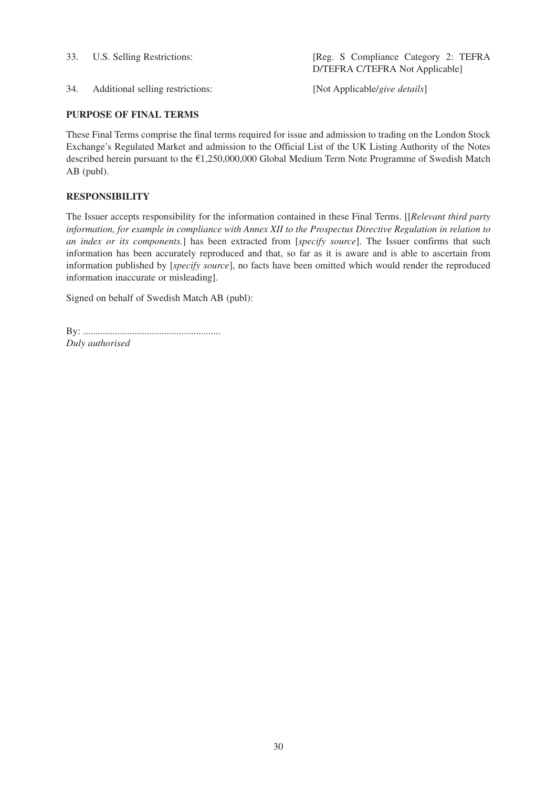U.S. Selling Restrictions:

33. U.S. Selling Restrictions: [Reg. S Compliance Category 2: TEFRA D/TEFRA C/TEFRA Not Applicable]

34. Additional selling restrictions: [Not Applicable/*give details*]

# **PURPOSE OF FINAL TERMS**

These Final Terms comprise the final terms required for issue and admission to trading on the London Stock Exchange's Regulated Market and admission to the Official List of the UK Listing Authority of the Notes described herein pursuant to the €1,250,000,000 Global Medium Term Note Programme of Swedish Match AB (publ).

# **RESPONSIBILITY**

The Issuer accepts responsibility for the information contained in these Final Terms. [[*Relevant third party information, for example in compliance with Annex XII to the Prospectus Directive Regulation in relation to an index or its components.*] has been extracted from [*specify source*]. The Issuer confirms that such information has been accurately reproduced and that, so far as it is aware and is able to ascertain from information published by [*specify source*], no facts have been omitted which would render the reproduced information inaccurate or misleading].

Signed on behalf of Swedish Match AB (publ):

By: ........................................................ *Duly authorised*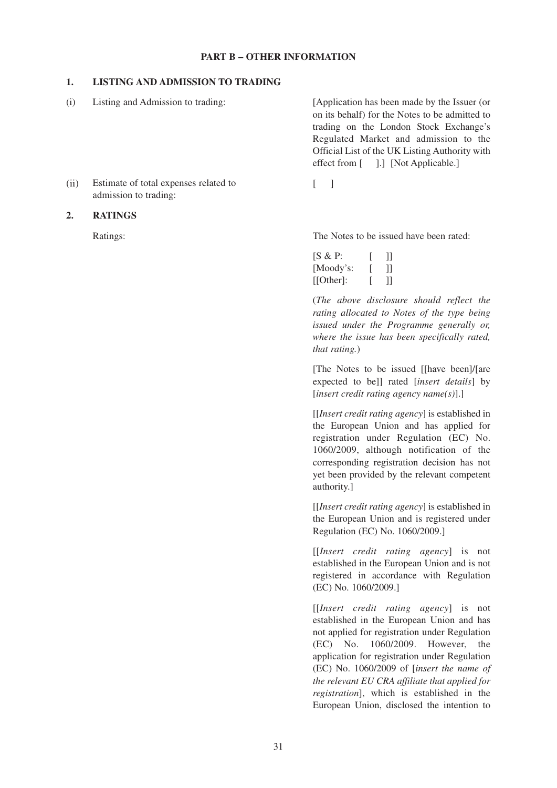### **1. LISTING AND ADMISSION TO TRADING**

(i) Listing and Admission to trading: [Application has been made by the Issuer (or on its behalf) for the Notes to be admitted to trading on the London Stock Exchange's Regulated Market and admission to the Official List of the UK Listing Authority with effect from [ ].] [Not Applicable.]

Ratings: The Notes to be issued have been rated:

| $[S \& P:$ | Ш  |
|------------|----|
| [Moody's:  | 11 |
| [[Other]:  | 11 |

(*The above disclosure should reflect the rating allocated to Notes of the type being issued under the Programme generally or, where the issue has been specifically rated, that rating.*)

[The Notes to be issued [[have been]/[are expected to be]] rated [*insert details*] by [*insert credit rating agency name(s)*].]

[[*Insert credit rating agency*] is established in the European Union and has applied for registration under Regulation (EC) No. 1060/2009, although notification of the corresponding registration decision has not yet been provided by the relevant competent authority.]

[[*Insert credit rating agency*] is established in the European Union and is registered under Regulation (EC) No. 1060/2009.]

[[*Insert credit rating agency*] is not established in the European Union and is not registered in accordance with Regulation (EC) No. 1060/2009.]

[[*Insert credit rating agency*] is not established in the European Union and has not applied for registration under Regulation (EC) No. 1060/2009. However, the application for registration under Regulation (EC) No. 1060/2009 of [*insert the name of the relevant EU CRA affiliate that applied for registration*], which is established in the European Union, disclosed the intention to

(ii) Estimate of total expenses related to [ ] admission to trading:

#### **2. RATINGS**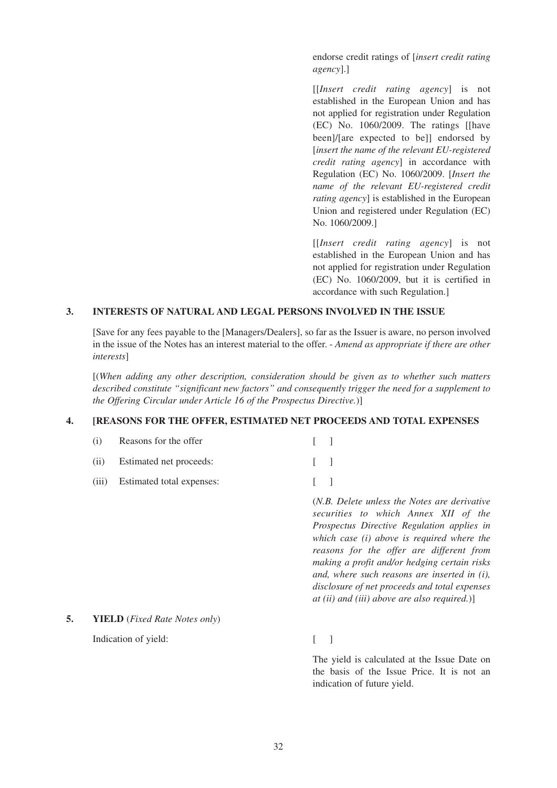endorse credit ratings of [*insert credit rating agency*].]

[[*Insert credit rating agency*] is not established in the European Union and has not applied for registration under Regulation (EC) No. 1060/2009. The ratings [[have been]/[are expected to be]] endorsed by [*insert the name of the relevant EU-registered credit rating agency*] in accordance with Regulation (EC) No. 1060/2009. [*Insert the name of the relevant EU-registered credit rating agency*] is established in the European Union and registered under Regulation (EC) No. 1060/2009.]

[[*Insert credit rating agency*] is not established in the European Union and has not applied for registration under Regulation (EC) No. 1060/2009, but it is certified in accordance with such Regulation.]

#### **3. INTERESTS OF NATURAL AND LEGAL PERSONS INVOLVED IN THE ISSUE**

[Save for any fees payable to the [Managers/Dealers], so far as the Issuer is aware, no person involved in the issue of the Notes has an interest material to the offer. - *Amend as appropriate if there are other interests*]

[(*When adding any other description, consideration should be given as to whether such matters described constitute "significant new factors" and consequently trigger the need for a supplement to the Offering Circular under Article 16 of the Prospectus Directive.*)]

# **4. [REASONS FOR THE OFFER, ESTIMATED NET PROCEEDS AND TOTAL EXPENSES**

| (i)   | Reasons for the offer     |                                                                                                                                                                                                                                                                                                                                           |
|-------|---------------------------|-------------------------------------------------------------------------------------------------------------------------------------------------------------------------------------------------------------------------------------------------------------------------------------------------------------------------------------------|
| (i)   | Estimated net proceeds:   |                                                                                                                                                                                                                                                                                                                                           |
| (111) | Estimated total expenses: |                                                                                                                                                                                                                                                                                                                                           |
|       |                           | ( <i>N.B. Delete unless the Notes are derivative</i><br>securities to which Annex XII of the<br>Prospectus Directive Regulation applies in<br>which case $(i)$ above is required where the<br>reasons for the offer are different from<br>making a profit and/or hedging certain risks<br>and, where such reasons are inserted in $(i)$ , |

# **5. YIELD** (*Fixed Rate Notes only*)

Indication of yield:  $\begin{bmatrix} 1 \end{bmatrix}$ 

The yield is calculated at the Issue Date on the basis of the Issue Price. It is not an indication of future yield.

*disclosure of net proceeds and total expenses at (ii) and (iii) above are also required.*)]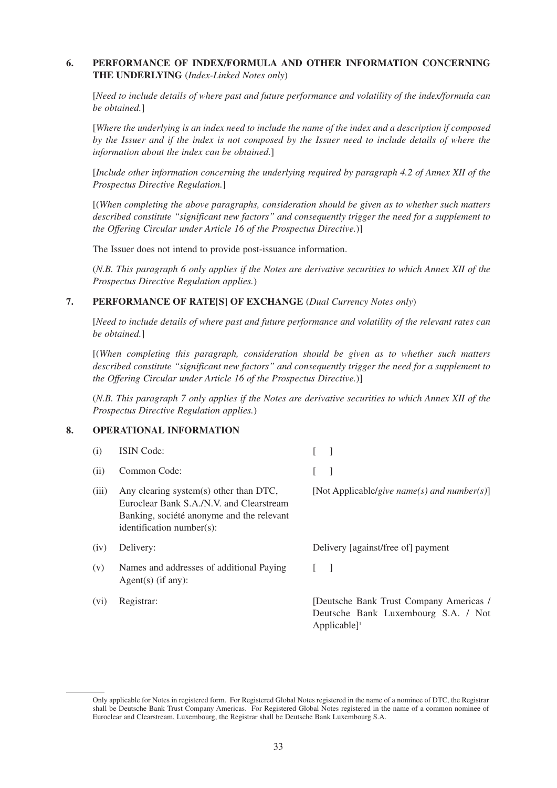# **6. PERFORMANCE OF INDEX/FORMULA AND OTHER INFORMATION CONCERNING THE UNDERLYING** (*Index-Linked Notes only*)

[*Need to include details of where past and future performance and volatility of the index/formula can be obtained.*]

[*Where the underlying is an index need to include the name of the index and a description if composed by the Issuer and if the index is not composed by the Issuer need to include details of where the information about the index can be obtained.*]

[*Include other information concerning the underlying required by paragraph 4.2 of Annex XII of the Prospectus Directive Regulation.*]

[(*When completing the above paragraphs, consideration should be given as to whether such matters described constitute "significant new factors" and consequently trigger the need for a supplement to the Offering Circular under Article 16 of the Prospectus Directive.*)]

The Issuer does not intend to provide post-issuance information.

(i) ISIN Code: [ ]

(*N.B. This paragraph 6 only applies if the Notes are derivative securities to which Annex XII of the Prospectus Directive Regulation applies.*)

### **7. PERFORMANCE OF RATE[S] OF EXCHANGE** (*Dual Currency Notes only*)

[*Need to include details of where past and future performance and volatility of the relevant rates can be obtained.*]

[(*When completing this paragraph, consideration should be given as to whether such matters described constitute "significant new factors" and consequently trigger the need for a supplement to the Offering Circular under Article 16 of the Prospectus Directive.*)]

(*N.B. This paragraph 7 only applies if the Notes are derivative securities to which Annex XII of the Prospectus Directive Regulation applies.*)

#### **8. OPERATIONAL INFORMATION**

| (ii)              | Common Code:                                                                                                                                                    |                                                                                                             |
|-------------------|-----------------------------------------------------------------------------------------------------------------------------------------------------------------|-------------------------------------------------------------------------------------------------------------|
| (iii)             | Any clearing system(s) other than DTC,<br>Euroclear Bank S.A./N.V. and Clearstream<br>Banking, société anonyme and the relevant<br>$identification number(s)$ : | [Not Applicable/give name(s) and number(s)]                                                                 |
| (iv)              | Delivery:                                                                                                                                                       | Delivery [against/free of] payment                                                                          |
| (v)               | Names and addresses of additional Paying<br>Agent(s) (if any):                                                                                                  |                                                                                                             |
| (v <sub>i</sub> ) | Registrar:                                                                                                                                                      | [Deutsche Bank Trust Company Americas /<br>Deutsche Bank Luxembourg S.A. / Not<br>$Applicable$ <sup>1</sup> |

Only applicable for Notes in registered form. For Registered Global Notes registered in the name of a nominee of DTC, the Registrar shall be Deutsche Bank Trust Company Americas. For Registered Global Notes registered in the name of a common nominee of Euroclear and Clearstream, Luxembourg, the Registrar shall be Deutsche Bank Luxembourg S.A.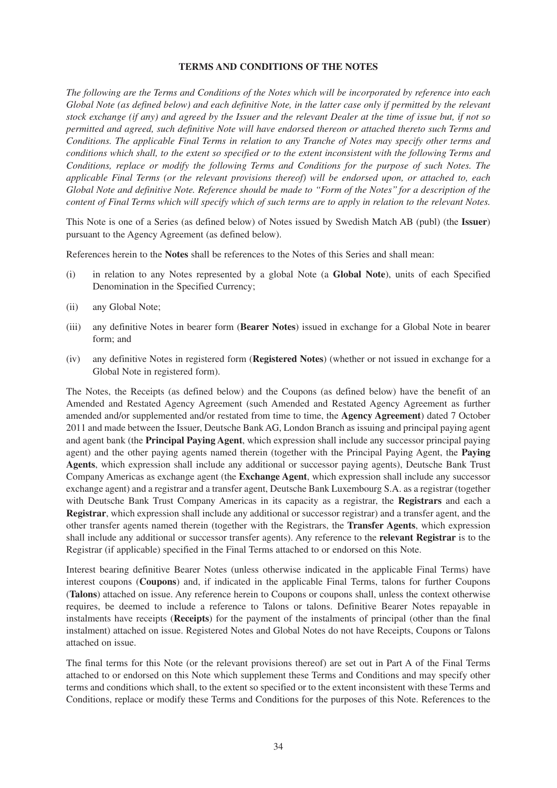#### **TERMS AND CONDITIONS OF THE NOTES**

*The following are the Terms and Conditions of the Notes which will be incorporated by reference into each Global Note (as defined below) and each definitive Note, in the latter case only if permitted by the relevant stock exchange (if any) and agreed by the Issuer and the relevant Dealer at the time of issue but, if not so permitted and agreed, such definitive Note will have endorsed thereon or attached thereto such Terms and Conditions. The applicable Final Terms in relation to any Tranche of Notes may specify other terms and conditions which shall, to the extent so specified or to the extent inconsistent with the following Terms and Conditions, replace or modify the following Terms and Conditions for the purpose of such Notes. The applicable Final Terms (or the relevant provisions thereof) will be endorsed upon, or attached to, each Global Note and definitive Note. Reference should be made to ''Form of the Notes'' for a description of the content of Final Terms which will specify which of such terms are to apply in relation to the relevant Notes.*

This Note is one of a Series (as defined below) of Notes issued by Swedish Match AB (publ) (the **Issuer**) pursuant to the Agency Agreement (as defined below).

References herein to the **Notes** shall be references to the Notes of this Series and shall mean:

- (i) in relation to any Notes represented by a global Note (a **Global Note**), units of each Specified Denomination in the Specified Currency;
- (ii) any Global Note;
- (iii) any definitive Notes in bearer form (**Bearer Notes**) issued in exchange for a Global Note in bearer form; and
- (iv) any definitive Notes in registered form (**Registered Notes**) (whether or not issued in exchange for a Global Note in registered form).

The Notes, the Receipts (as defined below) and the Coupons (as defined below) have the benefit of an Amended and Restated Agency Agreement (such Amended and Restated Agency Agreement as further amended and/or supplemented and/or restated from time to time, the **Agency Agreement**) dated 7 October 2011 and made between the Issuer, Deutsche Bank AG, London Branch as issuing and principal paying agent and agent bank (the **Principal Paying Agent**, which expression shall include any successor principal paying agent) and the other paying agents named therein (together with the Principal Paying Agent, the **Paying Agents**, which expression shall include any additional or successor paying agents), Deutsche Bank Trust Company Americas as exchange agent (the **Exchange Agent**, which expression shall include any successor exchange agent) and a registrar and a transfer agent, Deutsche Bank Luxembourg S.A. as a registrar (together with Deutsche Bank Trust Company Americas in its capacity as a registrar, the **Registrars** and each a **Registrar**, which expression shall include any additional or successor registrar) and a transfer agent, and the other transfer agents named therein (together with the Registrars, the **Transfer Agents**, which expression shall include any additional or successor transfer agents). Any reference to the **relevant Registrar** is to the Registrar (if applicable) specified in the Final Terms attached to or endorsed on this Note.

Interest bearing definitive Bearer Notes (unless otherwise indicated in the applicable Final Terms) have interest coupons (**Coupons**) and, if indicated in the applicable Final Terms, talons for further Coupons (**Talons**) attached on issue. Any reference herein to Coupons or coupons shall, unless the context otherwise requires, be deemed to include a reference to Talons or talons. Definitive Bearer Notes repayable in instalments have receipts (**Receipts**) for the payment of the instalments of principal (other than the final instalment) attached on issue. Registered Notes and Global Notes do not have Receipts, Coupons or Talons attached on issue.

The final terms for this Note (or the relevant provisions thereof) are set out in Part A of the Final Terms attached to or endorsed on this Note which supplement these Terms and Conditions and may specify other terms and conditions which shall, to the extent so specified or to the extent inconsistent with these Terms and Conditions, replace or modify these Terms and Conditions for the purposes of this Note. References to the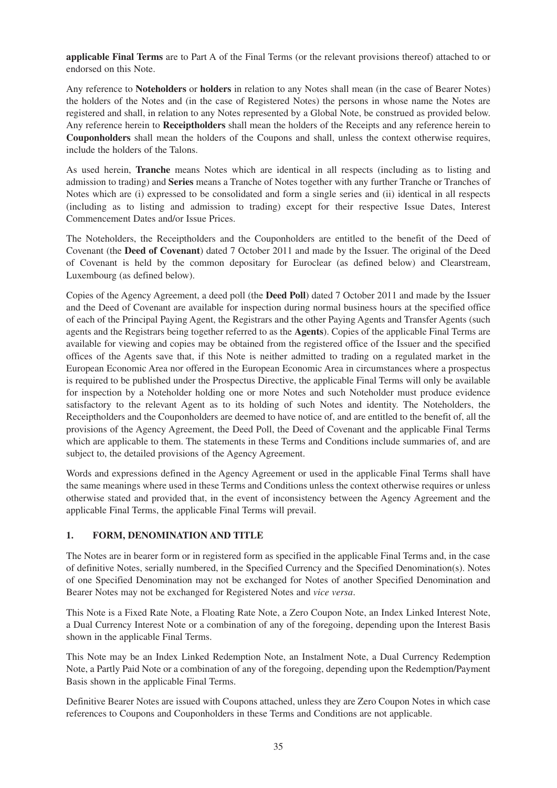**applicable Final Terms** are to Part A of the Final Terms (or the relevant provisions thereof) attached to or endorsed on this Note.

Any reference to **Noteholders** or **holders** in relation to any Notes shall mean (in the case of Bearer Notes) the holders of the Notes and (in the case of Registered Notes) the persons in whose name the Notes are registered and shall, in relation to any Notes represented by a Global Note, be construed as provided below. Any reference herein to **Receiptholders** shall mean the holders of the Receipts and any reference herein to **Couponholders** shall mean the holders of the Coupons and shall, unless the context otherwise requires, include the holders of the Talons.

As used herein, **Tranche** means Notes which are identical in all respects (including as to listing and admission to trading) and **Series** means a Tranche of Notes together with any further Tranche or Tranches of Notes which are (i) expressed to be consolidated and form a single series and (ii) identical in all respects (including as to listing and admission to trading) except for their respective Issue Dates, Interest Commencement Dates and/or Issue Prices.

The Noteholders, the Receiptholders and the Couponholders are entitled to the benefit of the Deed of Covenant (the **Deed of Covenant**) dated 7 October 2011 and made by the Issuer. The original of the Deed of Covenant is held by the common depositary for Euroclear (as defined below) and Clearstream, Luxembourg (as defined below).

Copies of the Agency Agreement, a deed poll (the **Deed Poll**) dated 7 October 2011 and made by the Issuer and the Deed of Covenant are available for inspection during normal business hours at the specified office of each of the Principal Paying Agent, the Registrars and the other Paying Agents and Transfer Agents (such agents and the Registrars being together referred to as the **Agents**). Copies of the applicable Final Terms are available for viewing and copies may be obtained from the registered office of the Issuer and the specified offices of the Agents save that, if this Note is neither admitted to trading on a regulated market in the European Economic Area nor offered in the European Economic Area in circumstances where a prospectus is required to be published under the Prospectus Directive, the applicable Final Terms will only be available for inspection by a Noteholder holding one or more Notes and such Noteholder must produce evidence satisfactory to the relevant Agent as to its holding of such Notes and identity. The Noteholders, the Receiptholders and the Couponholders are deemed to have notice of, and are entitled to the benefit of, all the provisions of the Agency Agreement, the Deed Poll, the Deed of Covenant and the applicable Final Terms which are applicable to them. The statements in these Terms and Conditions include summaries of, and are subject to, the detailed provisions of the Agency Agreement.

Words and expressions defined in the Agency Agreement or used in the applicable Final Terms shall have the same meanings where used in these Terms and Conditions unless the context otherwise requires or unless otherwise stated and provided that, in the event of inconsistency between the Agency Agreement and the applicable Final Terms, the applicable Final Terms will prevail.

# **1. FORM, DENOMINATION AND TITLE**

The Notes are in bearer form or in registered form as specified in the applicable Final Terms and, in the case of definitive Notes, serially numbered, in the Specified Currency and the Specified Denomination(s). Notes of one Specified Denomination may not be exchanged for Notes of another Specified Denomination and Bearer Notes may not be exchanged for Registered Notes and *vice versa*.

This Note is a Fixed Rate Note, a Floating Rate Note, a Zero Coupon Note, an Index Linked Interest Note, a Dual Currency Interest Note or a combination of any of the foregoing, depending upon the Interest Basis shown in the applicable Final Terms.

This Note may be an Index Linked Redemption Note, an Instalment Note, a Dual Currency Redemption Note, a Partly Paid Note or a combination of any of the foregoing, depending upon the Redemption/Payment Basis shown in the applicable Final Terms.

Definitive Bearer Notes are issued with Coupons attached, unless they are Zero Coupon Notes in which case references to Coupons and Couponholders in these Terms and Conditions are not applicable.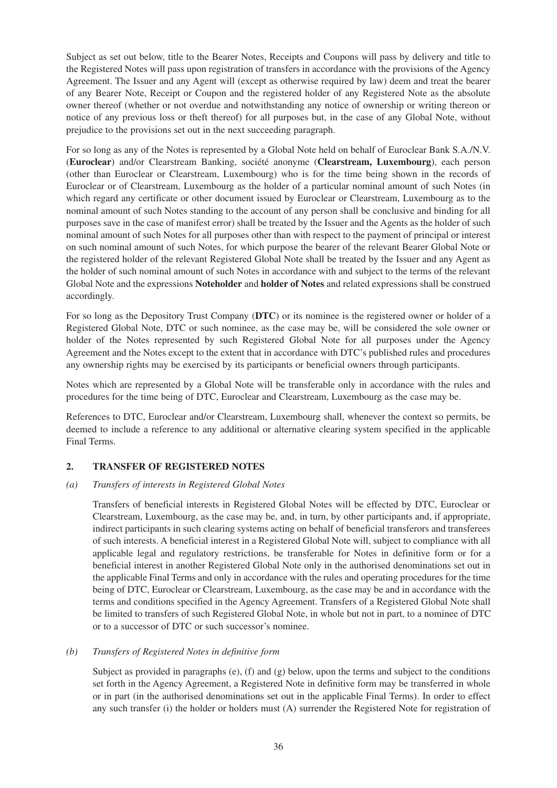Subject as set out below, title to the Bearer Notes, Receipts and Coupons will pass by delivery and title to the Registered Notes will pass upon registration of transfers in accordance with the provisions of the Agency Agreement. The Issuer and any Agent will (except as otherwise required by law) deem and treat the bearer of any Bearer Note, Receipt or Coupon and the registered holder of any Registered Note as the absolute owner thereof (whether or not overdue and notwithstanding any notice of ownership or writing thereon or notice of any previous loss or theft thereof) for all purposes but, in the case of any Global Note, without prejudice to the provisions set out in the next succeeding paragraph.

For so long as any of the Notes is represented by a Global Note held on behalf of Euroclear Bank S.A./N.V. (**Euroclear**) and/or Clearstream Banking, société anonyme (**Clearstream, Luxembourg**), each person (other than Euroclear or Clearstream, Luxembourg) who is for the time being shown in the records of Euroclear or of Clearstream, Luxembourg as the holder of a particular nominal amount of such Notes (in which regard any certificate or other document issued by Euroclear or Clearstream, Luxembourg as to the nominal amount of such Notes standing to the account of any person shall be conclusive and binding for all purposes save in the case of manifest error) shall be treated by the Issuer and the Agents as the holder of such nominal amount of such Notes for all purposes other than with respect to the payment of principal or interest on such nominal amount of such Notes, for which purpose the bearer of the relevant Bearer Global Note or the registered holder of the relevant Registered Global Note shall be treated by the Issuer and any Agent as the holder of such nominal amount of such Notes in accordance with and subject to the terms of the relevant Global Note and the expressions **Noteholder** and **holder of Notes** and related expressions shall be construed accordingly.

For so long as the Depository Trust Company (**DTC**) or its nominee is the registered owner or holder of a Registered Global Note, DTC or such nominee, as the case may be, will be considered the sole owner or holder of the Notes represented by such Registered Global Note for all purposes under the Agency Agreement and the Notes except to the extent that in accordance with DTC's published rules and procedures any ownership rights may be exercised by its participants or beneficial owners through participants.

Notes which are represented by a Global Note will be transferable only in accordance with the rules and procedures for the time being of DTC, Euroclear and Clearstream, Luxembourg as the case may be.

References to DTC, Euroclear and/or Clearstream, Luxembourg shall, whenever the context so permits, be deemed to include a reference to any additional or alternative clearing system specified in the applicable Final Terms.

# **2. TRANSFER OF REGISTERED NOTES**

# *(a) Transfers of interests in Registered Global Notes*

Transfers of beneficial interests in Registered Global Notes will be effected by DTC, Euroclear or Clearstream, Luxembourg, as the case may be, and, in turn, by other participants and, if appropriate, indirect participants in such clearing systems acting on behalf of beneficial transferors and transferees of such interests. A beneficial interest in a Registered Global Note will, subject to compliance with all applicable legal and regulatory restrictions, be transferable for Notes in definitive form or for a beneficial interest in another Registered Global Note only in the authorised denominations set out in the applicable Final Terms and only in accordance with the rules and operating procedures for the time being of DTC, Euroclear or Clearstream, Luxembourg, as the case may be and in accordance with the terms and conditions specified in the Agency Agreement. Transfers of a Registered Global Note shall be limited to transfers of such Registered Global Note, in whole but not in part, to a nominee of DTC or to a successor of DTC or such successor's nominee.

# *(b) Transfers of Registered Notes in definitive form*

Subject as provided in paragraphs (e), (f) and (g) below, upon the terms and subject to the conditions set forth in the Agency Agreement, a Registered Note in definitive form may be transferred in whole or in part (in the authorised denominations set out in the applicable Final Terms). In order to effect any such transfer (i) the holder or holders must (A) surrender the Registered Note for registration of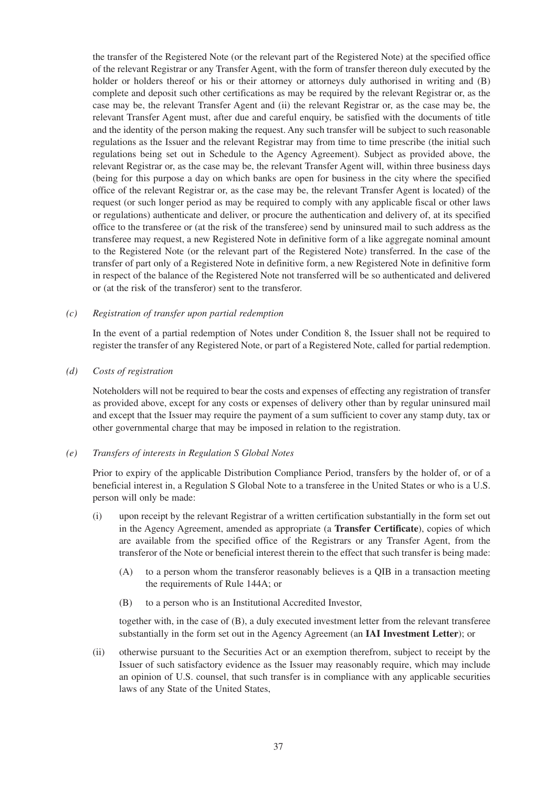the transfer of the Registered Note (or the relevant part of the Registered Note) at the specified office of the relevant Registrar or any Transfer Agent, with the form of transfer thereon duly executed by the holder or holders thereof or his or their attorney or attorneys duly authorised in writing and (B) complete and deposit such other certifications as may be required by the relevant Registrar or, as the case may be, the relevant Transfer Agent and (ii) the relevant Registrar or, as the case may be, the relevant Transfer Agent must, after due and careful enquiry, be satisfied with the documents of title and the identity of the person making the request. Any such transfer will be subject to such reasonable regulations as the Issuer and the relevant Registrar may from time to time prescribe (the initial such regulations being set out in Schedule to the Agency Agreement). Subject as provided above, the relevant Registrar or, as the case may be, the relevant Transfer Agent will, within three business days (being for this purpose a day on which banks are open for business in the city where the specified office of the relevant Registrar or, as the case may be, the relevant Transfer Agent is located) of the request (or such longer period as may be required to comply with any applicable fiscal or other laws or regulations) authenticate and deliver, or procure the authentication and delivery of, at its specified office to the transferee or (at the risk of the transferee) send by uninsured mail to such address as the transferee may request, a new Registered Note in definitive form of a like aggregate nominal amount to the Registered Note (or the relevant part of the Registered Note) transferred. In the case of the transfer of part only of a Registered Note in definitive form, a new Registered Note in definitive form in respect of the balance of the Registered Note not transferred will be so authenticated and delivered or (at the risk of the transferor) sent to the transferor.

## *(c) Registration of transfer upon partial redemption*

In the event of a partial redemption of Notes under Condition 8, the Issuer shall not be required to register the transfer of any Registered Note, or part of a Registered Note, called for partial redemption.

#### *(d) Costs of registration*

Noteholders will not be required to bear the costs and expenses of effecting any registration of transfer as provided above, except for any costs or expenses of delivery other than by regular uninsured mail and except that the Issuer may require the payment of a sum sufficient to cover any stamp duty, tax or other governmental charge that may be imposed in relation to the registration.

#### *(e) Transfers of interests in Regulation S Global Notes*

Prior to expiry of the applicable Distribution Compliance Period, transfers by the holder of, or of a beneficial interest in, a Regulation S Global Note to a transferee in the United States or who is a U.S. person will only be made:

- (i) upon receipt by the relevant Registrar of a written certification substantially in the form set out in the Agency Agreement, amended as appropriate (a **Transfer Certificate**), copies of which are available from the specified office of the Registrars or any Transfer Agent, from the transferor of the Note or beneficial interest therein to the effect that such transfer is being made:
	- (A) to a person whom the transferor reasonably believes is a QIB in a transaction meeting the requirements of Rule 144A; or
	- (B) to a person who is an Institutional Accredited Investor,

together with, in the case of (B), a duly executed investment letter from the relevant transferee substantially in the form set out in the Agency Agreement (an **IAI Investment Letter**); or

(ii) otherwise pursuant to the Securities Act or an exemption therefrom, subject to receipt by the Issuer of such satisfactory evidence as the Issuer may reasonably require, which may include an opinion of U.S. counsel, that such transfer is in compliance with any applicable securities laws of any State of the United States,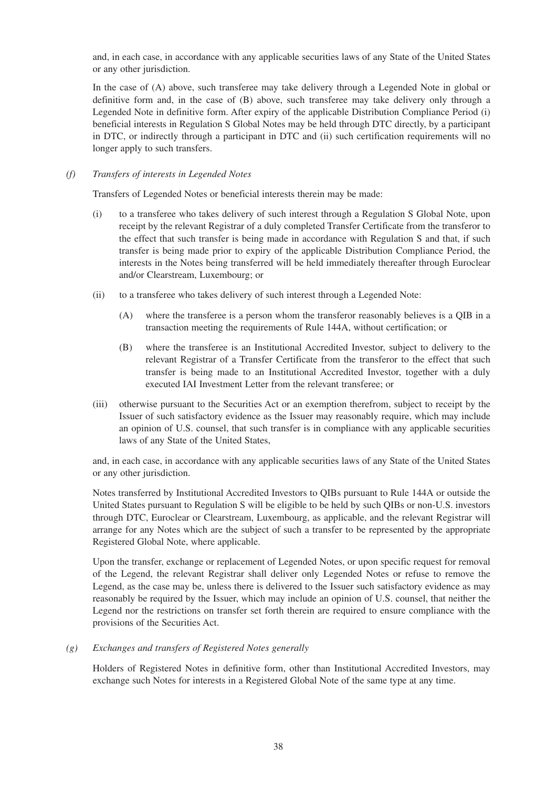and, in each case, in accordance with any applicable securities laws of any State of the United States or any other jurisdiction.

In the case of (A) above, such transferee may take delivery through a Legended Note in global or definitive form and, in the case of (B) above, such transferee may take delivery only through a Legended Note in definitive form. After expiry of the applicable Distribution Compliance Period (i) beneficial interests in Regulation S Global Notes may be held through DTC directly, by a participant in DTC, or indirectly through a participant in DTC and (ii) such certification requirements will no longer apply to such transfers.

# *(f) Transfers of interests in Legended Notes*

Transfers of Legended Notes or beneficial interests therein may be made:

- (i) to a transferee who takes delivery of such interest through a Regulation S Global Note, upon receipt by the relevant Registrar of a duly completed Transfer Certificate from the transferor to the effect that such transfer is being made in accordance with Regulation S and that, if such transfer is being made prior to expiry of the applicable Distribution Compliance Period, the interests in the Notes being transferred will be held immediately thereafter through Euroclear and/or Clearstream, Luxembourg; or
- (ii) to a transferee who takes delivery of such interest through a Legended Note:
	- (A) where the transferee is a person whom the transferor reasonably believes is a QIB in a transaction meeting the requirements of Rule 144A, without certification; or
	- (B) where the transferee is an Institutional Accredited Investor, subject to delivery to the relevant Registrar of a Transfer Certificate from the transferor to the effect that such transfer is being made to an Institutional Accredited Investor, together with a duly executed IAI Investment Letter from the relevant transferee; or
- (iii) otherwise pursuant to the Securities Act or an exemption therefrom, subject to receipt by the Issuer of such satisfactory evidence as the Issuer may reasonably require, which may include an opinion of U.S. counsel, that such transfer is in compliance with any applicable securities laws of any State of the United States,

and, in each case, in accordance with any applicable securities laws of any State of the United States or any other jurisdiction.

Notes transferred by Institutional Accredited Investors to QIBs pursuant to Rule 144A or outside the United States pursuant to Regulation S will be eligible to be held by such QIBs or non-U.S. investors through DTC, Euroclear or Clearstream, Luxembourg, as applicable, and the relevant Registrar will arrange for any Notes which are the subject of such a transfer to be represented by the appropriate Registered Global Note, where applicable.

Upon the transfer, exchange or replacement of Legended Notes, or upon specific request for removal of the Legend, the relevant Registrar shall deliver only Legended Notes or refuse to remove the Legend, as the case may be, unless there is delivered to the Issuer such satisfactory evidence as may reasonably be required by the Issuer, which may include an opinion of U.S. counsel, that neither the Legend nor the restrictions on transfer set forth therein are required to ensure compliance with the provisions of the Securities Act.

*(g) Exchanges and transfers of Registered Notes generally* 

Holders of Registered Notes in definitive form, other than Institutional Accredited Investors, may exchange such Notes for interests in a Registered Global Note of the same type at any time.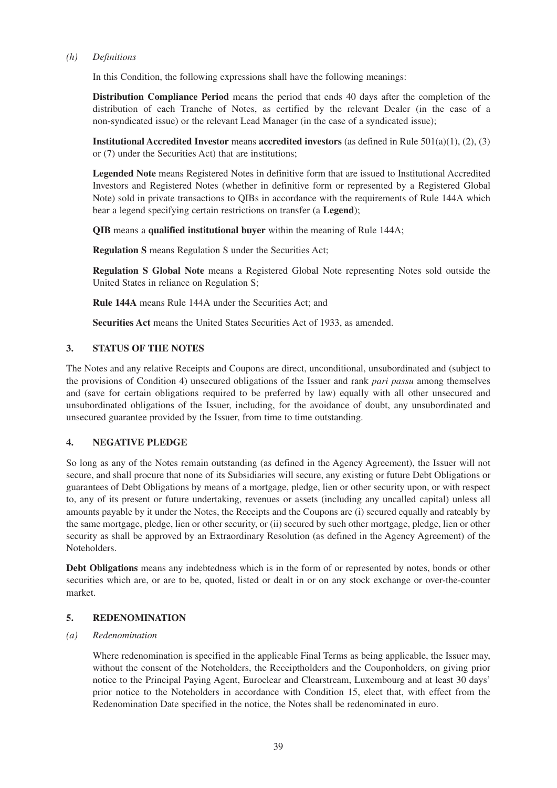#### *(h) Definitions*

In this Condition, the following expressions shall have the following meanings:

**Distribution Compliance Period** means the period that ends 40 days after the completion of the distribution of each Tranche of Notes, as certified by the relevant Dealer (in the case of a non-syndicated issue) or the relevant Lead Manager (in the case of a syndicated issue);

**Institutional Accredited Investor** means **accredited investors** (as defined in Rule 501(a)(1), (2), (3) or (7) under the Securities Act) that are institutions;

**Legended Note** means Registered Notes in definitive form that are issued to Institutional Accredited Investors and Registered Notes (whether in definitive form or represented by a Registered Global Note) sold in private transactions to QIBs in accordance with the requirements of Rule 144A which bear a legend specifying certain restrictions on transfer (a **Legend**);

**QIB** means a **qualified institutional buyer** within the meaning of Rule 144A;

**Regulation S** means Regulation S under the Securities Act;

**Regulation S Global Note** means a Registered Global Note representing Notes sold outside the United States in reliance on Regulation S;

**Rule 144A** means Rule 144A under the Securities Act; and

**Securities Act** means the United States Securities Act of 1933, as amended.

# **3. STATUS OF THE NOTES**

The Notes and any relative Receipts and Coupons are direct, unconditional, unsubordinated and (subject to the provisions of Condition 4) unsecured obligations of the Issuer and rank *pari passu* among themselves and (save for certain obligations required to be preferred by law) equally with all other unsecured and unsubordinated obligations of the Issuer, including, for the avoidance of doubt, any unsubordinated and unsecured guarantee provided by the Issuer, from time to time outstanding.

## **4. NEGATIVE PLEDGE**

So long as any of the Notes remain outstanding (as defined in the Agency Agreement), the Issuer will not secure, and shall procure that none of its Subsidiaries will secure, any existing or future Debt Obligations or guarantees of Debt Obligations by means of a mortgage, pledge, lien or other security upon, or with respect to, any of its present or future undertaking, revenues or assets (including any uncalled capital) unless all amounts payable by it under the Notes, the Receipts and the Coupons are (i) secured equally and rateably by the same mortgage, pledge, lien or other security, or (ii) secured by such other mortgage, pledge, lien or other security as shall be approved by an Extraordinary Resolution (as defined in the Agency Agreement) of the Noteholders.

**Debt Obligations** means any indebtedness which is in the form of or represented by notes, bonds or other securities which are, or are to be, quoted, listed or dealt in or on any stock exchange or over-the-counter market.

## **5. REDENOMINATION**

#### *(a) Redenomination*

Where redenomination is specified in the applicable Final Terms as being applicable, the Issuer may, without the consent of the Noteholders, the Receiptholders and the Couponholders, on giving prior notice to the Principal Paying Agent, Euroclear and Clearstream, Luxembourg and at least 30 days' prior notice to the Noteholders in accordance with Condition 15, elect that, with effect from the Redenomination Date specified in the notice, the Notes shall be redenominated in euro.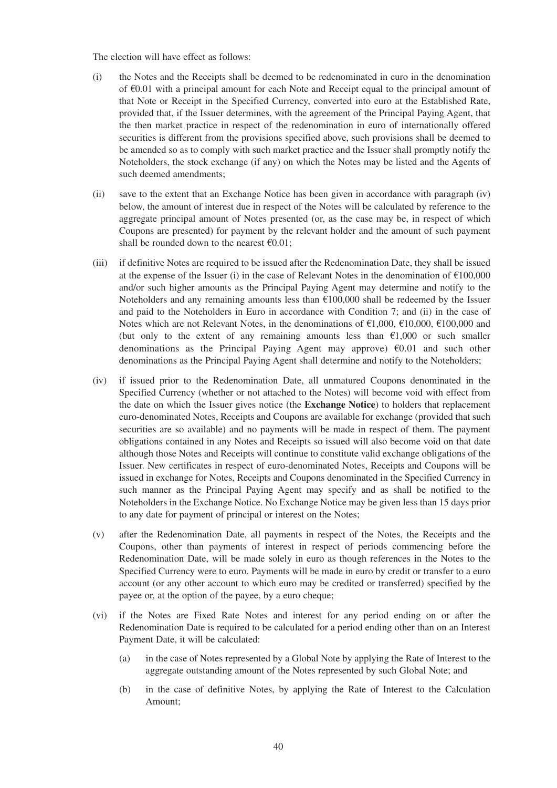The election will have effect as follows:

- (i) the Notes and the Receipts shall be deemed to be redenominated in euro in the denomination of €0.01 with a principal amount for each Note and Receipt equal to the principal amount of that Note or Receipt in the Specified Currency, converted into euro at the Established Rate, provided that, if the Issuer determines, with the agreement of the Principal Paying Agent, that the then market practice in respect of the redenomination in euro of internationally offered securities is different from the provisions specified above, such provisions shall be deemed to be amended so as to comply with such market practice and the Issuer shall promptly notify the Noteholders, the stock exchange (if any) on which the Notes may be listed and the Agents of such deemed amendments;
- (ii) save to the extent that an Exchange Notice has been given in accordance with paragraph (iv) below, the amount of interest due in respect of the Notes will be calculated by reference to the aggregate principal amount of Notes presented (or, as the case may be, in respect of which Coupons are presented) for payment by the relevant holder and the amount of such payment shall be rounded down to the nearest  $\epsilon 0.01$ ;
- (iii) if definitive Notes are required to be issued after the Redenomination Date, they shall be issued at the expense of the Issuer (i) in the case of Relevant Notes in the denomination of  $\text{\textsterling}100,000$ and/or such higher amounts as the Principal Paying Agent may determine and notify to the Noteholders and any remaining amounts less than  $\epsilon$ 100,000 shall be redeemed by the Issuer and paid to the Noteholders in Euro in accordance with Condition 7; and (ii) in the case of Notes which are not Relevant Notes, in the denominations of  $\epsilon$ 1,000,  $\epsilon$ 10,000,  $\epsilon$ 100,000 and (but only to the extent of any remaining amounts less than  $\epsilon$ 1,000 or such smaller denominations as the Principal Paying Agent may approve)  $\epsilon$ 0.01 and such other denominations as the Principal Paying Agent shall determine and notify to the Noteholders;
- (iv) if issued prior to the Redenomination Date, all unmatured Coupons denominated in the Specified Currency (whether or not attached to the Notes) will become void with effect from the date on which the Issuer gives notice (the **Exchange Notice**) to holders that replacement euro-denominated Notes, Receipts and Coupons are available for exchange (provided that such securities are so available) and no payments will be made in respect of them. The payment obligations contained in any Notes and Receipts so issued will also become void on that date although those Notes and Receipts will continue to constitute valid exchange obligations of the Issuer. New certificates in respect of euro-denominated Notes, Receipts and Coupons will be issued in exchange for Notes, Receipts and Coupons denominated in the Specified Currency in such manner as the Principal Paying Agent may specify and as shall be notified to the Noteholders in the Exchange Notice. No Exchange Notice may be given less than 15 days prior to any date for payment of principal or interest on the Notes;
- (v) after the Redenomination Date, all payments in respect of the Notes, the Receipts and the Coupons, other than payments of interest in respect of periods commencing before the Redenomination Date, will be made solely in euro as though references in the Notes to the Specified Currency were to euro. Payments will be made in euro by credit or transfer to a euro account (or any other account to which euro may be credited or transferred) specified by the payee or, at the option of the payee, by a euro cheque;
- (vi) if the Notes are Fixed Rate Notes and interest for any period ending on or after the Redenomination Date is required to be calculated for a period ending other than on an Interest Payment Date, it will be calculated:
	- (a) in the case of Notes represented by a Global Note by applying the Rate of Interest to the aggregate outstanding amount of the Notes represented by such Global Note; and
	- (b) in the case of definitive Notes, by applying the Rate of Interest to the Calculation Amount;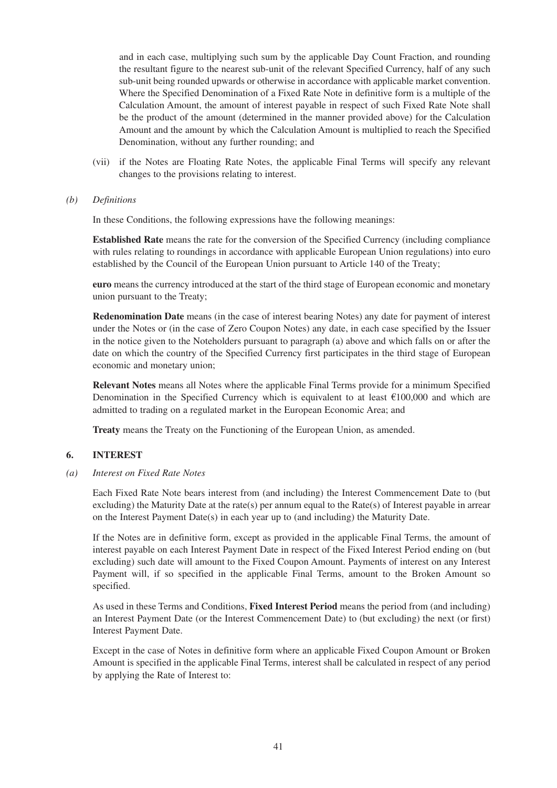and in each case, multiplying such sum by the applicable Day Count Fraction, and rounding the resultant figure to the nearest sub-unit of the relevant Specified Currency, half of any such sub-unit being rounded upwards or otherwise in accordance with applicable market convention. Where the Specified Denomination of a Fixed Rate Note in definitive form is a multiple of the Calculation Amount, the amount of interest payable in respect of such Fixed Rate Note shall be the product of the amount (determined in the manner provided above) for the Calculation Amount and the amount by which the Calculation Amount is multiplied to reach the Specified Denomination, without any further rounding; and

- (vii) if the Notes are Floating Rate Notes, the applicable Final Terms will specify any relevant changes to the provisions relating to interest.
- *(b) Definitions*

In these Conditions, the following expressions have the following meanings:

**Established Rate** means the rate for the conversion of the Specified Currency (including compliance with rules relating to roundings in accordance with applicable European Union regulations) into euro established by the Council of the European Union pursuant to Article 140 of the Treaty;

**euro** means the currency introduced at the start of the third stage of European economic and monetary union pursuant to the Treaty;

**Redenomination Date** means (in the case of interest bearing Notes) any date for payment of interest under the Notes or (in the case of Zero Coupon Notes) any date, in each case specified by the Issuer in the notice given to the Noteholders pursuant to paragraph (a) above and which falls on or after the date on which the country of the Specified Currency first participates in the third stage of European economic and monetary union;

**Relevant Notes** means all Notes where the applicable Final Terms provide for a minimum Specified Denomination in the Specified Currency which is equivalent to at least €100,000 and which are admitted to trading on a regulated market in the European Economic Area; and

**Treaty** means the Treaty on the Functioning of the European Union, as amended.

## **6. INTEREST**

*(a) Interest on Fixed Rate Notes* 

Each Fixed Rate Note bears interest from (and including) the Interest Commencement Date to (but excluding) the Maturity Date at the rate(s) per annum equal to the Rate(s) of Interest payable in arrear on the Interest Payment Date(s) in each year up to (and including) the Maturity Date.

If the Notes are in definitive form, except as provided in the applicable Final Terms, the amount of interest payable on each Interest Payment Date in respect of the Fixed Interest Period ending on (but excluding) such date will amount to the Fixed Coupon Amount. Payments of interest on any Interest Payment will, if so specified in the applicable Final Terms, amount to the Broken Amount so specified.

As used in these Terms and Conditions, **Fixed Interest Period** means the period from (and including) an Interest Payment Date (or the Interest Commencement Date) to (but excluding) the next (or first) Interest Payment Date.

Except in the case of Notes in definitive form where an applicable Fixed Coupon Amount or Broken Amount is specified in the applicable Final Terms, interest shall be calculated in respect of any period by applying the Rate of Interest to: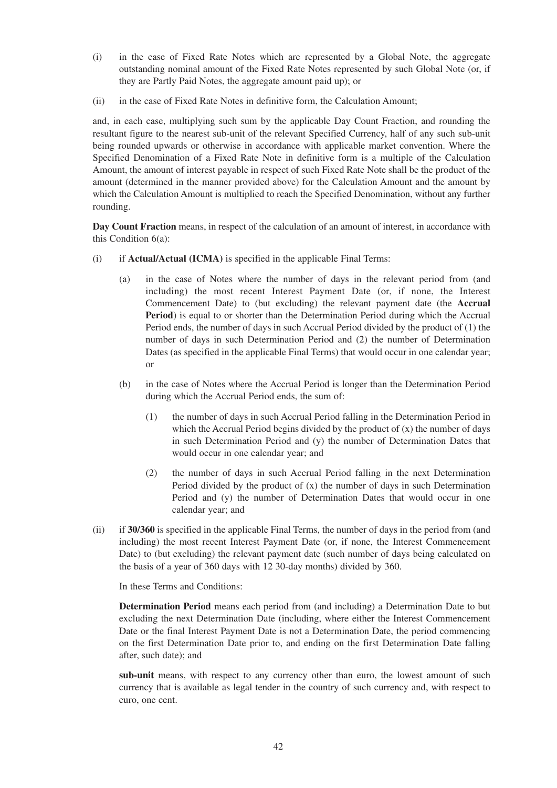- (i) in the case of Fixed Rate Notes which are represented by a Global Note, the aggregate outstanding nominal amount of the Fixed Rate Notes represented by such Global Note (or, if they are Partly Paid Notes, the aggregate amount paid up); or
- (ii) in the case of Fixed Rate Notes in definitive form, the Calculation Amount;

and, in each case, multiplying such sum by the applicable Day Count Fraction, and rounding the resultant figure to the nearest sub-unit of the relevant Specified Currency, half of any such sub-unit being rounded upwards or otherwise in accordance with applicable market convention. Where the Specified Denomination of a Fixed Rate Note in definitive form is a multiple of the Calculation Amount, the amount of interest payable in respect of such Fixed Rate Note shall be the product of the amount (determined in the manner provided above) for the Calculation Amount and the amount by which the Calculation Amount is multiplied to reach the Specified Denomination, without any further rounding.

**Day Count Fraction** means, in respect of the calculation of an amount of interest, in accordance with this Condition 6(a):

- (i) if **Actual/Actual (ICMA)** is specified in the applicable Final Terms:
	- (a) in the case of Notes where the number of days in the relevant period from (and including) the most recent Interest Payment Date (or, if none, the Interest Commencement Date) to (but excluding) the relevant payment date (the **Accrual Period**) is equal to or shorter than the Determination Period during which the Accrual Period ends, the number of days in such Accrual Period divided by the product of (1) the number of days in such Determination Period and (2) the number of Determination Dates (as specified in the applicable Final Terms) that would occur in one calendar year; or
	- (b) in the case of Notes where the Accrual Period is longer than the Determination Period during which the Accrual Period ends, the sum of:
		- (1) the number of days in such Accrual Period falling in the Determination Period in which the Accrual Period begins divided by the product of  $(x)$  the number of days in such Determination Period and (y) the number of Determination Dates that would occur in one calendar year; and
		- (2) the number of days in such Accrual Period falling in the next Determination Period divided by the product of  $(x)$  the number of days in such Determination Period and (y) the number of Determination Dates that would occur in one calendar year; and
- (ii) if **30/360** is specified in the applicable Final Terms, the number of days in the period from (and including) the most recent Interest Payment Date (or, if none, the Interest Commencement Date) to (but excluding) the relevant payment date (such number of days being calculated on the basis of a year of 360 days with 12 30-day months) divided by 360.

In these Terms and Conditions:

**Determination Period** means each period from (and including) a Determination Date to but excluding the next Determination Date (including, where either the Interest Commencement Date or the final Interest Payment Date is not a Determination Date, the period commencing on the first Determination Date prior to, and ending on the first Determination Date falling after, such date); and

**sub-unit** means, with respect to any currency other than euro, the lowest amount of such currency that is available as legal tender in the country of such currency and, with respect to euro, one cent.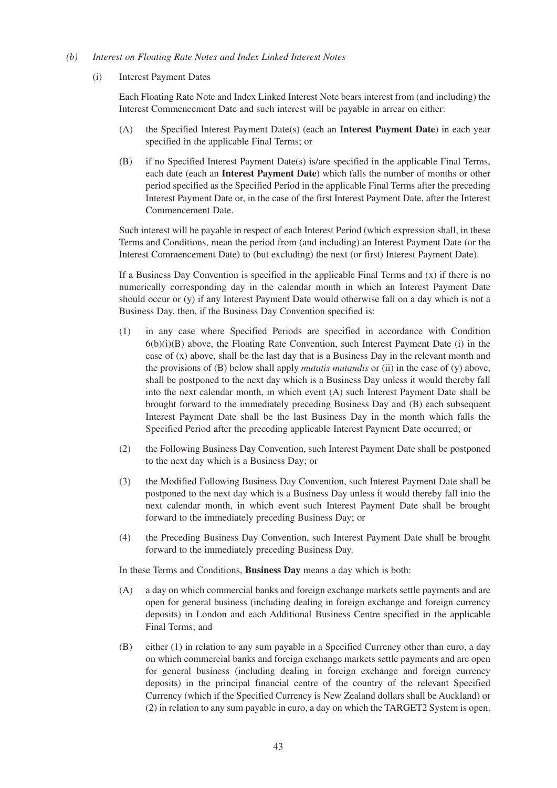#### *(b) Interest on Floating Rate Notes and Index Linked Interest Notes*

(i) Interest Payment Dates

Each Floating Rate Note and Index Linked Interest Note bears interest from (and including) the Interest Commencement Date and such interest will be payable in arrear on either:

- (A) the Specified Interest Payment Date(s) (each an **Interest Payment Date**) in each year specified in the applicable Final Terms; or
- (B) if no Specified Interest Payment Date(s) is/are specified in the applicable Final Terms, each date (each an **Interest Payment Date**) which falls the number of months or other period specified as the Specified Period in the applicable Final Terms after the preceding Interest Payment Date or, in the case of the first Interest Payment Date, after the Interest Commencement Date.

Such interest will be payable in respect of each Interest Period (which expression shall, in these Terms and Conditions, mean the period from (and including) an Interest Payment Date (or the Interest Commencement Date) to (but excluding) the next (or first) Interest Payment Date).

If a Business Day Convention is specified in the applicable Final Terms and  $(x)$  if there is no numerically corresponding day in the calendar month in which an Interest Payment Date should occur or (y) if any Interest Payment Date would otherwise fall on a day which is not a Business Day, then, if the Business Day Convention specified is:

- (1) in any case where Specified Periods are specified in accordance with Condition  $6(b)(i)(B)$  above, the Floating Rate Convention, such Interest Payment Date (i) in the case of  $(x)$  above, shall be the last day that is a Business Day in the relevant month and the provisions of (B) below shall apply *mutatis mutandis* or (ii) in the case of (y) above, shall be postponed to the next day which is a Business Day unless it would thereby fall into the next calendar month, in which event (A) such Interest Payment Date shall be brought forward to the immediately preceding Business Day and (B) each subsequent Interest Payment Date shall be the last Business Day in the month which falls the Specified Period after the preceding applicable Interest Payment Date occurred; or
- (2) the Following Business Day Convention, such Interest Payment Date shall be postponed to the next day which is a Business Day; or
- (3) the Modified Following Business Day Convention, such Interest Payment Date shall be postponed to the next day which is a Business Day unless it would thereby fall into the next calendar month, in which event such Interest Payment Date shall be brought forward to the immediately preceding Business Day; or
- (4) the Preceding Business Day Convention, such Interest Payment Date shall be brought forward to the immediately preceding Business Day.

In these Terms and Conditions, **Business Day** means a day which is both:

- (A) a day on which commercial banks and foreign exchange markets settle payments and are open for general business (including dealing in foreign exchange and foreign currency deposits) in London and each Additional Business Centre specified in the applicable Final Terms; and
- (B) either (1) in relation to any sum payable in a Specified Currency other than euro, a day on which commercial banks and foreign exchange markets settle payments and are open for general business (including dealing in foreign exchange and foreign currency deposits) in the principal financial centre of the country of the relevant Specified Currency (which if the Specified Currency is New Zealand dollars shall be Auckland) or (2) in relation to any sum payable in euro, a day on which the TARGET2 System is open.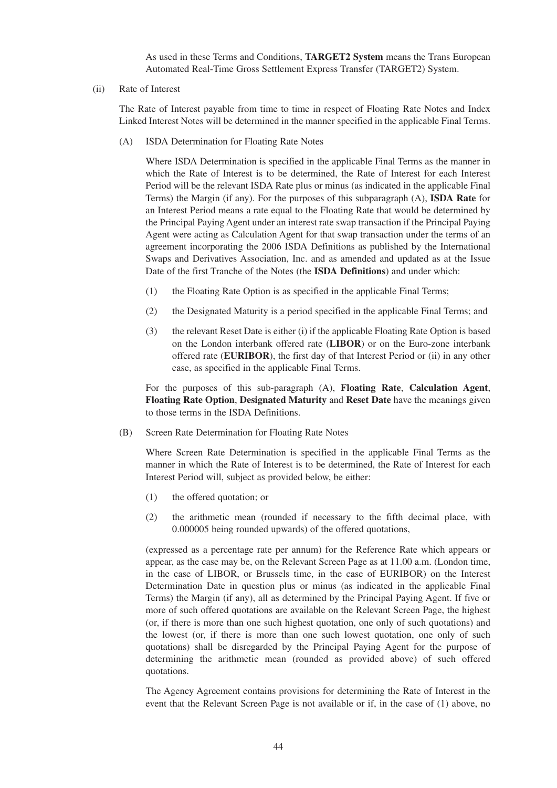As used in these Terms and Conditions, **TARGET2 System** means the Trans European Automated Real-Time Gross Settlement Express Transfer (TARGET2) System.

(ii) Rate of Interest

The Rate of Interest payable from time to time in respect of Floating Rate Notes and Index Linked Interest Notes will be determined in the manner specified in the applicable Final Terms.

(A) ISDA Determination for Floating Rate Notes

Where ISDA Determination is specified in the applicable Final Terms as the manner in which the Rate of Interest is to be determined, the Rate of Interest for each Interest Period will be the relevant ISDA Rate plus or minus (as indicated in the applicable Final Terms) the Margin (if any). For the purposes of this subparagraph (A), **ISDA Rate** for an Interest Period means a rate equal to the Floating Rate that would be determined by the Principal Paying Agent under an interest rate swap transaction if the Principal Paying Agent were acting as Calculation Agent for that swap transaction under the terms of an agreement incorporating the 2006 ISDA Definitions as published by the International Swaps and Derivatives Association, Inc. and as amended and updated as at the Issue Date of the first Tranche of the Notes (the **ISDA Definitions**) and under which:

- (1) the Floating Rate Option is as specified in the applicable Final Terms;
- (2) the Designated Maturity is a period specified in the applicable Final Terms; and
- (3) the relevant Reset Date is either (i) if the applicable Floating Rate Option is based on the London interbank offered rate (**LIBOR**) or on the Euro-zone interbank offered rate (**EURIBOR**), the first day of that Interest Period or (ii) in any other case, as specified in the applicable Final Terms.

For the purposes of this sub-paragraph (A), **Floating Rate**, **Calculation Agent**, **Floating Rate Option**, **Designated Maturity** and **Reset Date** have the meanings given to those terms in the ISDA Definitions.

(B) Screen Rate Determination for Floating Rate Notes

Where Screen Rate Determination is specified in the applicable Final Terms as the manner in which the Rate of Interest is to be determined, the Rate of Interest for each Interest Period will, subject as provided below, be either:

- (1) the offered quotation; or
- (2) the arithmetic mean (rounded if necessary to the fifth decimal place, with 0.000005 being rounded upwards) of the offered quotations,

(expressed as a percentage rate per annum) for the Reference Rate which appears or appear, as the case may be, on the Relevant Screen Page as at 11.00 a.m. (London time, in the case of LIBOR, or Brussels time, in the case of EURIBOR) on the Interest Determination Date in question plus or minus (as indicated in the applicable Final Terms) the Margin (if any), all as determined by the Principal Paying Agent. If five or more of such offered quotations are available on the Relevant Screen Page, the highest (or, if there is more than one such highest quotation, one only of such quotations) and the lowest (or, if there is more than one such lowest quotation, one only of such quotations) shall be disregarded by the Principal Paying Agent for the purpose of determining the arithmetic mean (rounded as provided above) of such offered quotations.

The Agency Agreement contains provisions for determining the Rate of Interest in the event that the Relevant Screen Page is not available or if, in the case of (1) above, no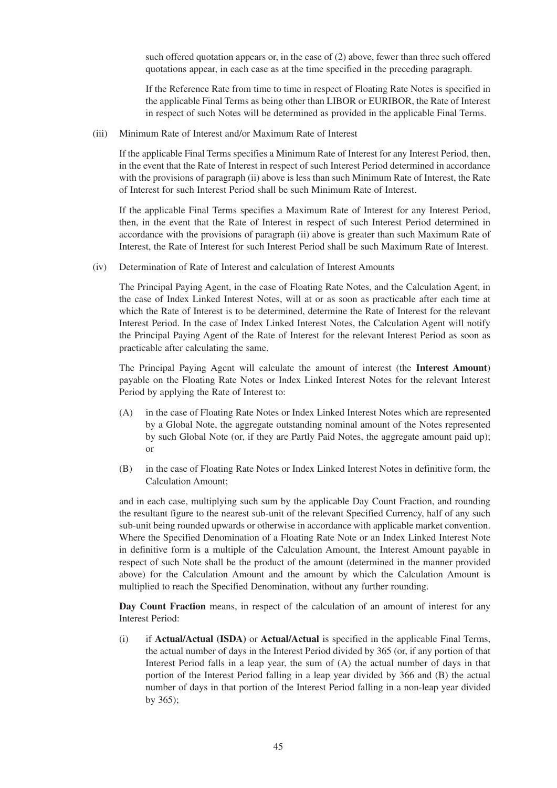such offered quotation appears or, in the case of (2) above, fewer than three such offered quotations appear, in each case as at the time specified in the preceding paragraph.

If the Reference Rate from time to time in respect of Floating Rate Notes is specified in the applicable Final Terms as being other than LIBOR or EURIBOR, the Rate of Interest in respect of such Notes will be determined as provided in the applicable Final Terms.

(iii) Minimum Rate of Interest and/or Maximum Rate of Interest

If the applicable Final Terms specifies a Minimum Rate of Interest for any Interest Period, then, in the event that the Rate of Interest in respect of such Interest Period determined in accordance with the provisions of paragraph (ii) above is less than such Minimum Rate of Interest, the Rate of Interest for such Interest Period shall be such Minimum Rate of Interest.

If the applicable Final Terms specifies a Maximum Rate of Interest for any Interest Period, then, in the event that the Rate of Interest in respect of such Interest Period determined in accordance with the provisions of paragraph (ii) above is greater than such Maximum Rate of Interest, the Rate of Interest for such Interest Period shall be such Maximum Rate of Interest.

(iv) Determination of Rate of Interest and calculation of Interest Amounts

The Principal Paying Agent, in the case of Floating Rate Notes, and the Calculation Agent, in the case of Index Linked Interest Notes, will at or as soon as practicable after each time at which the Rate of Interest is to be determined, determine the Rate of Interest for the relevant Interest Period. In the case of Index Linked Interest Notes, the Calculation Agent will notify the Principal Paying Agent of the Rate of Interest for the relevant Interest Period as soon as practicable after calculating the same.

The Principal Paying Agent will calculate the amount of interest (the **Interest Amount**) payable on the Floating Rate Notes or Index Linked Interest Notes for the relevant Interest Period by applying the Rate of Interest to:

- (A) in the case of Floating Rate Notes or Index Linked Interest Notes which are represented by a Global Note, the aggregate outstanding nominal amount of the Notes represented by such Global Note (or, if they are Partly Paid Notes, the aggregate amount paid up); or
- (B) in the case of Floating Rate Notes or Index Linked Interest Notes in definitive form, the Calculation Amount;

and in each case, multiplying such sum by the applicable Day Count Fraction, and rounding the resultant figure to the nearest sub-unit of the relevant Specified Currency, half of any such sub-unit being rounded upwards or otherwise in accordance with applicable market convention. Where the Specified Denomination of a Floating Rate Note or an Index Linked Interest Note in definitive form is a multiple of the Calculation Amount, the Interest Amount payable in respect of such Note shall be the product of the amount (determined in the manner provided above) for the Calculation Amount and the amount by which the Calculation Amount is multiplied to reach the Specified Denomination, without any further rounding.

**Day Count Fraction** means, in respect of the calculation of an amount of interest for any Interest Period:

(i) if **Actual/Actual (ISDA)** or **Actual/Actual** is specified in the applicable Final Terms, the actual number of days in the Interest Period divided by 365 (or, if any portion of that Interest Period falls in a leap year, the sum of (A) the actual number of days in that portion of the Interest Period falling in a leap year divided by 366 and (B) the actual number of days in that portion of the Interest Period falling in a non-leap year divided by 365);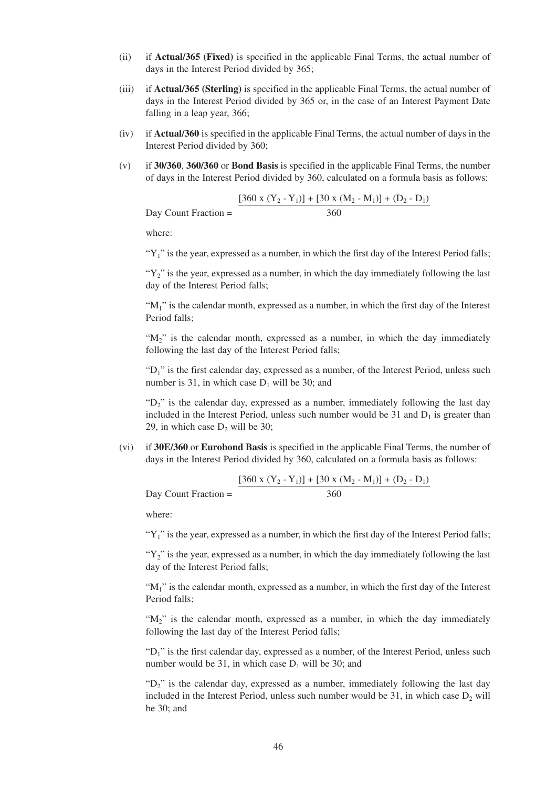- (ii) if **Actual/365 (Fixed)** is specified in the applicable Final Terms, the actual number of days in the Interest Period divided by 365;
- (iii) if **Actual/365 (Sterling)** is specified in the applicable Final Terms, the actual number of days in the Interest Period divided by 365 or, in the case of an Interest Payment Date falling in a leap year, 366;
- (iv) if **Actual/360** is specified in the applicable Final Terms, the actual number of days in the Interest Period divided by 360;
- (v) if **30/360**, **360/360** or **Bond Basis** is specified in the applicable Final Terms, the number of days in the Interest Period divided by 360, calculated on a formula basis as follows:

$$
Day Count Fraction = \frac{[360 \times (Y_2 - Y_1)] + [30 \times (M_2 - M_1)] + (D_2 - D_1)}{360}
$$

where:

" $Y_1$ " is the year, expressed as a number, in which the first day of the Interest Period falls;

" $Y_2$ " is the year, expressed as a number, in which the day immediately following the last day of the Interest Period falls;

" $M_1$ " is the calendar month, expressed as a number, in which the first day of the Interest Period falls;

" $M_2$ " is the calendar month, expressed as a number, in which the day immediately following the last day of the Interest Period falls;

"D<sub>1</sub>" is the first calendar day, expressed as a number, of the Interest Period, unless such number is 31, in which case  $D_1$  will be 30; and

"D<sub>2</sub>" is the calendar day, expressed as a number, immediately following the last day included in the Interest Period, unless such number would be  $31$  and  $D_1$  is greater than 29, in which case  $D_2$  will be 30;

(vi) if **30E/360** or **Eurobond Basis** is specified in the applicable Final Terms, the number of days in the Interest Period divided by 360, calculated on a formula basis as follows:

$$
Day Count Fraction = \frac{[360 \times (Y_2 - Y_1)] + [30 \times (M_2 - M_1)] + (D_2 - D_1)}{360}
$$

where:

" $Y_1$ " is the year, expressed as a number, in which the first day of the Interest Period falls;

" $Y_2$ " is the year, expressed as a number, in which the day immediately following the last day of the Interest Period falls;

" $M_1$ " is the calendar month, expressed as a number, in which the first day of the Interest Period falls;

" $M_2$ " is the calendar month, expressed as a number, in which the day immediately following the last day of the Interest Period falls;

"D<sub>1</sub>" is the first calendar day, expressed as a number, of the Interest Period, unless such number would be 31, in which case  $D_1$  will be 30; and

" $D_2$ " is the calendar day, expressed as a number, immediately following the last day included in the Interest Period, unless such number would be  $31$ , in which case  $D_2$  will be 30; and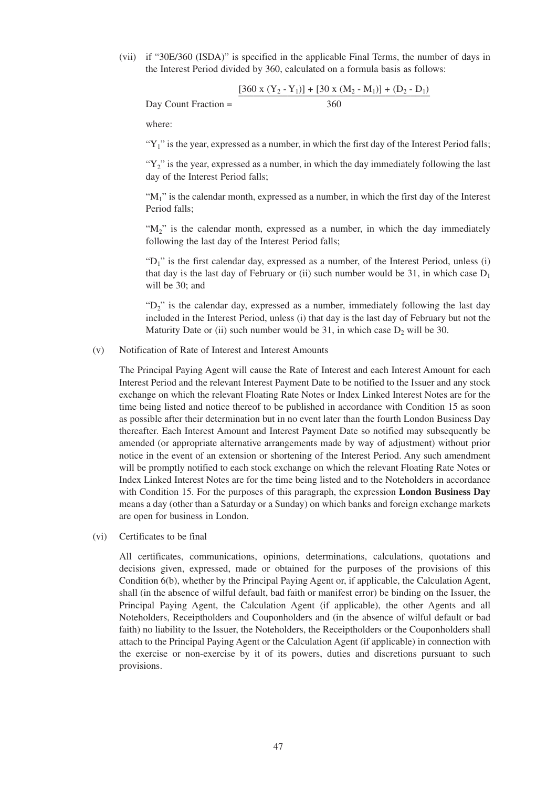(vii) if "30E/360 (ISDA)" is specified in the applicable Final Terms, the number of days in the Interest Period divided by 360, calculated on a formula basis as follows:

$$
Day Count Fraction = \frac{[360 \times (Y_2 - Y_1)] + [30 \times (M_2 - M_1)] + (D_2 - D_1)}{360}
$$

where:

" $Y_1$ " is the year, expressed as a number, in which the first day of the Interest Period falls;

" $Y_2$ " is the year, expressed as a number, in which the day immediately following the last day of the Interest Period falls;

" $M_1$ " is the calendar month, expressed as a number, in which the first day of the Interest Period falls;

" $M_2$ " is the calendar month, expressed as a number, in which the day immediately following the last day of the Interest Period falls;

"D<sub>1</sub>" is the first calendar day, expressed as a number, of the Interest Period, unless (i) that day is the last day of February or (ii) such number would be 31, in which case  $D_1$ will be 30; and

" $D_2$ " is the calendar day, expressed as a number, immediately following the last day included in the Interest Period, unless (i) that day is the last day of February but not the Maturity Date or (ii) such number would be 31, in which case  $D_2$  will be 30.

#### (v) Notification of Rate of Interest and Interest Amounts

The Principal Paying Agent will cause the Rate of Interest and each Interest Amount for each Interest Period and the relevant Interest Payment Date to be notified to the Issuer and any stock exchange on which the relevant Floating Rate Notes or Index Linked Interest Notes are for the time being listed and notice thereof to be published in accordance with Condition 15 as soon as possible after their determination but in no event later than the fourth London Business Day thereafter. Each Interest Amount and Interest Payment Date so notified may subsequently be amended (or appropriate alternative arrangements made by way of adjustment) without prior notice in the event of an extension or shortening of the Interest Period. Any such amendment will be promptly notified to each stock exchange on which the relevant Floating Rate Notes or Index Linked Interest Notes are for the time being listed and to the Noteholders in accordance with Condition 15. For the purposes of this paragraph, the expression **London Business Day** means a day (other than a Saturday or a Sunday) on which banks and foreign exchange markets are open for business in London.

(vi) Certificates to be final

All certificates, communications, opinions, determinations, calculations, quotations and decisions given, expressed, made or obtained for the purposes of the provisions of this Condition 6(b), whether by the Principal Paying Agent or, if applicable, the Calculation Agent, shall (in the absence of wilful default, bad faith or manifest error) be binding on the Issuer, the Principal Paying Agent, the Calculation Agent (if applicable), the other Agents and all Noteholders, Receiptholders and Couponholders and (in the absence of wilful default or bad faith) no liability to the Issuer, the Noteholders, the Receiptholders or the Couponholders shall attach to the Principal Paying Agent or the Calculation Agent (if applicable) in connection with the exercise or non-exercise by it of its powers, duties and discretions pursuant to such provisions.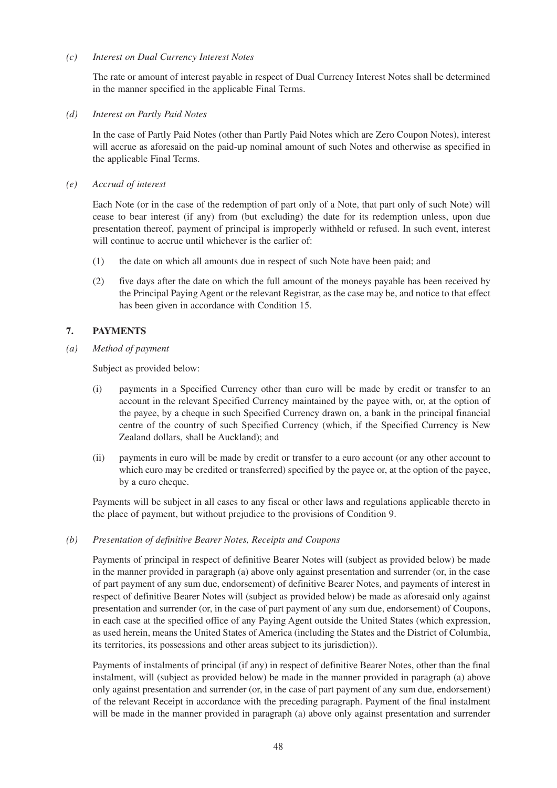#### *(c) Interest on Dual Currency Interest Notes*

The rate or amount of interest payable in respect of Dual Currency Interest Notes shall be determined in the manner specified in the applicable Final Terms.

#### *(d) Interest on Partly Paid Notes*

In the case of Partly Paid Notes (other than Partly Paid Notes which are Zero Coupon Notes), interest will accrue as aforesaid on the paid-up nominal amount of such Notes and otherwise as specified in the applicable Final Terms.

*(e) Accrual of interest* 

Each Note (or in the case of the redemption of part only of a Note, that part only of such Note) will cease to bear interest (if any) from (but excluding) the date for its redemption unless, upon due presentation thereof, payment of principal is improperly withheld or refused. In such event, interest will continue to accrue until whichever is the earlier of:

- (1) the date on which all amounts due in respect of such Note have been paid; and
- (2) five days after the date on which the full amount of the moneys payable has been received by the Principal Paying Agent or the relevant Registrar, as the case may be, and notice to that effect has been given in accordance with Condition 15.

# **7. PAYMENTS**

*(a) Method of payment* 

Subject as provided below:

- (i) payments in a Specified Currency other than euro will be made by credit or transfer to an account in the relevant Specified Currency maintained by the payee with, or, at the option of the payee, by a cheque in such Specified Currency drawn on, a bank in the principal financial centre of the country of such Specified Currency (which, if the Specified Currency is New Zealand dollars, shall be Auckland); and
- (ii) payments in euro will be made by credit or transfer to a euro account (or any other account to which euro may be credited or transferred) specified by the payee or, at the option of the payee, by a euro cheque.

Payments will be subject in all cases to any fiscal or other laws and regulations applicable thereto in the place of payment, but without prejudice to the provisions of Condition 9.

#### *(b) Presentation of definitive Bearer Notes, Receipts and Coupons*

Payments of principal in respect of definitive Bearer Notes will (subject as provided below) be made in the manner provided in paragraph (a) above only against presentation and surrender (or, in the case of part payment of any sum due, endorsement) of definitive Bearer Notes, and payments of interest in respect of definitive Bearer Notes will (subject as provided below) be made as aforesaid only against presentation and surrender (or, in the case of part payment of any sum due, endorsement) of Coupons, in each case at the specified office of any Paying Agent outside the United States (which expression, as used herein, means the United States of America (including the States and the District of Columbia, its territories, its possessions and other areas subject to its jurisdiction)).

Payments of instalments of principal (if any) in respect of definitive Bearer Notes, other than the final instalment, will (subject as provided below) be made in the manner provided in paragraph (a) above only against presentation and surrender (or, in the case of part payment of any sum due, endorsement) of the relevant Receipt in accordance with the preceding paragraph. Payment of the final instalment will be made in the manner provided in paragraph (a) above only against presentation and surrender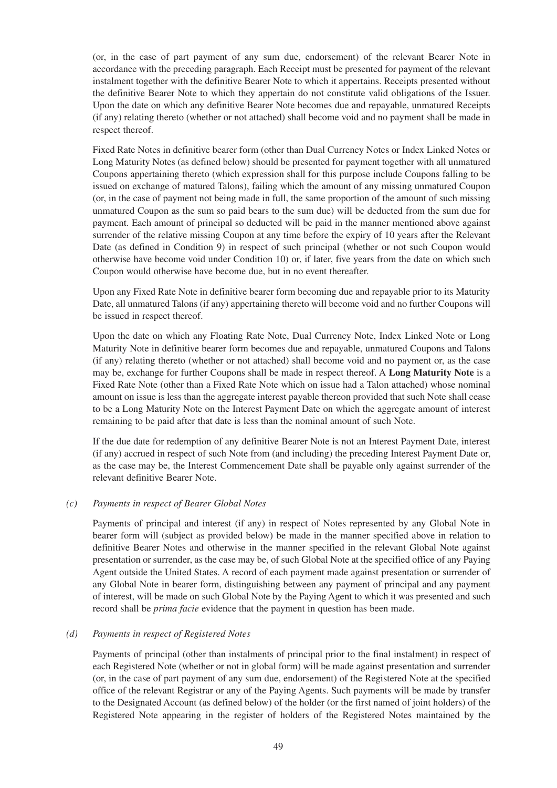(or, in the case of part payment of any sum due, endorsement) of the relevant Bearer Note in accordance with the preceding paragraph. Each Receipt must be presented for payment of the relevant instalment together with the definitive Bearer Note to which it appertains. Receipts presented without the definitive Bearer Note to which they appertain do not constitute valid obligations of the Issuer. Upon the date on which any definitive Bearer Note becomes due and repayable, unmatured Receipts (if any) relating thereto (whether or not attached) shall become void and no payment shall be made in respect thereof.

Fixed Rate Notes in definitive bearer form (other than Dual Currency Notes or Index Linked Notes or Long Maturity Notes (as defined below) should be presented for payment together with all unmatured Coupons appertaining thereto (which expression shall for this purpose include Coupons falling to be issued on exchange of matured Talons), failing which the amount of any missing unmatured Coupon (or, in the case of payment not being made in full, the same proportion of the amount of such missing unmatured Coupon as the sum so paid bears to the sum due) will be deducted from the sum due for payment. Each amount of principal so deducted will be paid in the manner mentioned above against surrender of the relative missing Coupon at any time before the expiry of 10 years after the Relevant Date (as defined in Condition 9) in respect of such principal (whether or not such Coupon would otherwise have become void under Condition 10) or, if later, five years from the date on which such Coupon would otherwise have become due, but in no event thereafter.

Upon any Fixed Rate Note in definitive bearer form becoming due and repayable prior to its Maturity Date, all unmatured Talons (if any) appertaining thereto will become void and no further Coupons will be issued in respect thereof.

Upon the date on which any Floating Rate Note, Dual Currency Note, Index Linked Note or Long Maturity Note in definitive bearer form becomes due and repayable, unmatured Coupons and Talons (if any) relating thereto (whether or not attached) shall become void and no payment or, as the case may be, exchange for further Coupons shall be made in respect thereof. A **Long Maturity Note** is a Fixed Rate Note (other than a Fixed Rate Note which on issue had a Talon attached) whose nominal amount on issue is less than the aggregate interest payable thereon provided that such Note shall cease to be a Long Maturity Note on the Interest Payment Date on which the aggregate amount of interest remaining to be paid after that date is less than the nominal amount of such Note.

If the due date for redemption of any definitive Bearer Note is not an Interest Payment Date, interest (if any) accrued in respect of such Note from (and including) the preceding Interest Payment Date or, as the case may be, the Interest Commencement Date shall be payable only against surrender of the relevant definitive Bearer Note.

## *(c) Payments in respect of Bearer Global Notes*

Payments of principal and interest (if any) in respect of Notes represented by any Global Note in bearer form will (subject as provided below) be made in the manner specified above in relation to definitive Bearer Notes and otherwise in the manner specified in the relevant Global Note against presentation or surrender, as the case may be, of such Global Note at the specified office of any Paying Agent outside the United States. A record of each payment made against presentation or surrender of any Global Note in bearer form, distinguishing between any payment of principal and any payment of interest, will be made on such Global Note by the Paying Agent to which it was presented and such record shall be *prima facie* evidence that the payment in question has been made.

#### *(d) Payments in respect of Registered Notes*

Payments of principal (other than instalments of principal prior to the final instalment) in respect of each Registered Note (whether or not in global form) will be made against presentation and surrender (or, in the case of part payment of any sum due, endorsement) of the Registered Note at the specified office of the relevant Registrar or any of the Paying Agents. Such payments will be made by transfer to the Designated Account (as defined below) of the holder (or the first named of joint holders) of the Registered Note appearing in the register of holders of the Registered Notes maintained by the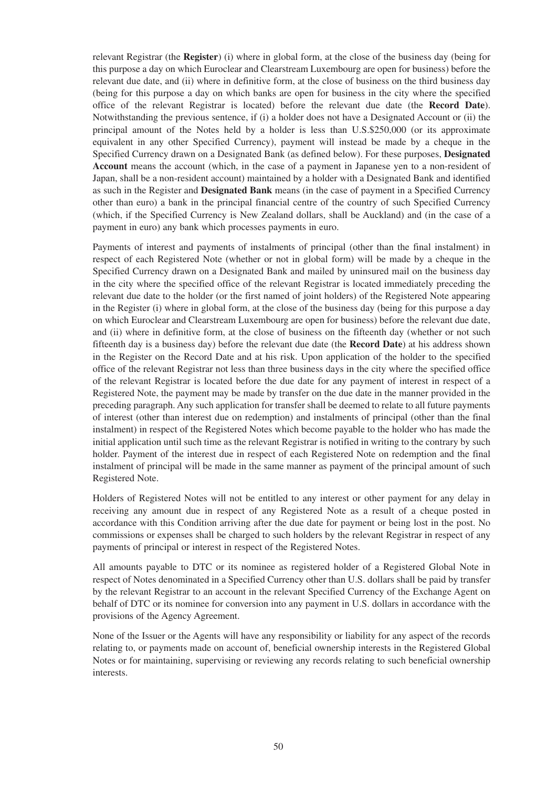relevant Registrar (the **Register**) (i) where in global form, at the close of the business day (being for this purpose a day on which Euroclear and Clearstream Luxembourg are open for business) before the relevant due date, and (ii) where in definitive form, at the close of business on the third business day (being for this purpose a day on which banks are open for business in the city where the specified office of the relevant Registrar is located) before the relevant due date (the **Record Date**). Notwithstanding the previous sentence, if (i) a holder does not have a Designated Account or (ii) the principal amount of the Notes held by a holder is less than U.S.\$250,000 (or its approximate equivalent in any other Specified Currency), payment will instead be made by a cheque in the Specified Currency drawn on a Designated Bank (as defined below). For these purposes, **Designated Account** means the account (which, in the case of a payment in Japanese yen to a non-resident of Japan, shall be a non-resident account) maintained by a holder with a Designated Bank and identified as such in the Register and **Designated Bank** means (in the case of payment in a Specified Currency other than euro) a bank in the principal financial centre of the country of such Specified Currency (which, if the Specified Currency is New Zealand dollars, shall be Auckland) and (in the case of a payment in euro) any bank which processes payments in euro.

Payments of interest and payments of instalments of principal (other than the final instalment) in respect of each Registered Note (whether or not in global form) will be made by a cheque in the Specified Currency drawn on a Designated Bank and mailed by uninsured mail on the business day in the city where the specified office of the relevant Registrar is located immediately preceding the relevant due date to the holder (or the first named of joint holders) of the Registered Note appearing in the Register (i) where in global form, at the close of the business day (being for this purpose a day on which Euroclear and Clearstream Luxembourg are open for business) before the relevant due date, and (ii) where in definitive form, at the close of business on the fifteenth day (whether or not such fifteenth day is a business day) before the relevant due date (the **Record Date**) at his address shown in the Register on the Record Date and at his risk. Upon application of the holder to the specified office of the relevant Registrar not less than three business days in the city where the specified office of the relevant Registrar is located before the due date for any payment of interest in respect of a Registered Note, the payment may be made by transfer on the due date in the manner provided in the preceding paragraph. Any such application for transfer shall be deemed to relate to all future payments of interest (other than interest due on redemption) and instalments of principal (other than the final instalment) in respect of the Registered Notes which become payable to the holder who has made the initial application until such time as the relevant Registrar is notified in writing to the contrary by such holder. Payment of the interest due in respect of each Registered Note on redemption and the final instalment of principal will be made in the same manner as payment of the principal amount of such Registered Note.

Holders of Registered Notes will not be entitled to any interest or other payment for any delay in receiving any amount due in respect of any Registered Note as a result of a cheque posted in accordance with this Condition arriving after the due date for payment or being lost in the post. No commissions or expenses shall be charged to such holders by the relevant Registrar in respect of any payments of principal or interest in respect of the Registered Notes.

All amounts payable to DTC or its nominee as registered holder of a Registered Global Note in respect of Notes denominated in a Specified Currency other than U.S. dollars shall be paid by transfer by the relevant Registrar to an account in the relevant Specified Currency of the Exchange Agent on behalf of DTC or its nominee for conversion into any payment in U.S. dollars in accordance with the provisions of the Agency Agreement.

None of the Issuer or the Agents will have any responsibility or liability for any aspect of the records relating to, or payments made on account of, beneficial ownership interests in the Registered Global Notes or for maintaining, supervising or reviewing any records relating to such beneficial ownership interests.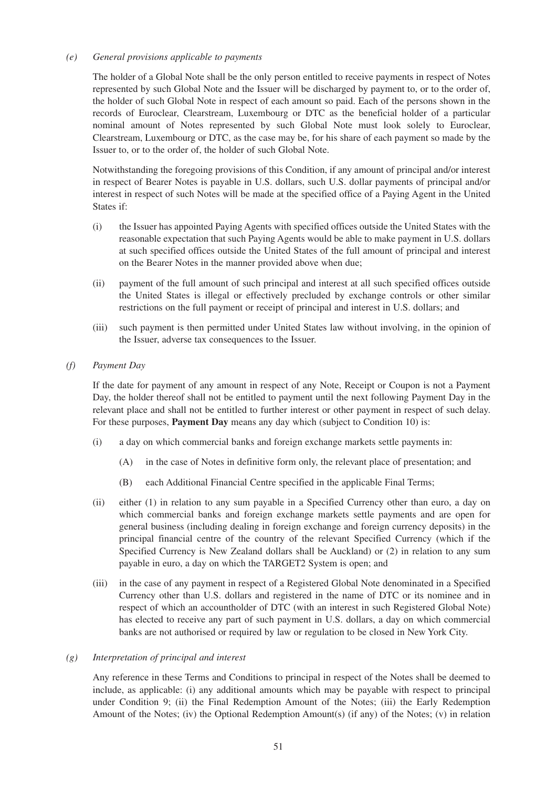#### *(e) General provisions applicable to payments*

The holder of a Global Note shall be the only person entitled to receive payments in respect of Notes represented by such Global Note and the Issuer will be discharged by payment to, or to the order of, the holder of such Global Note in respect of each amount so paid. Each of the persons shown in the records of Euroclear, Clearstream, Luxembourg or DTC as the beneficial holder of a particular nominal amount of Notes represented by such Global Note must look solely to Euroclear, Clearstream, Luxembourg or DTC, as the case may be, for his share of each payment so made by the Issuer to, or to the order of, the holder of such Global Note.

Notwithstanding the foregoing provisions of this Condition, if any amount of principal and/or interest in respect of Bearer Notes is payable in U.S. dollars, such U.S. dollar payments of principal and/or interest in respect of such Notes will be made at the specified office of a Paying Agent in the United States if:

- (i) the Issuer has appointed Paying Agents with specified offices outside the United States with the reasonable expectation that such Paying Agents would be able to make payment in U.S. dollars at such specified offices outside the United States of the full amount of principal and interest on the Bearer Notes in the manner provided above when due;
- (ii) payment of the full amount of such principal and interest at all such specified offices outside the United States is illegal or effectively precluded by exchange controls or other similar restrictions on the full payment or receipt of principal and interest in U.S. dollars; and
- (iii) such payment is then permitted under United States law without involving, in the opinion of the Issuer, adverse tax consequences to the Issuer.
- *(f) Payment Day*

If the date for payment of any amount in respect of any Note, Receipt or Coupon is not a Payment Day, the holder thereof shall not be entitled to payment until the next following Payment Day in the relevant place and shall not be entitled to further interest or other payment in respect of such delay. For these purposes, **Payment Day** means any day which (subject to Condition 10) is:

- (i) a day on which commercial banks and foreign exchange markets settle payments in:
	- (A) in the case of Notes in definitive form only, the relevant place of presentation; and
	- (B) each Additional Financial Centre specified in the applicable Final Terms;
- (ii) either (1) in relation to any sum payable in a Specified Currency other than euro, a day on which commercial banks and foreign exchange markets settle payments and are open for general business (including dealing in foreign exchange and foreign currency deposits) in the principal financial centre of the country of the relevant Specified Currency (which if the Specified Currency is New Zealand dollars shall be Auckland) or (2) in relation to any sum payable in euro, a day on which the TARGET2 System is open; and
- (iii) in the case of any payment in respect of a Registered Global Note denominated in a Specified Currency other than U.S. dollars and registered in the name of DTC or its nominee and in respect of which an accountholder of DTC (with an interest in such Registered Global Note) has elected to receive any part of such payment in U.S. dollars, a day on which commercial banks are not authorised or required by law or regulation to be closed in New York City.

## *(g) Interpretation of principal and interest*

Any reference in these Terms and Conditions to principal in respect of the Notes shall be deemed to include, as applicable: (i) any additional amounts which may be payable with respect to principal under Condition 9; (ii) the Final Redemption Amount of the Notes; (iii) the Early Redemption Amount of the Notes; (iv) the Optional Redemption Amount(s) (if any) of the Notes; (v) in relation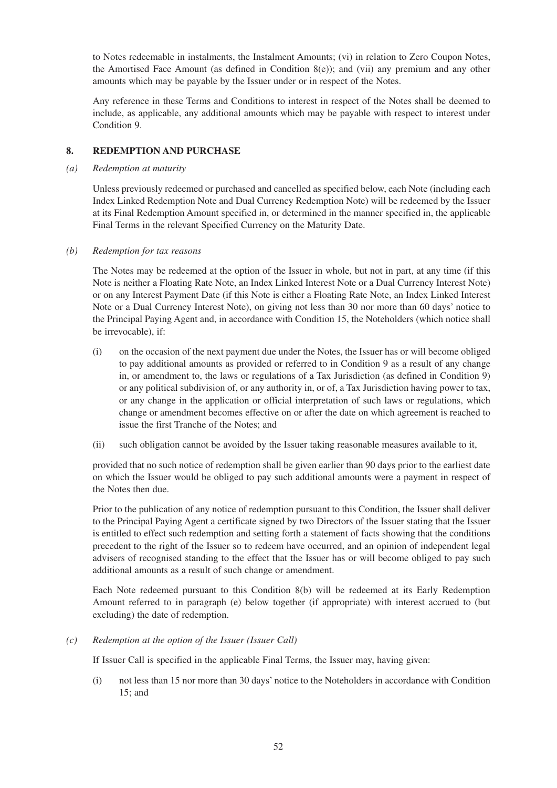to Notes redeemable in instalments, the Instalment Amounts; (vi) in relation to Zero Coupon Notes, the Amortised Face Amount (as defined in Condition  $8(e)$ ); and (vii) any premium and any other amounts which may be payable by the Issuer under or in respect of the Notes.

Any reference in these Terms and Conditions to interest in respect of the Notes shall be deemed to include, as applicable, any additional amounts which may be payable with respect to interest under Condition 9.

## **8. REDEMPTION AND PURCHASE**

*(a) Redemption at maturity* 

Unless previously redeemed or purchased and cancelled as specified below, each Note (including each Index Linked Redemption Note and Dual Currency Redemption Note) will be redeemed by the Issuer at its Final Redemption Amount specified in, or determined in the manner specified in, the applicable Final Terms in the relevant Specified Currency on the Maturity Date.

#### *(b) Redemption for tax reasons*

The Notes may be redeemed at the option of the Issuer in whole, but not in part, at any time (if this Note is neither a Floating Rate Note, an Index Linked Interest Note or a Dual Currency Interest Note) or on any Interest Payment Date (if this Note is either a Floating Rate Note, an Index Linked Interest Note or a Dual Currency Interest Note), on giving not less than 30 nor more than 60 days' notice to the Principal Paying Agent and, in accordance with Condition 15, the Noteholders (which notice shall be irrevocable), if:

- (i) on the occasion of the next payment due under the Notes, the Issuer has or will become obliged to pay additional amounts as provided or referred to in Condition 9 as a result of any change in, or amendment to, the laws or regulations of a Tax Jurisdiction (as defined in Condition 9) or any political subdivision of, or any authority in, or of, a Tax Jurisdiction having power to tax, or any change in the application or official interpretation of such laws or regulations, which change or amendment becomes effective on or after the date on which agreement is reached to issue the first Tranche of the Notes; and
- (ii) such obligation cannot be avoided by the Issuer taking reasonable measures available to it,

provided that no such notice of redemption shall be given earlier than 90 days prior to the earliest date on which the Issuer would be obliged to pay such additional amounts were a payment in respect of the Notes then due.

Prior to the publication of any notice of redemption pursuant to this Condition, the Issuer shall deliver to the Principal Paying Agent a certificate signed by two Directors of the Issuer stating that the Issuer is entitled to effect such redemption and setting forth a statement of facts showing that the conditions precedent to the right of the Issuer so to redeem have occurred, and an opinion of independent legal advisers of recognised standing to the effect that the Issuer has or will become obliged to pay such additional amounts as a result of such change or amendment.

Each Note redeemed pursuant to this Condition 8(b) will be redeemed at its Early Redemption Amount referred to in paragraph (e) below together (if appropriate) with interest accrued to (but excluding) the date of redemption.

*(c) Redemption at the option of the Issuer (Issuer Call)* 

If Issuer Call is specified in the applicable Final Terms, the Issuer may, having given:

(i) not less than 15 nor more than 30 days' notice to the Noteholders in accordance with Condition 15; and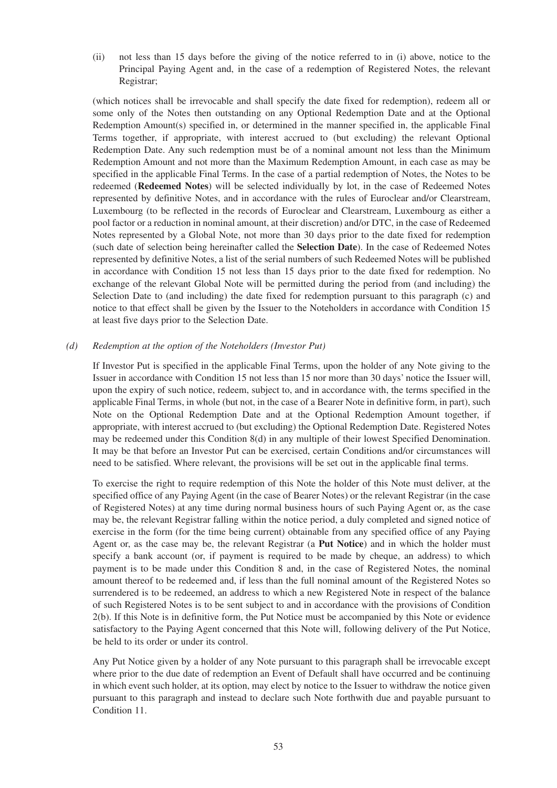(ii) not less than 15 days before the giving of the notice referred to in (i) above, notice to the Principal Paying Agent and, in the case of a redemption of Registered Notes, the relevant Registrar;

(which notices shall be irrevocable and shall specify the date fixed for redemption), redeem all or some only of the Notes then outstanding on any Optional Redemption Date and at the Optional Redemption Amount(s) specified in, or determined in the manner specified in, the applicable Final Terms together, if appropriate, with interest accrued to (but excluding) the relevant Optional Redemption Date. Any such redemption must be of a nominal amount not less than the Minimum Redemption Amount and not more than the Maximum Redemption Amount, in each case as may be specified in the applicable Final Terms. In the case of a partial redemption of Notes, the Notes to be redeemed (**Redeemed Notes**) will be selected individually by lot, in the case of Redeemed Notes represented by definitive Notes, and in accordance with the rules of Euroclear and/or Clearstream, Luxembourg (to be reflected in the records of Euroclear and Clearstream, Luxembourg as either a pool factor or a reduction in nominal amount, at their discretion) and/or DTC, in the case of Redeemed Notes represented by a Global Note, not more than 30 days prior to the date fixed for redemption (such date of selection being hereinafter called the **Selection Date**). In the case of Redeemed Notes represented by definitive Notes, a list of the serial numbers of such Redeemed Notes will be published in accordance with Condition 15 not less than 15 days prior to the date fixed for redemption. No exchange of the relevant Global Note will be permitted during the period from (and including) the Selection Date to (and including) the date fixed for redemption pursuant to this paragraph (c) and notice to that effect shall be given by the Issuer to the Noteholders in accordance with Condition 15 at least five days prior to the Selection Date.

## *(d) Redemption at the option of the Noteholders (Investor Put)*

If Investor Put is specified in the applicable Final Terms, upon the holder of any Note giving to the Issuer in accordance with Condition 15 not less than 15 nor more than 30 days' notice the Issuer will, upon the expiry of such notice, redeem, subject to, and in accordance with, the terms specified in the applicable Final Terms, in whole (but not, in the case of a Bearer Note in definitive form, in part), such Note on the Optional Redemption Date and at the Optional Redemption Amount together, if appropriate, with interest accrued to (but excluding) the Optional Redemption Date. Registered Notes may be redeemed under this Condition 8(d) in any multiple of their lowest Specified Denomination. It may be that before an Investor Put can be exercised, certain Conditions and/or circumstances will need to be satisfied. Where relevant, the provisions will be set out in the applicable final terms.

To exercise the right to require redemption of this Note the holder of this Note must deliver, at the specified office of any Paying Agent (in the case of Bearer Notes) or the relevant Registrar (in the case of Registered Notes) at any time during normal business hours of such Paying Agent or, as the case may be, the relevant Registrar falling within the notice period, a duly completed and signed notice of exercise in the form (for the time being current) obtainable from any specified office of any Paying Agent or, as the case may be, the relevant Registrar (a **Put Notice**) and in which the holder must specify a bank account (or, if payment is required to be made by cheque, an address) to which payment is to be made under this Condition 8 and, in the case of Registered Notes, the nominal amount thereof to be redeemed and, if less than the full nominal amount of the Registered Notes so surrendered is to be redeemed, an address to which a new Registered Note in respect of the balance of such Registered Notes is to be sent subject to and in accordance with the provisions of Condition 2(b). If this Note is in definitive form, the Put Notice must be accompanied by this Note or evidence satisfactory to the Paying Agent concerned that this Note will, following delivery of the Put Notice, be held to its order or under its control.

Any Put Notice given by a holder of any Note pursuant to this paragraph shall be irrevocable except where prior to the due date of redemption an Event of Default shall have occurred and be continuing in which event such holder, at its option, may elect by notice to the Issuer to withdraw the notice given pursuant to this paragraph and instead to declare such Note forthwith due and payable pursuant to Condition 11.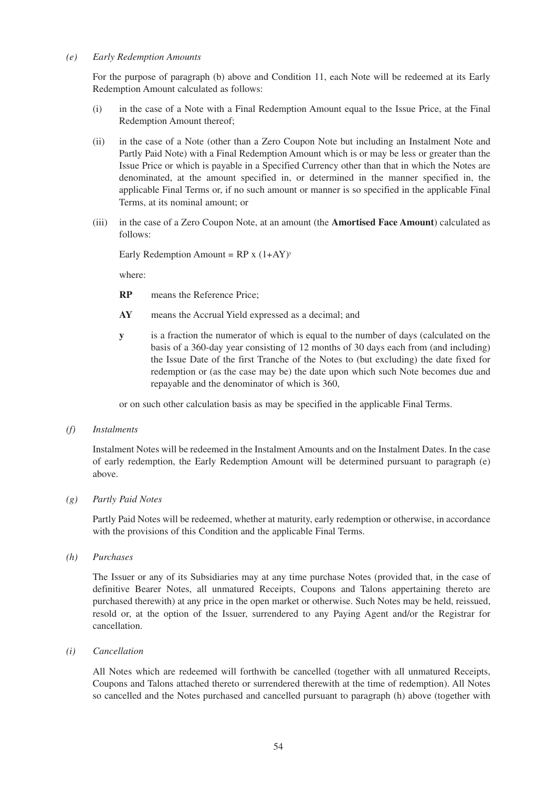#### *(e) Early Redemption Amounts*

For the purpose of paragraph (b) above and Condition 11, each Note will be redeemed at its Early Redemption Amount calculated as follows:

- (i) in the case of a Note with a Final Redemption Amount equal to the Issue Price, at the Final Redemption Amount thereof;
- (ii) in the case of a Note (other than a Zero Coupon Note but including an Instalment Note and Partly Paid Note) with a Final Redemption Amount which is or may be less or greater than the Issue Price or which is payable in a Specified Currency other than that in which the Notes are denominated, at the amount specified in, or determined in the manner specified in, the applicable Final Terms or, if no such amount or manner is so specified in the applicable Final Terms, at its nominal amount; or
- (iii) in the case of a Zero Coupon Note, at an amount (the **Amortised Face Amount**) calculated as follows:

Early Redemption Amount =  $RP x (1+AY)^y$ 

where:

- **RP** means the Reference Price;
- **AY** means the Accrual Yield expressed as a decimal; and
- **y** is a fraction the numerator of which is equal to the number of days (calculated on the basis of a 360-day year consisting of 12 months of 30 days each from (and including) the Issue Date of the first Tranche of the Notes to (but excluding) the date fixed for redemption or (as the case may be) the date upon which such Note becomes due and repayable and the denominator of which is 360,

or on such other calculation basis as may be specified in the applicable Final Terms.

*(f) Instalments* 

Instalment Notes will be redeemed in the Instalment Amounts and on the Instalment Dates. In the case of early redemption, the Early Redemption Amount will be determined pursuant to paragraph (e) above.

*(g) Partly Paid Notes* 

Partly Paid Notes will be redeemed, whether at maturity, early redemption or otherwise, in accordance with the provisions of this Condition and the applicable Final Terms.

*(h) Purchases* 

The Issuer or any of its Subsidiaries may at any time purchase Notes (provided that, in the case of definitive Bearer Notes, all unmatured Receipts, Coupons and Talons appertaining thereto are purchased therewith) at any price in the open market or otherwise. Such Notes may be held, reissued, resold or, at the option of the Issuer, surrendered to any Paying Agent and/or the Registrar for cancellation.

*(i) Cancellation*

All Notes which are redeemed will forthwith be cancelled (together with all unmatured Receipts, Coupons and Talons attached thereto or surrendered therewith at the time of redemption). All Notes so cancelled and the Notes purchased and cancelled pursuant to paragraph (h) above (together with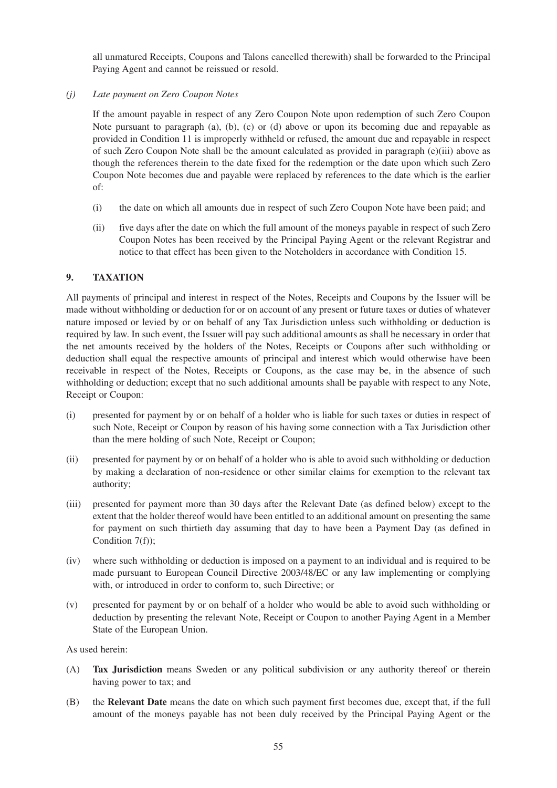all unmatured Receipts, Coupons and Talons cancelled therewith) shall be forwarded to the Principal Paying Agent and cannot be reissued or resold.

# *(j) Late payment on Zero Coupon Notes*

If the amount payable in respect of any Zero Coupon Note upon redemption of such Zero Coupon Note pursuant to paragraph (a), (b), (c) or (d) above or upon its becoming due and repayable as provided in Condition 11 is improperly withheld or refused, the amount due and repayable in respect of such Zero Coupon Note shall be the amount calculated as provided in paragraph (e)(iii) above as though the references therein to the date fixed for the redemption or the date upon which such Zero Coupon Note becomes due and payable were replaced by references to the date which is the earlier of:

- (i) the date on which all amounts due in respect of such Zero Coupon Note have been paid; and
- (ii) five days after the date on which the full amount of the moneys payable in respect of such Zero Coupon Notes has been received by the Principal Paying Agent or the relevant Registrar and notice to that effect has been given to the Noteholders in accordance with Condition 15.

# **9. TAXATION**

All payments of principal and interest in respect of the Notes, Receipts and Coupons by the Issuer will be made without withholding or deduction for or on account of any present or future taxes or duties of whatever nature imposed or levied by or on behalf of any Tax Jurisdiction unless such withholding or deduction is required by law. In such event, the Issuer will pay such additional amounts as shall be necessary in order that the net amounts received by the holders of the Notes, Receipts or Coupons after such withholding or deduction shall equal the respective amounts of principal and interest which would otherwise have been receivable in respect of the Notes, Receipts or Coupons, as the case may be, in the absence of such withholding or deduction; except that no such additional amounts shall be payable with respect to any Note, Receipt or Coupon:

- (i) presented for payment by or on behalf of a holder who is liable for such taxes or duties in respect of such Note, Receipt or Coupon by reason of his having some connection with a Tax Jurisdiction other than the mere holding of such Note, Receipt or Coupon;
- (ii) presented for payment by or on behalf of a holder who is able to avoid such withholding or deduction by making a declaration of non-residence or other similar claims for exemption to the relevant tax authority;
- (iii) presented for payment more than 30 days after the Relevant Date (as defined below) except to the extent that the holder thereof would have been entitled to an additional amount on presenting the same for payment on such thirtieth day assuming that day to have been a Payment Day (as defined in Condition 7(f));
- (iv) where such withholding or deduction is imposed on a payment to an individual and is required to be made pursuant to European Council Directive 2003/48/EC or any law implementing or complying with, or introduced in order to conform to, such Directive; or
- (v) presented for payment by or on behalf of a holder who would be able to avoid such withholding or deduction by presenting the relevant Note, Receipt or Coupon to another Paying Agent in a Member State of the European Union.

As used herein:

- (A) **Tax Jurisdiction** means Sweden or any political subdivision or any authority thereof or therein having power to tax; and
- (B) the **Relevant Date** means the date on which such payment first becomes due, except that, if the full amount of the moneys payable has not been duly received by the Principal Paying Agent or the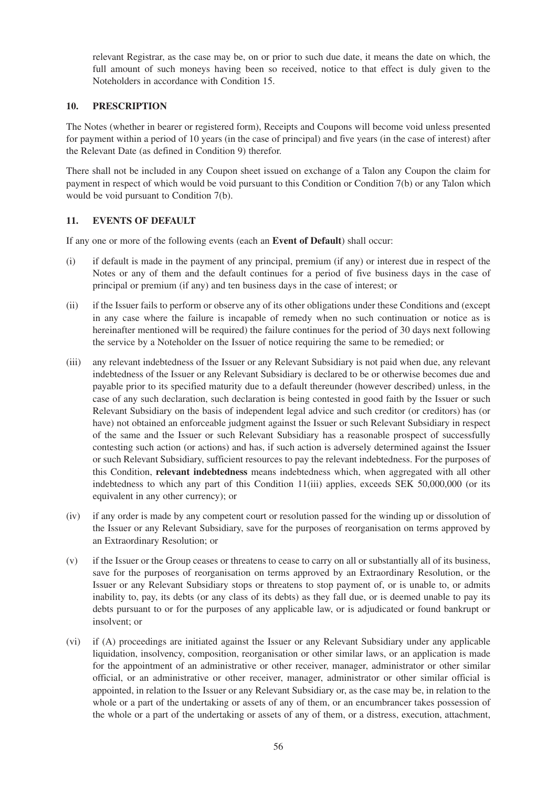relevant Registrar, as the case may be, on or prior to such due date, it means the date on which, the full amount of such moneys having been so received, notice to that effect is duly given to the Noteholders in accordance with Condition 15.

# **10. PRESCRIPTION**

The Notes (whether in bearer or registered form), Receipts and Coupons will become void unless presented for payment within a period of 10 years (in the case of principal) and five years (in the case of interest) after the Relevant Date (as defined in Condition 9) therefor.

There shall not be included in any Coupon sheet issued on exchange of a Talon any Coupon the claim for payment in respect of which would be void pursuant to this Condition or Condition 7(b) or any Talon which would be void pursuant to Condition 7(b).

# **11. EVENTS OF DEFAULT**

If any one or more of the following events (each an **Event of Default**) shall occur:

- (i) if default is made in the payment of any principal, premium (if any) or interest due in respect of the Notes or any of them and the default continues for a period of five business days in the case of principal or premium (if any) and ten business days in the case of interest; or
- (ii) if the Issuer fails to perform or observe any of its other obligations under these Conditions and (except in any case where the failure is incapable of remedy when no such continuation or notice as is hereinafter mentioned will be required) the failure continues for the period of 30 days next following the service by a Noteholder on the Issuer of notice requiring the same to be remedied; or
- (iii) any relevant indebtedness of the Issuer or any Relevant Subsidiary is not paid when due, any relevant indebtedness of the Issuer or any Relevant Subsidiary is declared to be or otherwise becomes due and payable prior to its specified maturity due to a default thereunder (however described) unless, in the case of any such declaration, such declaration is being contested in good faith by the Issuer or such Relevant Subsidiary on the basis of independent legal advice and such creditor (or creditors) has (or have) not obtained an enforceable judgment against the Issuer or such Relevant Subsidiary in respect of the same and the Issuer or such Relevant Subsidiary has a reasonable prospect of successfully contesting such action (or actions) and has, if such action is adversely determined against the Issuer or such Relevant Subsidiary, sufficient resources to pay the relevant indebtedness. For the purposes of this Condition, **relevant indebtedness** means indebtedness which, when aggregated with all other indebtedness to which any part of this Condition 11(iii) applies, exceeds SEK 50,000,000 (or its equivalent in any other currency); or
- (iv) if any order is made by any competent court or resolution passed for the winding up or dissolution of the Issuer or any Relevant Subsidiary, save for the purposes of reorganisation on terms approved by an Extraordinary Resolution; or
- (v) if the Issuer or the Group ceases or threatens to cease to carry on all or substantially all of its business, save for the purposes of reorganisation on terms approved by an Extraordinary Resolution, or the Issuer or any Relevant Subsidiary stops or threatens to stop payment of, or is unable to, or admits inability to, pay, its debts (or any class of its debts) as they fall due, or is deemed unable to pay its debts pursuant to or for the purposes of any applicable law, or is adjudicated or found bankrupt or insolvent; or
- (vi) if (A) proceedings are initiated against the Issuer or any Relevant Subsidiary under any applicable liquidation, insolvency, composition, reorganisation or other similar laws, or an application is made for the appointment of an administrative or other receiver, manager, administrator or other similar official, or an administrative or other receiver, manager, administrator or other similar official is appointed, in relation to the Issuer or any Relevant Subsidiary or, as the case may be, in relation to the whole or a part of the undertaking or assets of any of them, or an encumbrancer takes possession of the whole or a part of the undertaking or assets of any of them, or a distress, execution, attachment,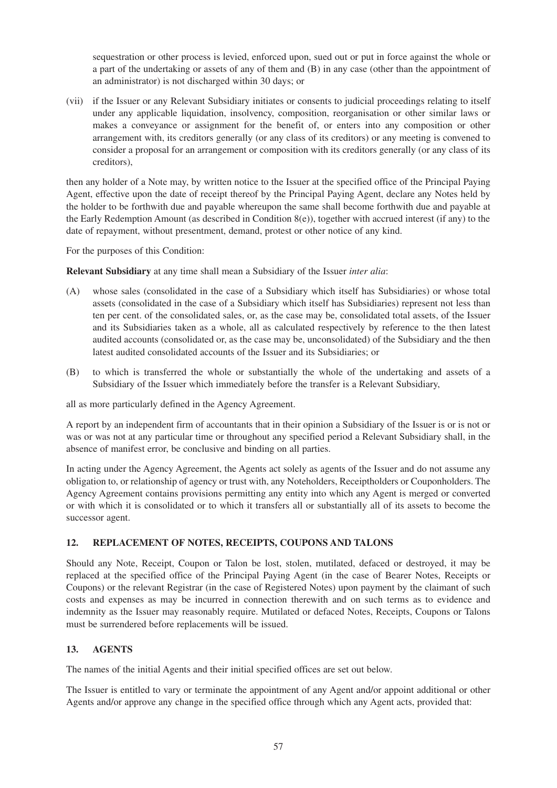sequestration or other process is levied, enforced upon, sued out or put in force against the whole or a part of the undertaking or assets of any of them and (B) in any case (other than the appointment of an administrator) is not discharged within 30 days; or

(vii) if the Issuer or any Relevant Subsidiary initiates or consents to judicial proceedings relating to itself under any applicable liquidation, insolvency, composition, reorganisation or other similar laws or makes a conveyance or assignment for the benefit of, or enters into any composition or other arrangement with, its creditors generally (or any class of its creditors) or any meeting is convened to consider a proposal for an arrangement or composition with its creditors generally (or any class of its creditors),

then any holder of a Note may, by written notice to the Issuer at the specified office of the Principal Paying Agent, effective upon the date of receipt thereof by the Principal Paying Agent, declare any Notes held by the holder to be forthwith due and payable whereupon the same shall become forthwith due and payable at the Early Redemption Amount (as described in Condition  $8(e)$ ), together with accrued interest (if any) to the date of repayment, without presentment, demand, protest or other notice of any kind.

For the purposes of this Condition:

**Relevant Subsidiary** at any time shall mean a Subsidiary of the Issuer *inter alia*:

- (A) whose sales (consolidated in the case of a Subsidiary which itself has Subsidiaries) or whose total assets (consolidated in the case of a Subsidiary which itself has Subsidiaries) represent not less than ten per cent. of the consolidated sales, or, as the case may be, consolidated total assets, of the Issuer and its Subsidiaries taken as a whole, all as calculated respectively by reference to the then latest audited accounts (consolidated or, as the case may be, unconsolidated) of the Subsidiary and the then latest audited consolidated accounts of the Issuer and its Subsidiaries; or
- (B) to which is transferred the whole or substantially the whole of the undertaking and assets of a Subsidiary of the Issuer which immediately before the transfer is a Relevant Subsidiary,

all as more particularly defined in the Agency Agreement.

A report by an independent firm of accountants that in their opinion a Subsidiary of the Issuer is or is not or was or was not at any particular time or throughout any specified period a Relevant Subsidiary shall, in the absence of manifest error, be conclusive and binding on all parties.

In acting under the Agency Agreement, the Agents act solely as agents of the Issuer and do not assume any obligation to, or relationship of agency or trust with, any Noteholders, Receiptholders or Couponholders. The Agency Agreement contains provisions permitting any entity into which any Agent is merged or converted or with which it is consolidated or to which it transfers all or substantially all of its assets to become the successor agent.

## **12. REPLACEMENT OF NOTES, RECEIPTS, COUPONS AND TALONS**

Should any Note, Receipt, Coupon or Talon be lost, stolen, mutilated, defaced or destroyed, it may be replaced at the specified office of the Principal Paying Agent (in the case of Bearer Notes, Receipts or Coupons) or the relevant Registrar (in the case of Registered Notes) upon payment by the claimant of such costs and expenses as may be incurred in connection therewith and on such terms as to evidence and indemnity as the Issuer may reasonably require. Mutilated or defaced Notes, Receipts, Coupons or Talons must be surrendered before replacements will be issued.

# **13. AGENTS**

The names of the initial Agents and their initial specified offices are set out below.

The Issuer is entitled to vary or terminate the appointment of any Agent and/or appoint additional or other Agents and/or approve any change in the specified office through which any Agent acts, provided that: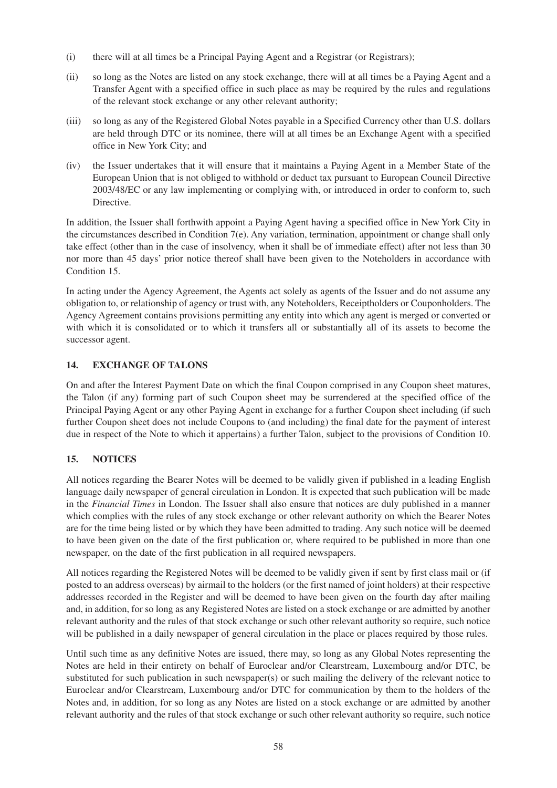- (i) there will at all times be a Principal Paying Agent and a Registrar (or Registrars);
- (ii) so long as the Notes are listed on any stock exchange, there will at all times be a Paying Agent and a Transfer Agent with a specified office in such place as may be required by the rules and regulations of the relevant stock exchange or any other relevant authority;
- (iii) so long as any of the Registered Global Notes payable in a Specified Currency other than U.S. dollars are held through DTC or its nominee, there will at all times be an Exchange Agent with a specified office in New York City; and
- (iv) the Issuer undertakes that it will ensure that it maintains a Paying Agent in a Member State of the European Union that is not obliged to withhold or deduct tax pursuant to European Council Directive 2003/48/EC or any law implementing or complying with, or introduced in order to conform to, such Directive.

In addition, the Issuer shall forthwith appoint a Paying Agent having a specified office in New York City in the circumstances described in Condition 7(e). Any variation, termination, appointment or change shall only take effect (other than in the case of insolvency, when it shall be of immediate effect) after not less than 30 nor more than 45 days' prior notice thereof shall have been given to the Noteholders in accordance with Condition 15.

In acting under the Agency Agreement, the Agents act solely as agents of the Issuer and do not assume any obligation to, or relationship of agency or trust with, any Noteholders, Receiptholders or Couponholders. The Agency Agreement contains provisions permitting any entity into which any agent is merged or converted or with which it is consolidated or to which it transfers all or substantially all of its assets to become the successor agent.

# **14. EXCHANGE OF TALONS**

On and after the Interest Payment Date on which the final Coupon comprised in any Coupon sheet matures, the Talon (if any) forming part of such Coupon sheet may be surrendered at the specified office of the Principal Paying Agent or any other Paying Agent in exchange for a further Coupon sheet including (if such further Coupon sheet does not include Coupons to (and including) the final date for the payment of interest due in respect of the Note to which it appertains) a further Talon, subject to the provisions of Condition 10.

# **15. NOTICES**

All notices regarding the Bearer Notes will be deemed to be validly given if published in a leading English language daily newspaper of general circulation in London. It is expected that such publication will be made in the *Financial Times* in London. The Issuer shall also ensure that notices are duly published in a manner which complies with the rules of any stock exchange or other relevant authority on which the Bearer Notes are for the time being listed or by which they have been admitted to trading. Any such notice will be deemed to have been given on the date of the first publication or, where required to be published in more than one newspaper, on the date of the first publication in all required newspapers.

All notices regarding the Registered Notes will be deemed to be validly given if sent by first class mail or (if posted to an address overseas) by airmail to the holders (or the first named of joint holders) at their respective addresses recorded in the Register and will be deemed to have been given on the fourth day after mailing and, in addition, for so long as any Registered Notes are listed on a stock exchange or are admitted by another relevant authority and the rules of that stock exchange or such other relevant authority so require, such notice will be published in a daily newspaper of general circulation in the place or places required by those rules.

Until such time as any definitive Notes are issued, there may, so long as any Global Notes representing the Notes are held in their entirety on behalf of Euroclear and/or Clearstream, Luxembourg and/or DTC, be substituted for such publication in such newspaper(s) or such mailing the delivery of the relevant notice to Euroclear and/or Clearstream, Luxembourg and/or DTC for communication by them to the holders of the Notes and, in addition, for so long as any Notes are listed on a stock exchange or are admitted by another relevant authority and the rules of that stock exchange or such other relevant authority so require, such notice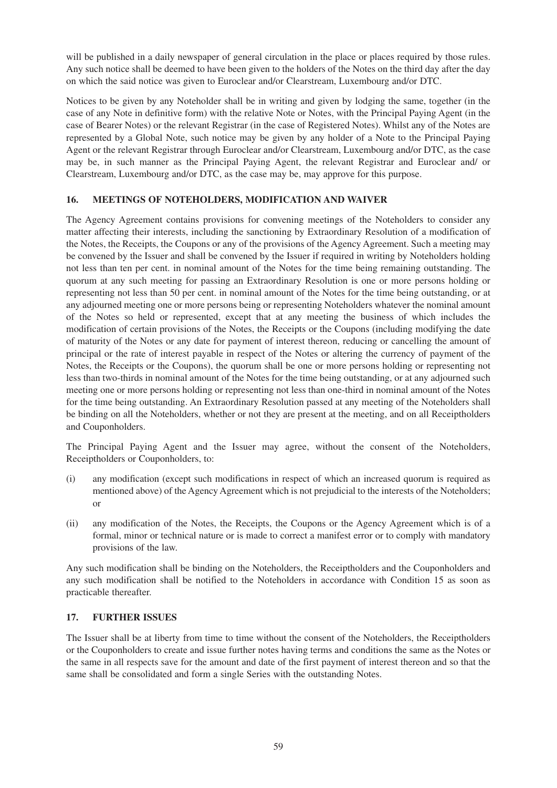will be published in a daily newspaper of general circulation in the place or places required by those rules. Any such notice shall be deemed to have been given to the holders of the Notes on the third day after the day on which the said notice was given to Euroclear and/or Clearstream, Luxembourg and/or DTC.

Notices to be given by any Noteholder shall be in writing and given by lodging the same, together (in the case of any Note in definitive form) with the relative Note or Notes, with the Principal Paying Agent (in the case of Bearer Notes) or the relevant Registrar (in the case of Registered Notes). Whilst any of the Notes are represented by a Global Note, such notice may be given by any holder of a Note to the Principal Paying Agent or the relevant Registrar through Euroclear and/or Clearstream, Luxembourg and/or DTC, as the case may be, in such manner as the Principal Paying Agent, the relevant Registrar and Euroclear and/ or Clearstream, Luxembourg and/or DTC, as the case may be, may approve for this purpose.

# **16. MEETINGS OF NOTEHOLDERS, MODIFICATION AND WAIVER**

The Agency Agreement contains provisions for convening meetings of the Noteholders to consider any matter affecting their interests, including the sanctioning by Extraordinary Resolution of a modification of the Notes, the Receipts, the Coupons or any of the provisions of the Agency Agreement. Such a meeting may be convened by the Issuer and shall be convened by the Issuer if required in writing by Noteholders holding not less than ten per cent. in nominal amount of the Notes for the time being remaining outstanding. The quorum at any such meeting for passing an Extraordinary Resolution is one or more persons holding or representing not less than 50 per cent. in nominal amount of the Notes for the time being outstanding, or at any adjourned meeting one or more persons being or representing Noteholders whatever the nominal amount of the Notes so held or represented, except that at any meeting the business of which includes the modification of certain provisions of the Notes, the Receipts or the Coupons (including modifying the date of maturity of the Notes or any date for payment of interest thereon, reducing or cancelling the amount of principal or the rate of interest payable in respect of the Notes or altering the currency of payment of the Notes, the Receipts or the Coupons), the quorum shall be one or more persons holding or representing not less than two-thirds in nominal amount of the Notes for the time being outstanding, or at any adjourned such meeting one or more persons holding or representing not less than one-third in nominal amount of the Notes for the time being outstanding. An Extraordinary Resolution passed at any meeting of the Noteholders shall be binding on all the Noteholders, whether or not they are present at the meeting, and on all Receiptholders and Couponholders.

The Principal Paying Agent and the Issuer may agree, without the consent of the Noteholders, Receiptholders or Couponholders, to:

- (i) any modification (except such modifications in respect of which an increased quorum is required as mentioned above) of the Agency Agreement which is not prejudicial to the interests of the Noteholders; or
- (ii) any modification of the Notes, the Receipts, the Coupons or the Agency Agreement which is of a formal, minor or technical nature or is made to correct a manifest error or to comply with mandatory provisions of the law.

Any such modification shall be binding on the Noteholders, the Receiptholders and the Couponholders and any such modification shall be notified to the Noteholders in accordance with Condition 15 as soon as practicable thereafter.

## **17. FURTHER ISSUES**

The Issuer shall be at liberty from time to time without the consent of the Noteholders, the Receiptholders or the Couponholders to create and issue further notes having terms and conditions the same as the Notes or the same in all respects save for the amount and date of the first payment of interest thereon and so that the same shall be consolidated and form a single Series with the outstanding Notes.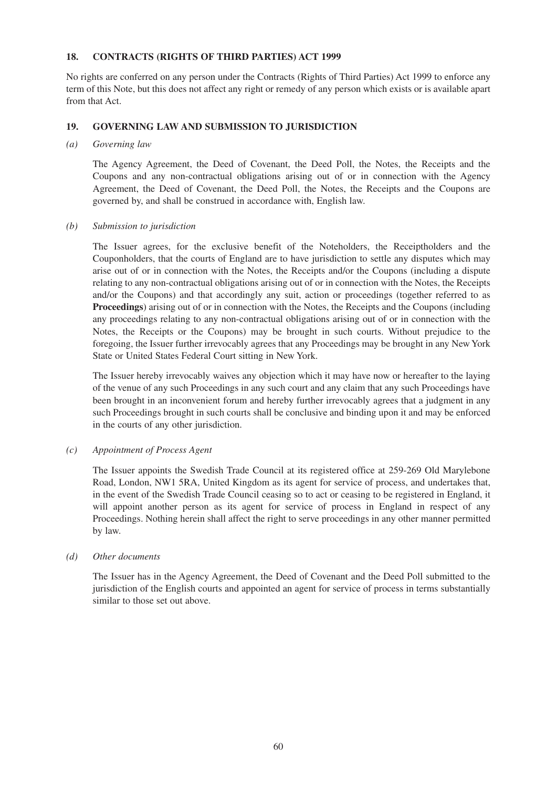# **18. CONTRACTS (RIGHTS OF THIRD PARTIES) ACT 1999**

No rights are conferred on any person under the Contracts (Rights of Third Parties) Act 1999 to enforce any term of this Note, but this does not affect any right or remedy of any person which exists or is available apart from that Act.

# **19. GOVERNING LAW AND SUBMISSION TO JURISDICTION**

#### *(a) Governing law*

The Agency Agreement, the Deed of Covenant, the Deed Poll, the Notes, the Receipts and the Coupons and any non-contractual obligations arising out of or in connection with the Agency Agreement, the Deed of Covenant, the Deed Poll, the Notes, the Receipts and the Coupons are governed by, and shall be construed in accordance with, English law.

#### *(b) Submission to jurisdiction*

The Issuer agrees, for the exclusive benefit of the Noteholders, the Receiptholders and the Couponholders, that the courts of England are to have jurisdiction to settle any disputes which may arise out of or in connection with the Notes, the Receipts and/or the Coupons (including a dispute relating to any non-contractual obligations arising out of or in connection with the Notes, the Receipts and/or the Coupons) and that accordingly any suit, action or proceedings (together referred to as **Proceedings**) arising out of or in connection with the Notes, the Receipts and the Coupons (including any proceedings relating to any non-contractual obligations arising out of or in connection with the Notes, the Receipts or the Coupons) may be brought in such courts. Without prejudice to the foregoing, the Issuer further irrevocably agrees that any Proceedings may be brought in any New York State or United States Federal Court sitting in New York.

The Issuer hereby irrevocably waives any objection which it may have now or hereafter to the laying of the venue of any such Proceedings in any such court and any claim that any such Proceedings have been brought in an inconvenient forum and hereby further irrevocably agrees that a judgment in any such Proceedings brought in such courts shall be conclusive and binding upon it and may be enforced in the courts of any other jurisdiction.

## *(c) Appointment of Process Agent*

The Issuer appoints the Swedish Trade Council at its registered office at 259-269 Old Marylebone Road, London, NW1 5RA, United Kingdom as its agent for service of process, and undertakes that, in the event of the Swedish Trade Council ceasing so to act or ceasing to be registered in England, it will appoint another person as its agent for service of process in England in respect of any Proceedings. Nothing herein shall affect the right to serve proceedings in any other manner permitted by law.

#### *(d) Other documents*

The Issuer has in the Agency Agreement, the Deed of Covenant and the Deed Poll submitted to the jurisdiction of the English courts and appointed an agent for service of process in terms substantially similar to those set out above.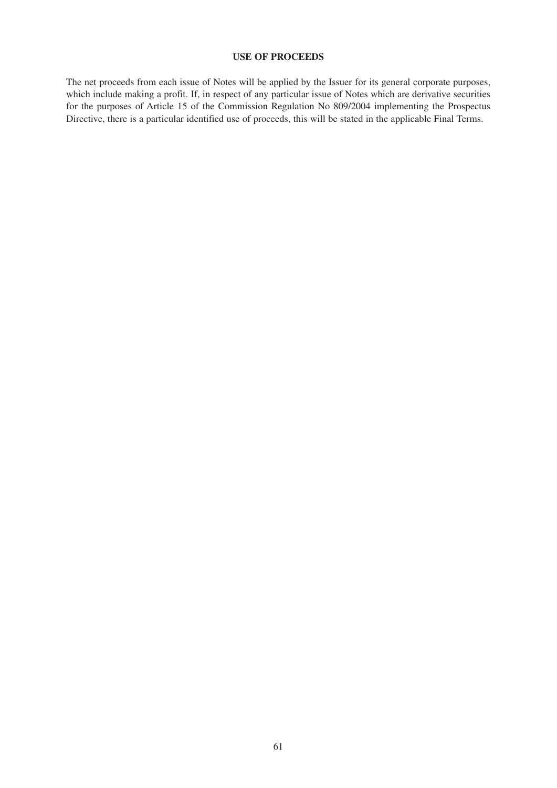# **USE OF PROCEEDS**

The net proceeds from each issue of Notes will be applied by the Issuer for its general corporate purposes, which include making a profit. If, in respect of any particular issue of Notes which are derivative securities for the purposes of Article 15 of the Commission Regulation No 809/2004 implementing the Prospectus Directive, there is a particular identified use of proceeds, this will be stated in the applicable Final Terms.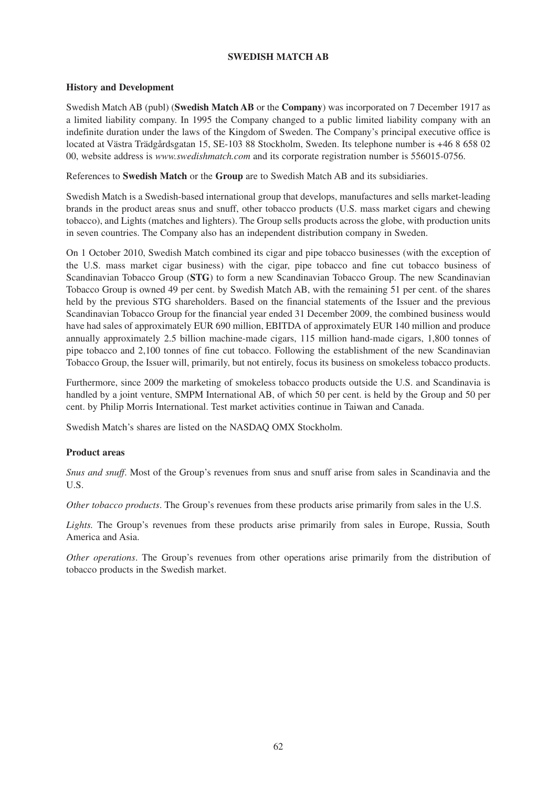## **SWEDISH MATCH AB**

# **History and Development**

Swedish Match AB (publ) (**Swedish Match AB** or the **Company**) was incorporated on 7 December 1917 as a limited liability company. In 1995 the Company changed to a public limited liability company with an indefinite duration under the laws of the Kingdom of Sweden. The Company's principal executive office is located at Västra Trädgårdsgatan 15, SE-103 88 Stockholm, Sweden. Its telephone number is +46 8 658 02 00, website address is *www.swedishmatch.com* and its corporate registration number is 556015-0756.

References to **Swedish Match** or the **Group** are to Swedish Match AB and its subsidiaries.

Swedish Match is a Swedish-based international group that develops, manufactures and sells market-leading brands in the product areas snus and snuff, other tobacco products (U.S. mass market cigars and chewing tobacco), and Lights (matches and lighters). The Group sells products across the globe, with production units in seven countries. The Company also has an independent distribution company in Sweden.

On 1 October 2010, Swedish Match combined its cigar and pipe tobacco businesses (with the exception of the U.S. mass market cigar business) with the cigar, pipe tobacco and fine cut tobacco business of Scandinavian Tobacco Group (**STG**) to form a new Scandinavian Tobacco Group. The new Scandinavian Tobacco Group is owned 49 per cent. by Swedish Match AB, with the remaining 51 per cent. of the shares held by the previous STG shareholders. Based on the financial statements of the Issuer and the previous Scandinavian Tobacco Group for the financial year ended 31 December 2009, the combined business would have had sales of approximately EUR 690 million, EBITDA of approximately EUR 140 million and produce annually approximately 2.5 billion machine-made cigars, 115 million hand-made cigars, 1,800 tonnes of pipe tobacco and 2,100 tonnes of fine cut tobacco. Following the establishment of the new Scandinavian Tobacco Group, the Issuer will, primarily, but not entirely, focus its business on smokeless tobacco products.

Furthermore, since 2009 the marketing of smokeless tobacco products outside the U.S. and Scandinavia is handled by a joint venture, SMPM International AB, of which 50 per cent. is held by the Group and 50 per cent. by Philip Morris International. Test market activities continue in Taiwan and Canada.

Swedish Match's shares are listed on the NASDAQ OMX Stockholm.

## **Product areas**

*Snus and snuff*. Most of the Group's revenues from snus and snuff arise from sales in Scandinavia and the U.S.

*Other tobacco products*. The Group's revenues from these products arise primarily from sales in the U.S.

Lights. The Group's revenues from these products arise primarily from sales in Europe, Russia, South America and Asia.

*Other operations*. The Group's revenues from other operations arise primarily from the distribution of tobacco products in the Swedish market.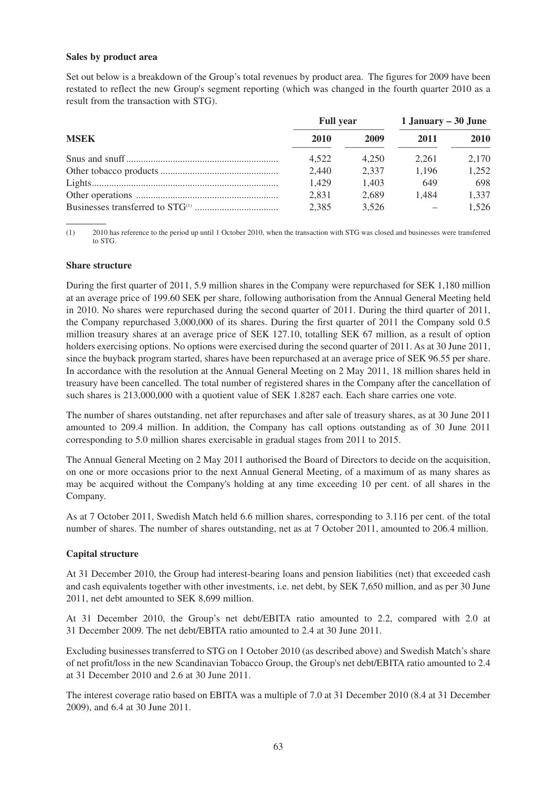#### **Sales by product area**

Set out below is a breakdown of the Group's total revenues by product area. The figures for 2009 have been restated to reflect the new Group's segment reporting (which was changed in the fourth quarter 2010 as a result from the transaction with STG).

| <b>MSEK</b> | <b>Full year</b> |       | 1 January $-30$ June |       |
|-------------|------------------|-------|----------------------|-------|
|             | 2010             | 2009  | 2011                 | 2010  |
|             | 4.522            | 4.250 | 2.261                | 2.170 |
|             | 2,440            | 2.337 | 1.196                | 1,252 |
|             | 1.429            | 1.403 | 649                  | 698   |
|             | 2.831            | 2.689 | 1.484                | 1,337 |
|             | 2,385            | 3.526 |                      | 1.526 |

(1) 2010 has reference to the period up until 1 October 2010, when the transaction with STG was closed and businesses were transferred to STG.

#### **Share structure**

During the first quarter of 2011, 5.9 million shares in the Company were repurchased for SEK 1,180 million at an average price of 199.60 SEK per share, following authorisation from the Annual General Meeting held in 2010. No shares were repurchased during the second quarter of 2011. During the third quarter of 2011, the Company repurchased 3,000,000 of its shares. During the first quarter of 2011 the Company sold 0.5 million treasury shares at an average price of SEK 127.10, totalling SEK 67 million, as a result of option holders exercising options. No options were exercised during the second quarter of 2011. As at 30 June 2011, since the buyback program started, shares have been repurchased at an average price of SEK 96.55 per share. In accordance with the resolution at the Annual General Meeting on 2 May 2011, 18 million shares held in treasury have been cancelled. The total number of registered shares in the Company after the cancellation of such shares is 213,000,000 with a quotient value of SEK 1.8287 each. Each share carries one vote.

The number of shares outstanding, net after repurchases and after sale of treasury shares, as at 30 June 2011 amounted to 209.4 million. In addition, the Company has call options outstanding as of 30 June 2011 corresponding to 5.0 million shares exercisable in gradual stages from 2011 to 2015.

The Annual General Meeting on 2 May 2011 authorised the Board of Directors to decide on the acquisition, on one or more occasions prior to the next Annual General Meeting, of a maximum of as many shares as may be acquired without the Company's holding at any time exceeding 10 per cent. of all shares in the Company.

As at 7 October 2011, Swedish Match held 6.6 million shares, corresponding to 3.116 per cent. of the total number of shares. The number of shares outstanding, net as at 7 October 2011, amounted to 206.4 million.

## **Capital structure**

At 31 December 2010, the Group had interest-bearing loans and pension liabilities (net) that exceeded cash and cash equivalents together with other investments, i.e. net debt, by SEK 7,650 million, and as per 30 June 2011, net debt amounted to SEK 8,699 million.

At 31 December 2010, the Group's net debt/EBITA ratio amounted to 2.2, compared with 2.0 at 31 December 2009. The net debt/EBITA ratio amounted to 2.4 at 30 June 2011.

Excluding businesses transferred to STG on 1 October 2010 (as described above) and Swedish Match's share of net profit/loss in the new Scandinavian Tobacco Group, the Group's net debt/EBITA ratio amounted to 2.4 at 31 December 2010 and 2.6 at 30 June 2011.

The interest coverage ratio based on EBITA was a multiple of 7.0 at 31 December 2010 (8.4 at 31 December 2009), and 6.4 at 30 June 2011.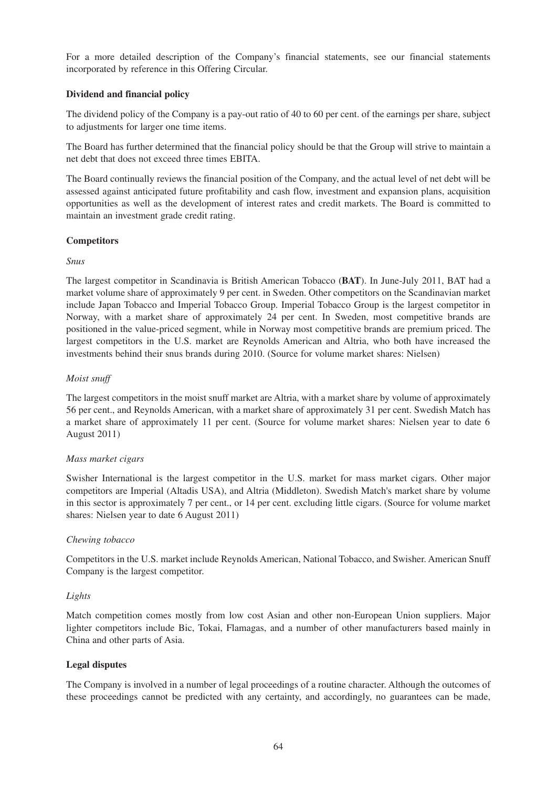For a more detailed description of the Company's financial statements, see our financial statements incorporated by reference in this Offering Circular.

# **Dividend and financial policy**

The dividend policy of the Company is a pay-out ratio of 40 to 60 per cent. of the earnings per share, subject to adjustments for larger one time items.

The Board has further determined that the financial policy should be that the Group will strive to maintain a net debt that does not exceed three times EBITA.

The Board continually reviews the financial position of the Company, and the actual level of net debt will be assessed against anticipated future profitability and cash flow, investment and expansion plans, acquisition opportunities as well as the development of interest rates and credit markets. The Board is committed to maintain an investment grade credit rating.

# **Competitors**

# *Snus*

The largest competitor in Scandinavia is British American Tobacco (**BAT**). In June-July 2011, BAT had a market volume share of approximately 9 per cent. in Sweden. Other competitors on the Scandinavian market include Japan Tobacco and Imperial Tobacco Group. Imperial Tobacco Group is the largest competitor in Norway, with a market share of approximately 24 per cent. In Sweden, most competitive brands are positioned in the value-priced segment, while in Norway most competitive brands are premium priced. The largest competitors in the U.S. market are Reynolds American and Altria, who both have increased the investments behind their snus brands during 2010. (Source for volume market shares: Nielsen)

# *Moist snuff*

The largest competitors in the moist snuff market are Altria, with a market share by volume of approximately 56 per cent., and Reynolds American, with a market share of approximately 31 per cent. Swedish Match has a market share of approximately 11 per cent. (Source for volume market shares: Nielsen year to date 6 August 2011)

## *Mass market cigars*

Swisher International is the largest competitor in the U.S. market for mass market cigars. Other major competitors are Imperial (Altadis USA), and Altria (Middleton). Swedish Match's market share by volume in this sector is approximately 7 per cent., or 14 per cent. excluding little cigars. (Source for volume market shares: Nielsen year to date 6 August 2011)

## *Chewing tobacco*

Competitors in the U.S. market include Reynolds American, National Tobacco, and Swisher. American Snuff Company is the largest competitor.

# *Lights*

Match competition comes mostly from low cost Asian and other non-European Union suppliers. Major lighter competitors include Bic, Tokai, Flamagas, and a number of other manufacturers based mainly in China and other parts of Asia.

## **Legal disputes**

The Company is involved in a number of legal proceedings of a routine character. Although the outcomes of these proceedings cannot be predicted with any certainty, and accordingly, no guarantees can be made,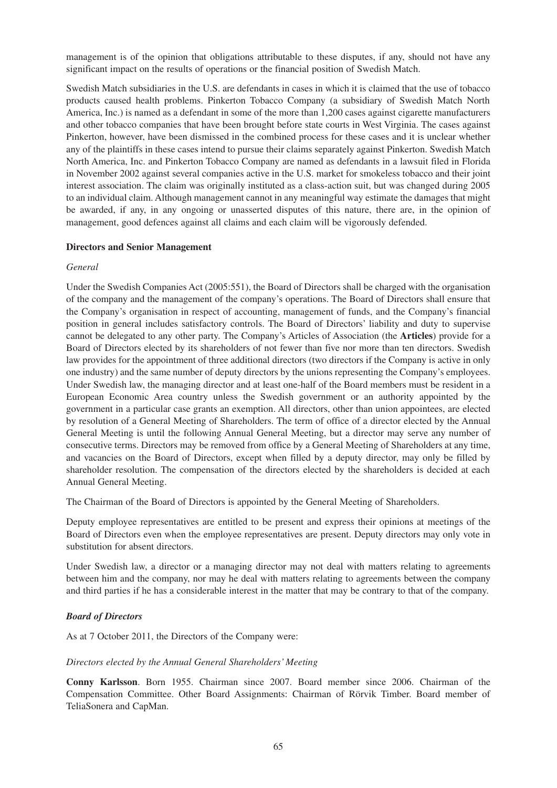management is of the opinion that obligations attributable to these disputes, if any, should not have any significant impact on the results of operations or the financial position of Swedish Match.

Swedish Match subsidiaries in the U.S. are defendants in cases in which it is claimed that the use of tobacco products caused health problems. Pinkerton Tobacco Company (a subsidiary of Swedish Match North America, Inc.) is named as a defendant in some of the more than 1,200 cases against cigarette manufacturers and other tobacco companies that have been brought before state courts in West Virginia. The cases against Pinkerton, however, have been dismissed in the combined process for these cases and it is unclear whether any of the plaintiffs in these cases intend to pursue their claims separately against Pinkerton. Swedish Match North America, Inc. and Pinkerton Tobacco Company are named as defendants in a lawsuit filed in Florida in November 2002 against several companies active in the U.S. market for smokeless tobacco and their joint interest association. The claim was originally instituted as a class-action suit, but was changed during 2005 to an individual claim. Although management cannot in any meaningful way estimate the damages that might be awarded, if any, in any ongoing or unasserted disputes of this nature, there are, in the opinion of management, good defences against all claims and each claim will be vigorously defended.

#### **Directors and Senior Management**

#### *General*

Under the Swedish Companies Act (2005:551), the Board of Directors shall be charged with the organisation of the company and the management of the company's operations. The Board of Directors shall ensure that the Company's organisation in respect of accounting, management of funds, and the Company's financial position in general includes satisfactory controls. The Board of Directors' liability and duty to supervise cannot be delegated to any other party. The Company's Articles of Association (the **Articles**) provide for a Board of Directors elected by its shareholders of not fewer than five nor more than ten directors. Swedish law provides for the appointment of three additional directors (two directors if the Company is active in only one industry) and the same number of deputy directors by the unions representing the Company's employees. Under Swedish law, the managing director and at least one-half of the Board members must be resident in a European Economic Area country unless the Swedish government or an authority appointed by the government in a particular case grants an exemption. All directors, other than union appointees, are elected by resolution of a General Meeting of Shareholders. The term of office of a director elected by the Annual General Meeting is until the following Annual General Meeting, but a director may serve any number of consecutive terms. Directors may be removed from office by a General Meeting of Shareholders at any time, and vacancies on the Board of Directors, except when filled by a deputy director, may only be filled by shareholder resolution. The compensation of the directors elected by the shareholders is decided at each Annual General Meeting.

The Chairman of the Board of Directors is appointed by the General Meeting of Shareholders.

Deputy employee representatives are entitled to be present and express their opinions at meetings of the Board of Directors even when the employee representatives are present. Deputy directors may only vote in substitution for absent directors.

Under Swedish law, a director or a managing director may not deal with matters relating to agreements between him and the company, nor may he deal with matters relating to agreements between the company and third parties if he has a considerable interest in the matter that may be contrary to that of the company.

## *Board of Directors*

As at 7 October 2011, the Directors of the Company were:

## *Directors elected by the Annual General Shareholders' Meeting*

**Conny Karlsson**. Born 1955. Chairman since 2007. Board member since 2006. Chairman of the Compensation Committee. Other Board Assignments: Chairman of Rörvik Timber. Board member of TeliaSonera and CapMan.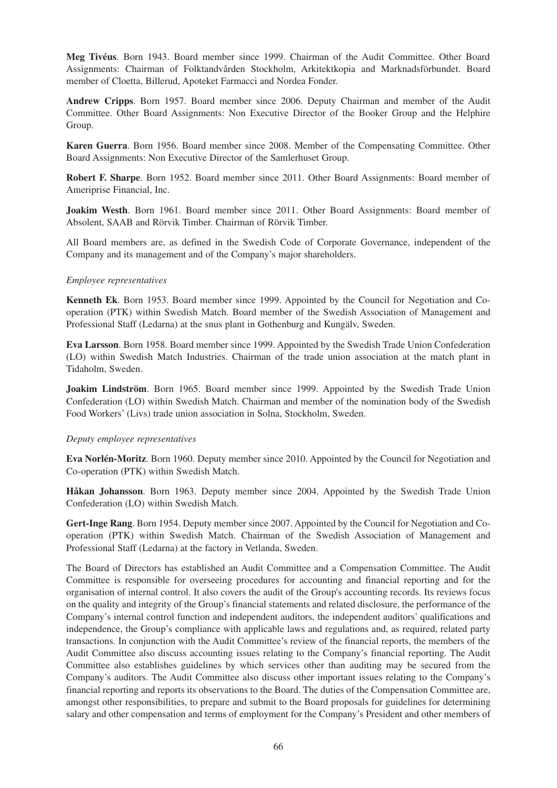**Meg Tivéus**. Born 1943. Board member since 1999. Chairman of the Audit Committee. Other Board Assignments: Chairman of Folktandvården Stockholm, Arkitektkopia and Marknadsförbundet. Board member of Cloetta, Billerud, Apoteket Farmacci and Nordea Fonder.

**Andrew Cripps**. Born 1957. Board member since 2006. Deputy Chairman and member of the Audit Committee. Other Board Assignments: Non Executive Director of the Booker Group and the Helphire Group.

**Karen Guerra**. Born 1956. Board member since 2008. Member of the Compensating Committee. Other Board Assignments: Non Executive Director of the Samlerhuset Group.

**Robert F. Sharpe**. Born 1952. Board member since 2011. Other Board Assignments: Board member of Ameriprise Financial, Inc.

**Joakim Westh**. Born 1961. Board member since 2011. Other Board Assignments: Board member of Absolent, SAAB and Rörvik Timber. Chairman of Rörvik Timber.

All Board members are, as defined in the Swedish Code of Corporate Governance, independent of the Company and its management and of the Company's major shareholders.

#### *Employee representatives*

**Kenneth Ek**. Born 1953. Board member since 1999. Appointed by the Council for Negotiation and Cooperation (PTK) within Swedish Match. Board member of the Swedish Association of Management and Professional Staff (Ledarna) at the snus plant in Gothenburg and Kungälv, Sweden.

**Eva Larsson**. Born 1958. Board member since 1999. Appointed by the Swedish Trade Union Confederation (LO) within Swedish Match Industries. Chairman of the trade union association at the match plant in Tidaholm, Sweden.

**Joakim Lindström**. Born 1965. Board member since 1999. Appointed by the Swedish Trade Union Confederation (LO) within Swedish Match. Chairman and member of the nomination body of the Swedish Food Workers' (Livs) trade union association in Solna, Stockholm, Sweden.

#### *Deputy employee representatives*

**Eva Norlén-Moritz**. Born 1960. Deputy member since 2010. Appointed by the Council for Negotiation and Co-operation (PTK) within Swedish Match.

**Håkan Johansson**. Born 1963. Deputy member since 2004. Appointed by the Swedish Trade Union Confederation (LO) within Swedish Match.

**Gert-Inge Rang**. Born 1954. Deputy member since 2007. Appointed by the Council for Negotiation and Cooperation (PTK) within Swedish Match. Chairman of the Swedish Association of Management and Professional Staff (Ledarna) at the factory in Vetlanda, Sweden.

The Board of Directors has established an Audit Committee and a Compensation Committee. The Audit Committee is responsible for overseeing procedures for accounting and financial reporting and for the organisation of internal control. It also covers the audit of the Group's accounting records. Its reviews focus on the quality and integrity of the Group's financial statements and related disclosure, the performance of the Company's internal control function and independent auditors, the independent auditors' qualifications and independence, the Group's compliance with applicable laws and regulations and, as required, related party transactions. In conjunction with the Audit Committee's review of the financial reports, the members of the Audit Committee also discuss accounting issues relating to the Company's financial reporting. The Audit Committee also establishes guidelines by which services other than auditing may be secured from the Company's auditors. The Audit Committee also discuss other important issues relating to the Company's financial reporting and reports its observations to the Board. The duties of the Compensation Committee are, amongst other responsibilities, to prepare and submit to the Board proposals for guidelines for determining salary and other compensation and terms of employment for the Company's President and other members of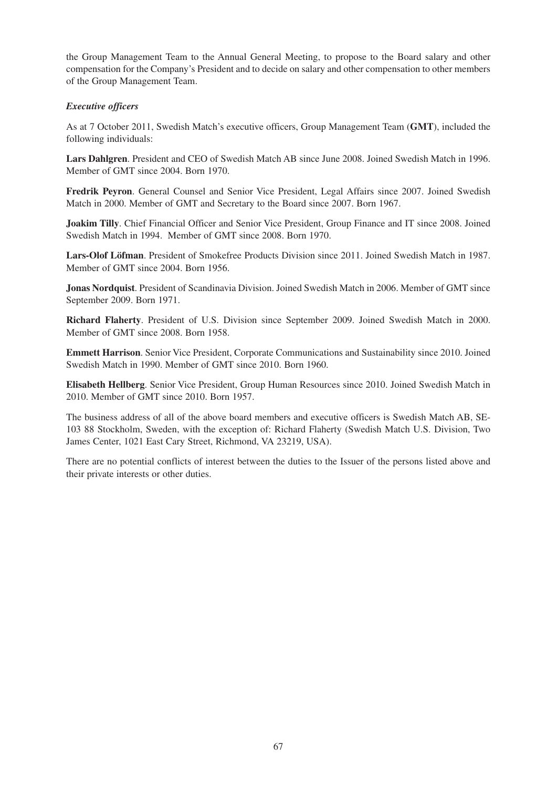the Group Management Team to the Annual General Meeting, to propose to the Board salary and other compensation for the Company's President and to decide on salary and other compensation to other members of the Group Management Team.

# *Executive officers*

As at 7 October 2011, Swedish Match's executive officers, Group Management Team (**GMT**), included the following individuals:

**Lars Dahlgren**. President and CEO of Swedish Match AB since June 2008. Joined Swedish Match in 1996. Member of GMT since 2004. Born 1970.

**Fredrik Peyron**. General Counsel and Senior Vice President, Legal Affairs since 2007. Joined Swedish Match in 2000. Member of GMT and Secretary to the Board since 2007. Born 1967.

**Joakim Tilly**. Chief Financial Officer and Senior Vice President, Group Finance and IT since 2008. Joined Swedish Match in 1994. Member of GMT since 2008. Born 1970.

**Lars-Olof Löfman**. President of Smokefree Products Division since 2011. Joined Swedish Match in 1987. Member of GMT since 2004. Born 1956.

**Jonas Nordquist**. President of Scandinavia Division. Joined Swedish Match in 2006. Member of GMT since September 2009. Born 1971.

**Richard Flaherty**. President of U.S. Division since September 2009. Joined Swedish Match in 2000. Member of GMT since 2008. Born 1958.

**Emmett Harrison**. Senior Vice President, Corporate Communications and Sustainability since 2010. Joined Swedish Match in 1990. Member of GMT since 2010. Born 1960.

**Elisabeth Hellberg**. Senior Vice President, Group Human Resources since 2010. Joined Swedish Match in 2010. Member of GMT since 2010. Born 1957.

The business address of all of the above board members and executive officers is Swedish Match AB, SE-103 88 Stockholm, Sweden, with the exception of: Richard Flaherty (Swedish Match U.S. Division, Two James Center, 1021 East Cary Street, Richmond, VA 23219, USA).

There are no potential conflicts of interest between the duties to the Issuer of the persons listed above and their private interests or other duties.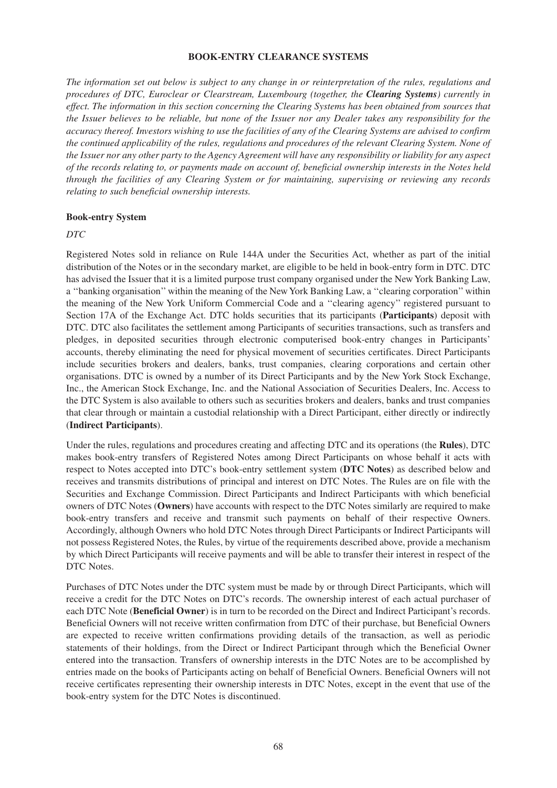#### **BOOK-ENTRY CLEARANCE SYSTEMS**

*The information set out below is subject to any change in or reinterpretation of the rules, regulations and procedures of DTC, Euroclear or Clearstream, Luxembourg (together, the Clearing Systems) currently in effect. The information in this section concerning the Clearing Systems has been obtained from sources that the Issuer believes to be reliable, but none of the Issuer nor any Dealer takes any responsibility for the accuracy thereof. Investors wishing to use the facilities of any of the Clearing Systems are advised to confirm the continued applicability of the rules, regulations and procedures of the relevant Clearing System. None of the Issuer nor any other party to the Agency Agreement will have any responsibility or liability for any aspect of the records relating to, or payments made on account of, beneficial ownership interests in the Notes held through the facilities of any Clearing System or for maintaining, supervising or reviewing any records relating to such beneficial ownership interests.*

#### **Book-entry System**

#### *DTC*

Registered Notes sold in reliance on Rule 144A under the Securities Act, whether as part of the initial distribution of the Notes or in the secondary market, are eligible to be held in book-entry form in DTC. DTC has advised the Issuer that it is a limited purpose trust company organised under the New York Banking Law, a ''banking organisation'' within the meaning of the New York Banking Law, a ''clearing corporation'' within the meaning of the New York Uniform Commercial Code and a ''clearing agency'' registered pursuant to Section 17A of the Exchange Act. DTC holds securities that its participants (**Participants**) deposit with DTC. DTC also facilitates the settlement among Participants of securities transactions, such as transfers and pledges, in deposited securities through electronic computerised book-entry changes in Participants' accounts, thereby eliminating the need for physical movement of securities certificates. Direct Participants include securities brokers and dealers, banks, trust companies, clearing corporations and certain other organisations. DTC is owned by a number of its Direct Participants and by the New York Stock Exchange, Inc., the American Stock Exchange, Inc. and the National Association of Securities Dealers, Inc. Access to the DTC System is also available to others such as securities brokers and dealers, banks and trust companies that clear through or maintain a custodial relationship with a Direct Participant, either directly or indirectly (**Indirect Participants**).

Under the rules, regulations and procedures creating and affecting DTC and its operations (the **Rules**), DTC makes book-entry transfers of Registered Notes among Direct Participants on whose behalf it acts with respect to Notes accepted into DTC's book-entry settlement system (**DTC Notes**) as described below and receives and transmits distributions of principal and interest on DTC Notes. The Rules are on file with the Securities and Exchange Commission. Direct Participants and Indirect Participants with which beneficial owners of DTC Notes (**Owners**) have accounts with respect to the DTC Notes similarly are required to make book-entry transfers and receive and transmit such payments on behalf of their respective Owners. Accordingly, although Owners who hold DTC Notes through Direct Participants or Indirect Participants will not possess Registered Notes, the Rules, by virtue of the requirements described above, provide a mechanism by which Direct Participants will receive payments and will be able to transfer their interest in respect of the DTC Notes.

Purchases of DTC Notes under the DTC system must be made by or through Direct Participants, which will receive a credit for the DTC Notes on DTC's records. The ownership interest of each actual purchaser of each DTC Note (**Beneficial Owner**) is in turn to be recorded on the Direct and Indirect Participant's records. Beneficial Owners will not receive written confirmation from DTC of their purchase, but Beneficial Owners are expected to receive written confirmations providing details of the transaction, as well as periodic statements of their holdings, from the Direct or Indirect Participant through which the Beneficial Owner entered into the transaction. Transfers of ownership interests in the DTC Notes are to be accomplished by entries made on the books of Participants acting on behalf of Beneficial Owners. Beneficial Owners will not receive certificates representing their ownership interests in DTC Notes, except in the event that use of the book-entry system for the DTC Notes is discontinued.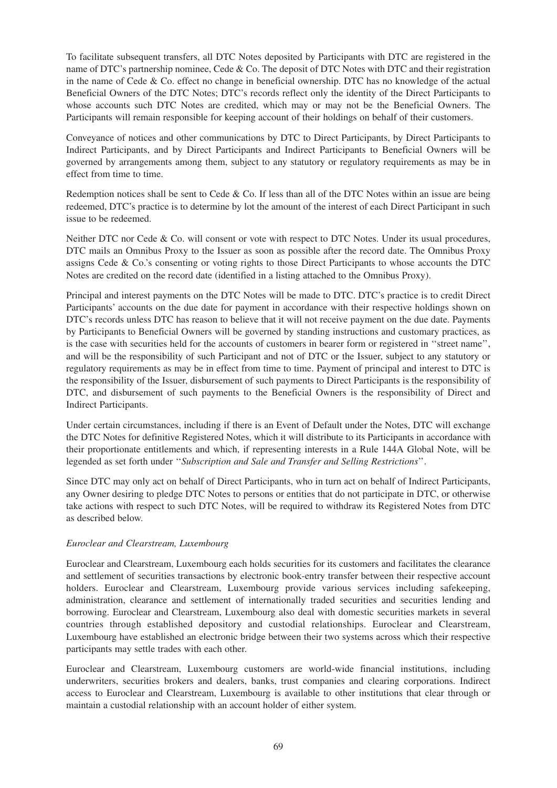To facilitate subsequent transfers, all DTC Notes deposited by Participants with DTC are registered in the name of DTC's partnership nominee, Cede & Co. The deposit of DTC Notes with DTC and their registration in the name of Cede & Co. effect no change in beneficial ownership. DTC has no knowledge of the actual Beneficial Owners of the DTC Notes; DTC's records reflect only the identity of the Direct Participants to whose accounts such DTC Notes are credited, which may or may not be the Beneficial Owners. The Participants will remain responsible for keeping account of their holdings on behalf of their customers.

Conveyance of notices and other communications by DTC to Direct Participants, by Direct Participants to Indirect Participants, and by Direct Participants and Indirect Participants to Beneficial Owners will be governed by arrangements among them, subject to any statutory or regulatory requirements as may be in effect from time to time.

Redemption notices shall be sent to Cede & Co. If less than all of the DTC Notes within an issue are being redeemed, DTC's practice is to determine by lot the amount of the interest of each Direct Participant in such issue to be redeemed.

Neither DTC nor Cede & Co. will consent or vote with respect to DTC Notes. Under its usual procedures, DTC mails an Omnibus Proxy to the Issuer as soon as possible after the record date. The Omnibus Proxy assigns Cede & Co.'s consenting or voting rights to those Direct Participants to whose accounts the DTC Notes are credited on the record date (identified in a listing attached to the Omnibus Proxy).

Principal and interest payments on the DTC Notes will be made to DTC. DTC's practice is to credit Direct Participants' accounts on the due date for payment in accordance with their respective holdings shown on DTC's records unless DTC has reason to believe that it will not receive payment on the due date. Payments by Participants to Beneficial Owners will be governed by standing instructions and customary practices, as is the case with securities held for the accounts of customers in bearer form or registered in ''street name'', and will be the responsibility of such Participant and not of DTC or the Issuer, subject to any statutory or regulatory requirements as may be in effect from time to time. Payment of principal and interest to DTC is the responsibility of the Issuer, disbursement of such payments to Direct Participants is the responsibility of DTC, and disbursement of such payments to the Beneficial Owners is the responsibility of Direct and Indirect Participants.

Under certain circumstances, including if there is an Event of Default under the Notes, DTC will exchange the DTC Notes for definitive Registered Notes, which it will distribute to its Participants in accordance with their proportionate entitlements and which, if representing interests in a Rule 144A Global Note, will be legended as set forth under ''*Subscription and Sale and Transfer and Selling Restrictions*''.

Since DTC may only act on behalf of Direct Participants, who in turn act on behalf of Indirect Participants, any Owner desiring to pledge DTC Notes to persons or entities that do not participate in DTC, or otherwise take actions with respect to such DTC Notes, will be required to withdraw its Registered Notes from DTC as described below.

## *Euroclear and Clearstream, Luxembourg*

Euroclear and Clearstream, Luxembourg each holds securities for its customers and facilitates the clearance and settlement of securities transactions by electronic book-entry transfer between their respective account holders. Euroclear and Clearstream, Luxembourg provide various services including safekeeping, administration, clearance and settlement of internationally traded securities and securities lending and borrowing. Euroclear and Clearstream, Luxembourg also deal with domestic securities markets in several countries through established depository and custodial relationships. Euroclear and Clearstream, Luxembourg have established an electronic bridge between their two systems across which their respective participants may settle trades with each other.

Euroclear and Clearstream, Luxembourg customers are world-wide financial institutions, including underwriters, securities brokers and dealers, banks, trust companies and clearing corporations. Indirect access to Euroclear and Clearstream, Luxembourg is available to other institutions that clear through or maintain a custodial relationship with an account holder of either system.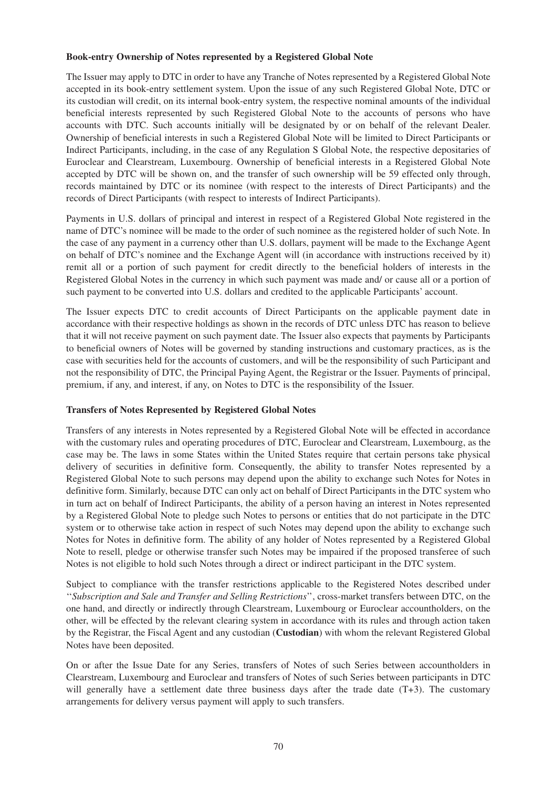#### **Book-entry Ownership of Notes represented by a Registered Global Note**

The Issuer may apply to DTC in order to have any Tranche of Notes represented by a Registered Global Note accepted in its book-entry settlement system. Upon the issue of any such Registered Global Note, DTC or its custodian will credit, on its internal book-entry system, the respective nominal amounts of the individual beneficial interests represented by such Registered Global Note to the accounts of persons who have accounts with DTC. Such accounts initially will be designated by or on behalf of the relevant Dealer. Ownership of beneficial interests in such a Registered Global Note will be limited to Direct Participants or Indirect Participants, including, in the case of any Regulation S Global Note, the respective depositaries of Euroclear and Clearstream, Luxembourg. Ownership of beneficial interests in a Registered Global Note accepted by DTC will be shown on, and the transfer of such ownership will be 59 effected only through, records maintained by DTC or its nominee (with respect to the interests of Direct Participants) and the records of Direct Participants (with respect to interests of Indirect Participants).

Payments in U.S. dollars of principal and interest in respect of a Registered Global Note registered in the name of DTC's nominee will be made to the order of such nominee as the registered holder of such Note. In the case of any payment in a currency other than U.S. dollars, payment will be made to the Exchange Agent on behalf of DTC's nominee and the Exchange Agent will (in accordance with instructions received by it) remit all or a portion of such payment for credit directly to the beneficial holders of interests in the Registered Global Notes in the currency in which such payment was made and/ or cause all or a portion of such payment to be converted into U.S. dollars and credited to the applicable Participants' account.

The Issuer expects DTC to credit accounts of Direct Participants on the applicable payment date in accordance with their respective holdings as shown in the records of DTC unless DTC has reason to believe that it will not receive payment on such payment date. The Issuer also expects that payments by Participants to beneficial owners of Notes will be governed by standing instructions and customary practices, as is the case with securities held for the accounts of customers, and will be the responsibility of such Participant and not the responsibility of DTC, the Principal Paying Agent, the Registrar or the Issuer. Payments of principal, premium, if any, and interest, if any, on Notes to DTC is the responsibility of the Issuer.

## **Transfers of Notes Represented by Registered Global Notes**

Transfers of any interests in Notes represented by a Registered Global Note will be effected in accordance with the customary rules and operating procedures of DTC, Euroclear and Clearstream, Luxembourg, as the case may be. The laws in some States within the United States require that certain persons take physical delivery of securities in definitive form. Consequently, the ability to transfer Notes represented by a Registered Global Note to such persons may depend upon the ability to exchange such Notes for Notes in definitive form. Similarly, because DTC can only act on behalf of Direct Participants in the DTC system who in turn act on behalf of Indirect Participants, the ability of a person having an interest in Notes represented by a Registered Global Note to pledge such Notes to persons or entities that do not participate in the DTC system or to otherwise take action in respect of such Notes may depend upon the ability to exchange such Notes for Notes in definitive form. The ability of any holder of Notes represented by a Registered Global Note to resell, pledge or otherwise transfer such Notes may be impaired if the proposed transferee of such Notes is not eligible to hold such Notes through a direct or indirect participant in the DTC system.

Subject to compliance with the transfer restrictions applicable to the Registered Notes described under ''*Subscription and Sale and Transfer and Selling Restrictions*'', cross-market transfers between DTC, on the one hand, and directly or indirectly through Clearstream, Luxembourg or Euroclear accountholders, on the other, will be effected by the relevant clearing system in accordance with its rules and through action taken by the Registrar, the Fiscal Agent and any custodian (**Custodian**) with whom the relevant Registered Global Notes have been deposited.

On or after the Issue Date for any Series, transfers of Notes of such Series between accountholders in Clearstream, Luxembourg and Euroclear and transfers of Notes of such Series between participants in DTC will generally have a settlement date three business days after the trade date (T+3). The customary arrangements for delivery versus payment will apply to such transfers.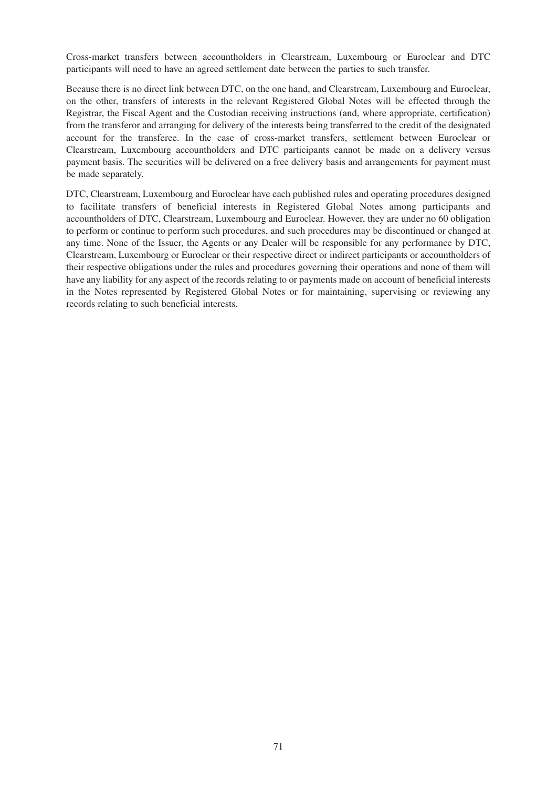Cross-market transfers between accountholders in Clearstream, Luxembourg or Euroclear and DTC participants will need to have an agreed settlement date between the parties to such transfer.

Because there is no direct link between DTC, on the one hand, and Clearstream, Luxembourg and Euroclear, on the other, transfers of interests in the relevant Registered Global Notes will be effected through the Registrar, the Fiscal Agent and the Custodian receiving instructions (and, where appropriate, certification) from the transferor and arranging for delivery of the interests being transferred to the credit of the designated account for the transferee. In the case of cross-market transfers, settlement between Euroclear or Clearstream, Luxembourg accountholders and DTC participants cannot be made on a delivery versus payment basis. The securities will be delivered on a free delivery basis and arrangements for payment must be made separately.

DTC, Clearstream, Luxembourg and Euroclear have each published rules and operating procedures designed to facilitate transfers of beneficial interests in Registered Global Notes among participants and accountholders of DTC, Clearstream, Luxembourg and Euroclear. However, they are under no 60 obligation to perform or continue to perform such procedures, and such procedures may be discontinued or changed at any time. None of the Issuer, the Agents or any Dealer will be responsible for any performance by DTC, Clearstream, Luxembourg or Euroclear or their respective direct or indirect participants or accountholders of their respective obligations under the rules and procedures governing their operations and none of them will have any liability for any aspect of the records relating to or payments made on account of beneficial interests in the Notes represented by Registered Global Notes or for maintaining, supervising or reviewing any records relating to such beneficial interests.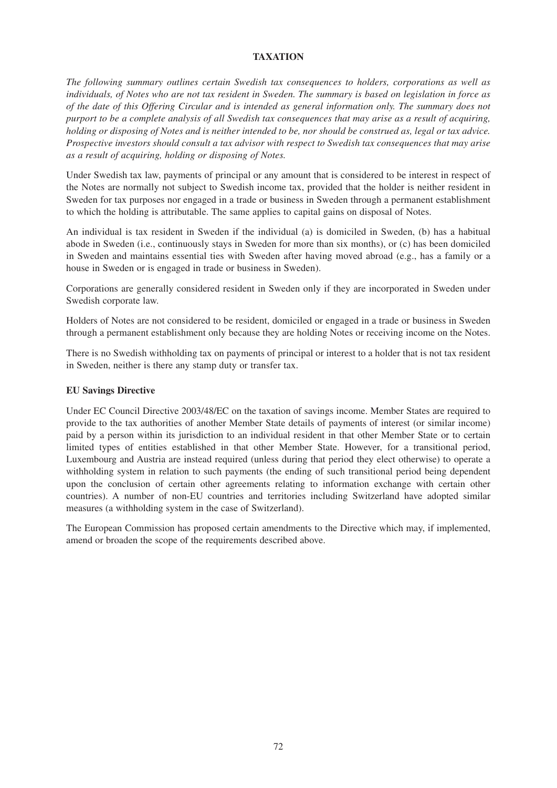# **TAXATION**

*The following summary outlines certain Swedish tax consequences to holders, corporations as well as individuals, of Notes who are not tax resident in Sweden. The summary is based on legislation in force as of the date of this Offering Circular and is intended as general information only. The summary does not purport to be a complete analysis of all Swedish tax consequences that may arise as a result of acquiring, holding or disposing of Notes and is neither intended to be, nor should be construed as, legal or tax advice. Prospective investors should consult a tax advisor with respect to Swedish tax consequences that may arise as a result of acquiring, holding or disposing of Notes.*

Under Swedish tax law, payments of principal or any amount that is considered to be interest in respect of the Notes are normally not subject to Swedish income tax, provided that the holder is neither resident in Sweden for tax purposes nor engaged in a trade or business in Sweden through a permanent establishment to which the holding is attributable. The same applies to capital gains on disposal of Notes.

An individual is tax resident in Sweden if the individual (a) is domiciled in Sweden, (b) has a habitual abode in Sweden (i.e., continuously stays in Sweden for more than six months), or (c) has been domiciled in Sweden and maintains essential ties with Sweden after having moved abroad (e.g., has a family or a house in Sweden or is engaged in trade or business in Sweden).

Corporations are generally considered resident in Sweden only if they are incorporated in Sweden under Swedish corporate law.

Holders of Notes are not considered to be resident, domiciled or engaged in a trade or business in Sweden through a permanent establishment only because they are holding Notes or receiving income on the Notes.

There is no Swedish withholding tax on payments of principal or interest to a holder that is not tax resident in Sweden, neither is there any stamp duty or transfer tax.

# **EU Savings Directive**

Under EC Council Directive 2003/48/EC on the taxation of savings income. Member States are required to provide to the tax authorities of another Member State details of payments of interest (or similar income) paid by a person within its jurisdiction to an individual resident in that other Member State or to certain limited types of entities established in that other Member State. However, for a transitional period, Luxembourg and Austria are instead required (unless during that period they elect otherwise) to operate a withholding system in relation to such payments (the ending of such transitional period being dependent upon the conclusion of certain other agreements relating to information exchange with certain other countries). A number of non-EU countries and territories including Switzerland have adopted similar measures (a withholding system in the case of Switzerland).

The European Commission has proposed certain amendments to the Directive which may, if implemented, amend or broaden the scope of the requirements described above.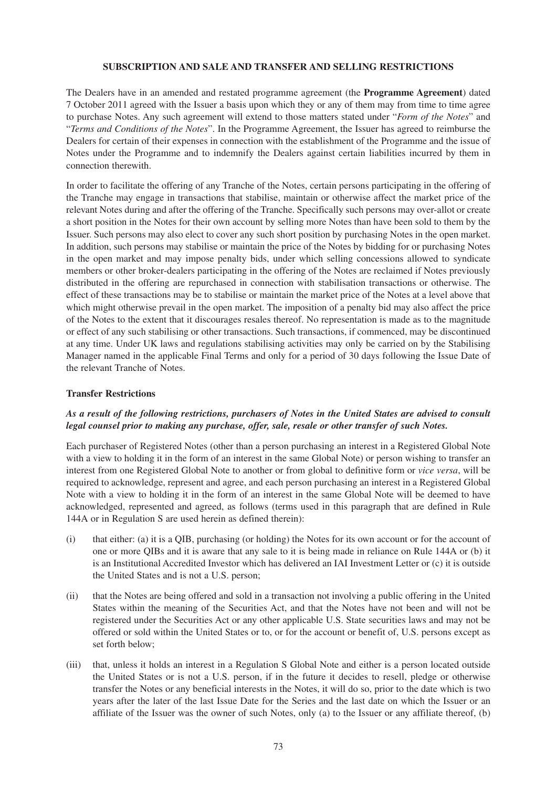#### **SUBSCRIPTION AND SALE AND TRANSFER AND SELLING RESTRICTIONS**

The Dealers have in an amended and restated programme agreement (the **Programme Agreement**) dated 7 October 2011 agreed with the Issuer a basis upon which they or any of them may from time to time agree to purchase Notes. Any such agreement will extend to those matters stated under "*Form of the Notes*" and "*Terms and Conditions of the Notes*". In the Programme Agreement, the Issuer has agreed to reimburse the Dealers for certain of their expenses in connection with the establishment of the Programme and the issue of Notes under the Programme and to indemnify the Dealers against certain liabilities incurred by them in connection therewith.

In order to facilitate the offering of any Tranche of the Notes, certain persons participating in the offering of the Tranche may engage in transactions that stabilise, maintain or otherwise affect the market price of the relevant Notes during and after the offering of the Tranche. Specifically such persons may over-allot or create a short position in the Notes for their own account by selling more Notes than have been sold to them by the Issuer. Such persons may also elect to cover any such short position by purchasing Notes in the open market. In addition, such persons may stabilise or maintain the price of the Notes by bidding for or purchasing Notes in the open market and may impose penalty bids, under which selling concessions allowed to syndicate members or other broker-dealers participating in the offering of the Notes are reclaimed if Notes previously distributed in the offering are repurchased in connection with stabilisation transactions or otherwise. The effect of these transactions may be to stabilise or maintain the market price of the Notes at a level above that which might otherwise prevail in the open market. The imposition of a penalty bid may also affect the price of the Notes to the extent that it discourages resales thereof. No representation is made as to the magnitude or effect of any such stabilising or other transactions. Such transactions, if commenced, may be discontinued at any time. Under UK laws and regulations stabilising activities may only be carried on by the Stabilising Manager named in the applicable Final Terms and only for a period of 30 days following the Issue Date of the relevant Tranche of Notes.

#### **Transfer Restrictions**

#### *As a result of the following restrictions, purchasers of Notes in the United States are advised to consult legal counsel prior to making any purchase, offer, sale, resale or other transfer of such Notes.*

Each purchaser of Registered Notes (other than a person purchasing an interest in a Registered Global Note with a view to holding it in the form of an interest in the same Global Note) or person wishing to transfer an interest from one Registered Global Note to another or from global to definitive form or *vice versa*, will be required to acknowledge, represent and agree, and each person purchasing an interest in a Registered Global Note with a view to holding it in the form of an interest in the same Global Note will be deemed to have acknowledged, represented and agreed, as follows (terms used in this paragraph that are defined in Rule 144A or in Regulation S are used herein as defined therein):

- (i) that either: (a) it is a QIB, purchasing (or holding) the Notes for its own account or for the account of one or more QIBs and it is aware that any sale to it is being made in reliance on Rule 144A or (b) it is an Institutional Accredited Investor which has delivered an IAI Investment Letter or (c) it is outside the United States and is not a U.S. person;
- (ii) that the Notes are being offered and sold in a transaction not involving a public offering in the United States within the meaning of the Securities Act, and that the Notes have not been and will not be registered under the Securities Act or any other applicable U.S. State securities laws and may not be offered or sold within the United States or to, or for the account or benefit of, U.S. persons except as set forth below;
- (iii) that, unless it holds an interest in a Regulation S Global Note and either is a person located outside the United States or is not a U.S. person, if in the future it decides to resell, pledge or otherwise transfer the Notes or any beneficial interests in the Notes, it will do so, prior to the date which is two years after the later of the last Issue Date for the Series and the last date on which the Issuer or an affiliate of the Issuer was the owner of such Notes, only (a) to the Issuer or any affiliate thereof, (b)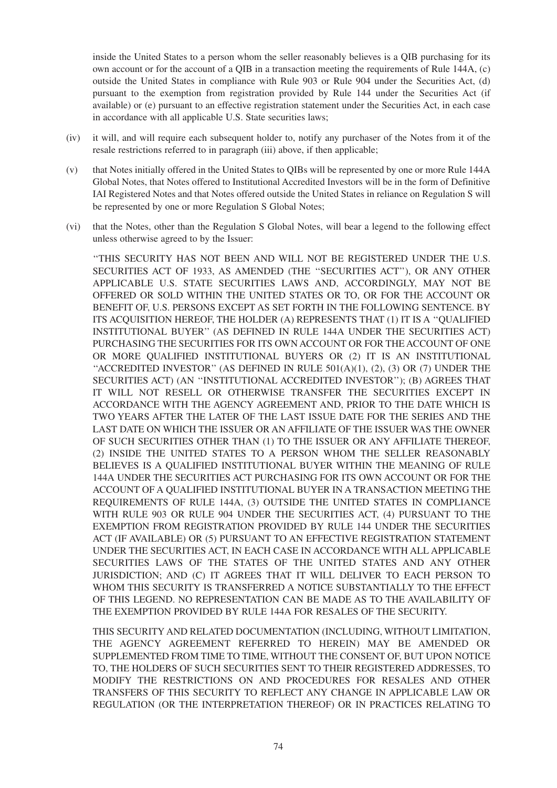inside the United States to a person whom the seller reasonably believes is a QIB purchasing for its own account or for the account of a QIB in a transaction meeting the requirements of Rule 144A, (c) outside the United States in compliance with Rule 903 or Rule 904 under the Securities Act, (d) pursuant to the exemption from registration provided by Rule 144 under the Securities Act (if available) or (e) pursuant to an effective registration statement under the Securities Act, in each case in accordance with all applicable U.S. State securities laws;

- (iv) it will, and will require each subsequent holder to, notify any purchaser of the Notes from it of the resale restrictions referred to in paragraph (iii) above, if then applicable;
- (v) that Notes initially offered in the United States to QIBs will be represented by one or more Rule 144A Global Notes, that Notes offered to Institutional Accredited Investors will be in the form of Definitive IAI Registered Notes and that Notes offered outside the United States in reliance on Regulation S will be represented by one or more Regulation S Global Notes;
- (vi) that the Notes, other than the Regulation S Global Notes, will bear a legend to the following effect unless otherwise agreed to by the Issuer:

''THIS SECURITY HAS NOT BEEN AND WILL NOT BE REGISTERED UNDER THE U.S. SECURITIES ACT OF 1933, AS AMENDED (THE ''SECURITIES ACT''), OR ANY OTHER APPLICABLE U.S. STATE SECURITIES LAWS AND, ACCORDINGLY, MAY NOT BE OFFERED OR SOLD WITHIN THE UNITED STATES OR TO, OR FOR THE ACCOUNT OR BENEFIT OF, U.S. PERSONS EXCEPT AS SET FORTH IN THE FOLLOWING SENTENCE. BY ITS ACQUISITION HEREOF, THE HOLDER (A) REPRESENTS THAT (1) IT IS A ''QUALIFIED INSTITUTIONAL BUYER'' (AS DEFINED IN RULE 144A UNDER THE SECURITIES ACT) PURCHASING THE SECURITIES FOR ITS OWN ACCOUNT OR FOR THE ACCOUNT OF ONE OR MORE QUALIFIED INSTITUTIONAL BUYERS OR (2) IT IS AN INSTITUTIONAL "ACCREDITED INVESTOR" (AS DEFINED IN RULE  $501(A)(1)$ ,  $(2)$ ,  $(3)$  OR  $(7)$  UNDER THE SECURITIES ACT) (AN ''INSTITUTIONAL ACCREDITED INVESTOR''); (B) AGREES THAT IT WILL NOT RESELL OR OTHERWISE TRANSFER THE SECURITIES EXCEPT IN ACCORDANCE WITH THE AGENCY AGREEMENT AND, PRIOR TO THE DATE WHICH IS TWO YEARS AFTER THE LATER OF THE LAST ISSUE DATE FOR THE SERIES AND THE LAST DATE ON WHICH THE ISSUER OR AN AFFILIATE OF THE ISSUER WAS THE OWNER OF SUCH SECURITIES OTHER THAN (1) TO THE ISSUER OR ANY AFFILIATE THEREOF, (2) INSIDE THE UNITED STATES TO A PERSON WHOM THE SELLER REASONABLY BELIEVES IS A QUALIFIED INSTITUTIONAL BUYER WITHIN THE MEANING OF RULE 144A UNDER THE SECURITIES ACT PURCHASING FOR ITS OWN ACCOUNT OR FOR THE ACCOUNT OF A QUALIFIED INSTITUTIONAL BUYER IN A TRANSACTION MEETING THE REQUIREMENTS OF RULE 144A, (3) OUTSIDE THE UNITED STATES IN COMPLIANCE WITH RULE 903 OR RULE 904 UNDER THE SECURITIES ACT, (4) PURSUANT TO THE EXEMPTION FROM REGISTRATION PROVIDED BY RULE 144 UNDER THE SECURITIES ACT (IF AVAILABLE) OR (5) PURSUANT TO AN EFFECTIVE REGISTRATION STATEMENT UNDER THE SECURITIES ACT, IN EACH CASE IN ACCORDANCE WITH ALL APPLICABLE SECURITIES LAWS OF THE STATES OF THE UNITED STATES AND ANY OTHER JURISDICTION; AND (C) IT AGREES THAT IT WILL DELIVER TO EACH PERSON TO WHOM THIS SECURITY IS TRANSFERRED A NOTICE SUBSTANTIALLY TO THE EFFECT OF THIS LEGEND. NO REPRESENTATION CAN BE MADE AS TO THE AVAILABILITY OF THE EXEMPTION PROVIDED BY RULE 144A FOR RESALES OF THE SECURITY.

THIS SECURITY AND RELATED DOCUMENTATION (INCLUDING, WITHOUT LIMITATION, THE AGENCY AGREEMENT REFERRED TO HEREIN) MAY BE AMENDED OR SUPPLEMENTED FROM TIME TO TIME, WITHOUT THE CONSENT OF, BUT UPON NOTICE TO, THE HOLDERS OF SUCH SECURITIES SENT TO THEIR REGISTERED ADDRESSES, TO MODIFY THE RESTRICTIONS ON AND PROCEDURES FOR RESALES AND OTHER TRANSFERS OF THIS SECURITY TO REFLECT ANY CHANGE IN APPLICABLE LAW OR REGULATION (OR THE INTERPRETATION THEREOF) OR IN PRACTICES RELATING TO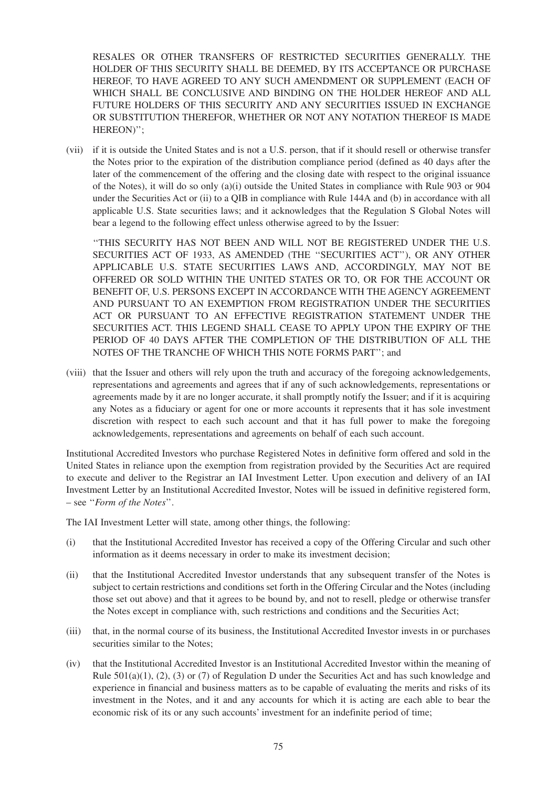RESALES OR OTHER TRANSFERS OF RESTRICTED SECURITIES GENERALLY. THE HOLDER OF THIS SECURITY SHALL BE DEEMED, BY ITS ACCEPTANCE OR PURCHASE HEREOF, TO HAVE AGREED TO ANY SUCH AMENDMENT OR SUPPLEMENT (EACH OF WHICH SHALL BE CONCLUSIVE AND BINDING ON THE HOLDER HEREOF AND ALL FUTURE HOLDERS OF THIS SECURITY AND ANY SECURITIES ISSUED IN EXCHANGE OR SUBSTITUTION THEREFOR, WHETHER OR NOT ANY NOTATION THEREOF IS MADE HEREON)'';

(vii) if it is outside the United States and is not a U.S. person, that if it should resell or otherwise transfer the Notes prior to the expiration of the distribution compliance period (defined as 40 days after the later of the commencement of the offering and the closing date with respect to the original issuance of the Notes), it will do so only (a)(i) outside the United States in compliance with Rule 903 or 904 under the Securities Act or (ii) to a QIB in compliance with Rule 144A and (b) in accordance with all applicable U.S. State securities laws; and it acknowledges that the Regulation S Global Notes will bear a legend to the following effect unless otherwise agreed to by the Issuer:

''THIS SECURITY HAS NOT BEEN AND WILL NOT BE REGISTERED UNDER THE U.S. SECURITIES ACT OF 1933, AS AMENDED (THE ''SECURITIES ACT''), OR ANY OTHER APPLICABLE U.S. STATE SECURITIES LAWS AND, ACCORDINGLY, MAY NOT BE OFFERED OR SOLD WITHIN THE UNITED STATES OR TO, OR FOR THE ACCOUNT OR BENEFIT OF, U.S. PERSONS EXCEPT IN ACCORDANCE WITH THE AGENCY AGREEMENT AND PURSUANT TO AN EXEMPTION FROM REGISTRATION UNDER THE SECURITIES ACT OR PURSUANT TO AN EFFECTIVE REGISTRATION STATEMENT UNDER THE SECURITIES ACT. THIS LEGEND SHALL CEASE TO APPLY UPON THE EXPIRY OF THE PERIOD OF 40 DAYS AFTER THE COMPLETION OF THE DISTRIBUTION OF ALL THE NOTES OF THE TRANCHE OF WHICH THIS NOTE FORMS PART''; and

(viii) that the Issuer and others will rely upon the truth and accuracy of the foregoing acknowledgements, representations and agreements and agrees that if any of such acknowledgements, representations or agreements made by it are no longer accurate, it shall promptly notify the Issuer; and if it is acquiring any Notes as a fiduciary or agent for one or more accounts it represents that it has sole investment discretion with respect to each such account and that it has full power to make the foregoing acknowledgements, representations and agreements on behalf of each such account.

Institutional Accredited Investors who purchase Registered Notes in definitive form offered and sold in the United States in reliance upon the exemption from registration provided by the Securities Act are required to execute and deliver to the Registrar an IAI Investment Letter. Upon execution and delivery of an IAI Investment Letter by an Institutional Accredited Investor, Notes will be issued in definitive registered form, – see ''*Form of the Notes*''.

The IAI Investment Letter will state, among other things, the following:

- (i) that the Institutional Accredited Investor has received a copy of the Offering Circular and such other information as it deems necessary in order to make its investment decision;
- (ii) that the Institutional Accredited Investor understands that any subsequent transfer of the Notes is subject to certain restrictions and conditions set forth in the Offering Circular and the Notes (including those set out above) and that it agrees to be bound by, and not to resell, pledge or otherwise transfer the Notes except in compliance with, such restrictions and conditions and the Securities Act;
- (iii) that, in the normal course of its business, the Institutional Accredited Investor invests in or purchases securities similar to the Notes;
- (iv) that the Institutional Accredited Investor is an Institutional Accredited Investor within the meaning of Rule  $501(a)(1)$ ,  $(2)$ ,  $(3)$  or  $(7)$  of Regulation D under the Securities Act and has such knowledge and experience in financial and business matters as to be capable of evaluating the merits and risks of its investment in the Notes, and it and any accounts for which it is acting are each able to bear the economic risk of its or any such accounts' investment for an indefinite period of time;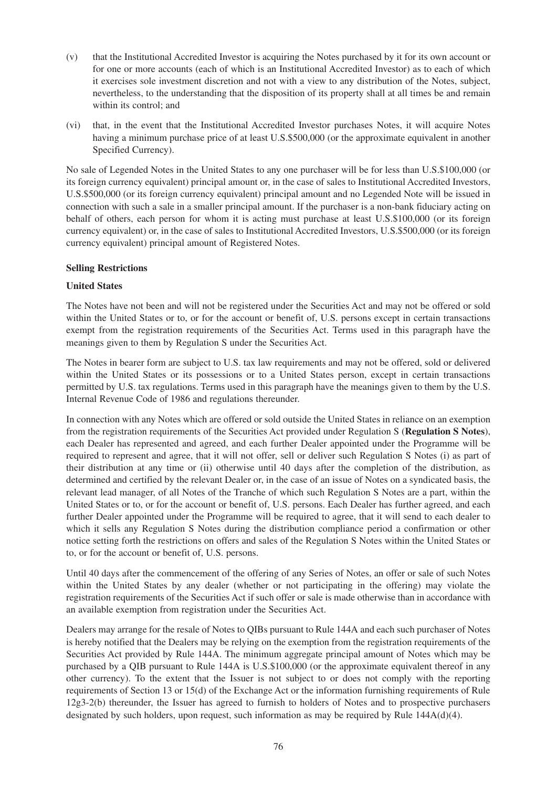- (v) that the Institutional Accredited Investor is acquiring the Notes purchased by it for its own account or for one or more accounts (each of which is an Institutional Accredited Investor) as to each of which it exercises sole investment discretion and not with a view to any distribution of the Notes, subject, nevertheless, to the understanding that the disposition of its property shall at all times be and remain within its control; and
- (vi) that, in the event that the Institutional Accredited Investor purchases Notes, it will acquire Notes having a minimum purchase price of at least U.S.\$500,000 (or the approximate equivalent in another Specified Currency).

No sale of Legended Notes in the United States to any one purchaser will be for less than U.S.\$100,000 (or its foreign currency equivalent) principal amount or, in the case of sales to Institutional Accredited Investors, U.S.\$500,000 (or its foreign currency equivalent) principal amount and no Legended Note will be issued in connection with such a sale in a smaller principal amount. If the purchaser is a non-bank fiduciary acting on behalf of others, each person for whom it is acting must purchase at least U.S.\$100,000 (or its foreign currency equivalent) or, in the case of sales to Institutional Accredited Investors, U.S.\$500,000 (or its foreign currency equivalent) principal amount of Registered Notes.

#### **Selling Restrictions**

### **United States**

The Notes have not been and will not be registered under the Securities Act and may not be offered or sold within the United States or to, or for the account or benefit of, U.S. persons except in certain transactions exempt from the registration requirements of the Securities Act. Terms used in this paragraph have the meanings given to them by Regulation S under the Securities Act.

The Notes in bearer form are subject to U.S. tax law requirements and may not be offered, sold or delivered within the United States or its possessions or to a United States person, except in certain transactions permitted by U.S. tax regulations. Terms used in this paragraph have the meanings given to them by the U.S. Internal Revenue Code of 1986 and regulations thereunder.

In connection with any Notes which are offered or sold outside the United States in reliance on an exemption from the registration requirements of the Securities Act provided under Regulation S (**Regulation S Notes**), each Dealer has represented and agreed, and each further Dealer appointed under the Programme will be required to represent and agree, that it will not offer, sell or deliver such Regulation S Notes (i) as part of their distribution at any time or (ii) otherwise until 40 days after the completion of the distribution, as determined and certified by the relevant Dealer or, in the case of an issue of Notes on a syndicated basis, the relevant lead manager, of all Notes of the Tranche of which such Regulation S Notes are a part, within the United States or to, or for the account or benefit of, U.S. persons. Each Dealer has further agreed, and each further Dealer appointed under the Programme will be required to agree, that it will send to each dealer to which it sells any Regulation S Notes during the distribution compliance period a confirmation or other notice setting forth the restrictions on offers and sales of the Regulation S Notes within the United States or to, or for the account or benefit of, U.S. persons.

Until 40 days after the commencement of the offering of any Series of Notes, an offer or sale of such Notes within the United States by any dealer (whether or not participating in the offering) may violate the registration requirements of the Securities Act if such offer or sale is made otherwise than in accordance with an available exemption from registration under the Securities Act.

Dealers may arrange for the resale of Notes to QIBs pursuant to Rule 144A and each such purchaser of Notes is hereby notified that the Dealers may be relying on the exemption from the registration requirements of the Securities Act provided by Rule 144A. The minimum aggregate principal amount of Notes which may be purchased by a QIB pursuant to Rule 144A is U.S.\$100,000 (or the approximate equivalent thereof in any other currency). To the extent that the Issuer is not subject to or does not comply with the reporting requirements of Section 13 or 15(d) of the Exchange Act or the information furnishing requirements of Rule 12g3-2(b) thereunder, the Issuer has agreed to furnish to holders of Notes and to prospective purchasers designated by such holders, upon request, such information as may be required by Rule 144A(d)(4).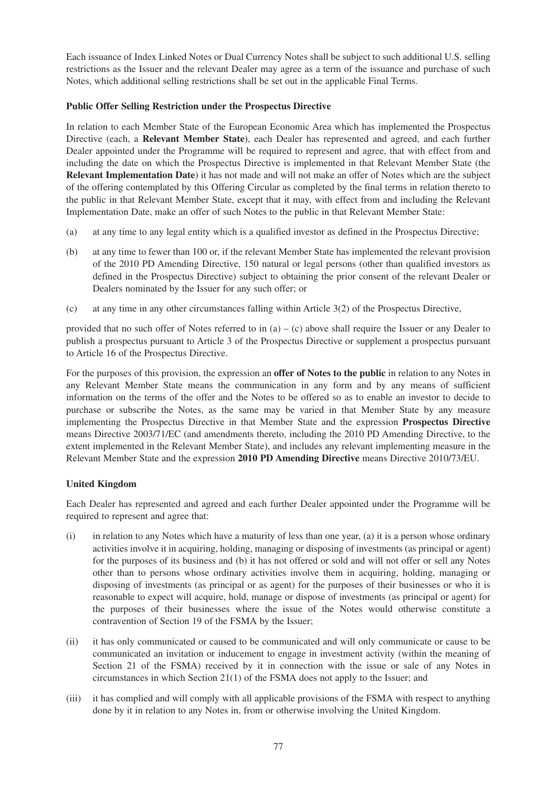Each issuance of Index Linked Notes or Dual Currency Notes shall be subject to such additional U.S. selling restrictions as the Issuer and the relevant Dealer may agree as a term of the issuance and purchase of such Notes, which additional selling restrictions shall be set out in the applicable Final Terms.

#### **Public Offer Selling Restriction under the Prospectus Directive**

In relation to each Member State of the European Economic Area which has implemented the Prospectus Directive (each, a **Relevant Member State**), each Dealer has represented and agreed, and each further Dealer appointed under the Programme will be required to represent and agree, that with effect from and including the date on which the Prospectus Directive is implemented in that Relevant Member State (the **Relevant Implementation Date**) it has not made and will not make an offer of Notes which are the subject of the offering contemplated by this Offering Circular as completed by the final terms in relation thereto to the public in that Relevant Member State, except that it may, with effect from and including the Relevant Implementation Date, make an offer of such Notes to the public in that Relevant Member State:

- (a) at any time to any legal entity which is a qualified investor as defined in the Prospectus Directive;
- (b) at any time to fewer than 100 or, if the relevant Member State has implemented the relevant provision of the 2010 PD Amending Directive, 150 natural or legal persons (other than qualified investors as defined in the Prospectus Directive) subject to obtaining the prior consent of the relevant Dealer or Dealers nominated by the Issuer for any such offer; or
- (c) at any time in any other circumstances falling within Article 3(2) of the Prospectus Directive,

provided that no such offer of Notes referred to in (a) – (c) above shall require the Issuer or any Dealer to publish a prospectus pursuant to Article 3 of the Prospectus Directive or supplement a prospectus pursuant to Article 16 of the Prospectus Directive.

For the purposes of this provision, the expression an **offer of Notes to the public** in relation to any Notes in any Relevant Member State means the communication in any form and by any means of sufficient information on the terms of the offer and the Notes to be offered so as to enable an investor to decide to purchase or subscribe the Notes, as the same may be varied in that Member State by any measure implementing the Prospectus Directive in that Member State and the expression **Prospectus Directive** means Directive 2003/71/EC (and amendments thereto, including the 2010 PD Amending Directive, to the extent implemented in the Relevant Member State), and includes any relevant implementing measure in the Relevant Member State and the expression **2010 PD Amending Directive** means Directive 2010/73/EU.

### **United Kingdom**

Each Dealer has represented and agreed and each further Dealer appointed under the Programme will be required to represent and agree that:

- (i) in relation to any Notes which have a maturity of less than one year, (a) it is a person whose ordinary activities involve it in acquiring, holding, managing or disposing of investments (as principal or agent) for the purposes of its business and (b) it has not offered or sold and will not offer or sell any Notes other than to persons whose ordinary activities involve them in acquiring, holding, managing or disposing of investments (as principal or as agent) for the purposes of their businesses or who it is reasonable to expect will acquire, hold, manage or dispose of investments (as principal or agent) for the purposes of their businesses where the issue of the Notes would otherwise constitute a contravention of Section 19 of the FSMA by the Issuer;
- (ii) it has only communicated or caused to be communicated and will only communicate or cause to be communicated an invitation or inducement to engage in investment activity (within the meaning of Section 21 of the FSMA) received by it in connection with the issue or sale of any Notes in circumstances in which Section 21(1) of the FSMA does not apply to the Issuer; and
- (iii) it has complied and will comply with all applicable provisions of the FSMA with respect to anything done by it in relation to any Notes in, from or otherwise involving the United Kingdom.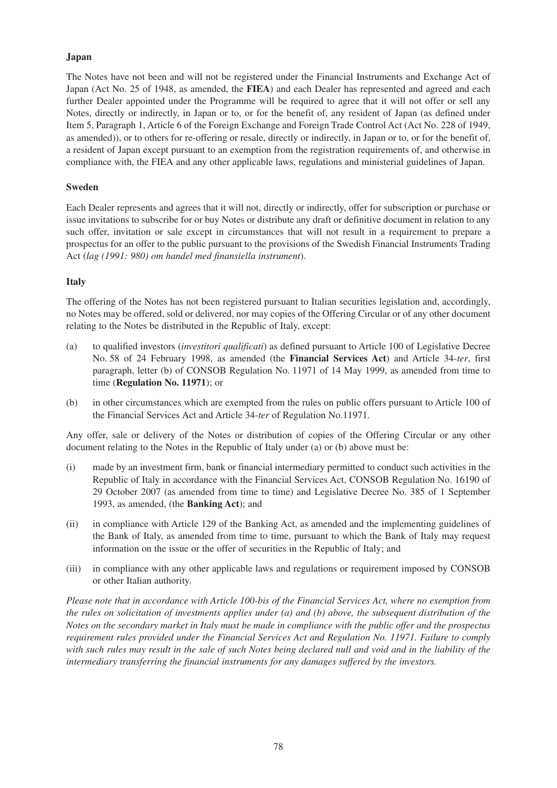#### **Japan**

The Notes have not been and will not be registered under the Financial Instruments and Exchange Act of Japan (Act No. 25 of 1948, as amended, the **FIEA**) and each Dealer has represented and agreed and each further Dealer appointed under the Programme will be required to agree that it will not offer or sell any Notes, directly or indirectly, in Japan or to, or for the benefit of, any resident of Japan (as defined under Item 5, Paragraph 1, Article 6 of the Foreign Exchange and Foreign Trade Control Act (Act No. 228 of 1949, as amended)), or to others for re-offering or resale, directly or indirectly, in Japan or to, or for the benefit of, a resident of Japan except pursuant to an exemption from the registration requirements of, and otherwise in compliance with, the FIEA and any other applicable laws, regulations and ministerial guidelines of Japan.

#### **Sweden**

Each Dealer represents and agrees that it will not, directly or indirectly, offer for subscription or purchase or issue invitations to subscribe for or buy Notes or distribute any draft or definitive document in relation to any such offer, invitation or sale except in circumstances that will not result in a requirement to prepare a prospectus for an offer to the public pursuant to the provisions of the Swedish Financial Instruments Trading Act (*lag (1991: 980) om handel med finansiella instrument*).

#### **Italy**

The offering of the Notes has not been registered pursuant to Italian securities legislation and, accordingly, no Notes may be offered, sold or delivered, nor may copies of the Offering Circular or of any other document relating to the Notes be distributed in the Republic of Italy, except:

- (a) to qualified investors (*investitori qualificati*) as defined pursuant to Article 100 of Legislative Decree No. 58 of 24 February 1998, as amended (the **Financial Services Act**) and Article 34-*ter*, first paragraph, letter (b) of CONSOB Regulation No. 11971 of 14 May 1999, as amended from time to time (**Regulation No. 11971**); or
- (b) in other circumstances which are exempted from the rules on public offers pursuant to Article 100 of the Financial Services Act and Article 34-*ter* of Regulation No.11971.

Any offer, sale or delivery of the Notes or distribution of copies of the Offering Circular or any other document relating to the Notes in the Republic of Italy under (a) or (b) above must be:

- (i) made by an investment firm, bank or financial intermediary permitted to conduct such activities in the Republic of Italy in accordance with the Financial Services Act, CONSOB Regulation No. 16190 of 29 October 2007 (as amended from time to time) and Legislative Decree No. 385 of 1 September 1993, as amended, (the **Banking Act**); and
- (ii) in compliance with Article 129 of the Banking Act, as amended and the implementing guidelines of the Bank of Italy, as amended from time to time, pursuant to which the Bank of Italy may request information on the issue or the offer of securities in the Republic of Italy; and
- (iii) in compliance with any other applicable laws and regulations or requirement imposed by CONSOB or other Italian authority.

*Please note that in accordance with Article 100-bis of the Financial Services Act, where no exemption from the rules on solicitation of investments applies under (a) and (b) above, the subsequent distribution of the Notes on the secondary market in Italy must be made in compliance with the public offer and the prospectus requirement rules provided under the Financial Services Act and Regulation No. 11971. Failure to comply with such rules may result in the sale of such Notes being declared null and void and in the liability of the intermediary transferring the financial instruments for any damages suffered by the investors.*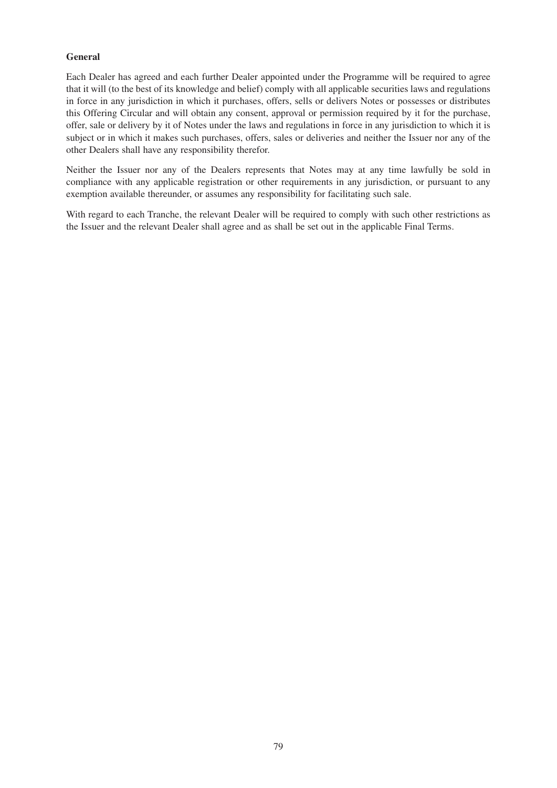### **General**

Each Dealer has agreed and each further Dealer appointed under the Programme will be required to agree that it will (to the best of its knowledge and belief) comply with all applicable securities laws and regulations in force in any jurisdiction in which it purchases, offers, sells or delivers Notes or possesses or distributes this Offering Circular and will obtain any consent, approval or permission required by it for the purchase, offer, sale or delivery by it of Notes under the laws and regulations in force in any jurisdiction to which it is subject or in which it makes such purchases, offers, sales or deliveries and neither the Issuer nor any of the other Dealers shall have any responsibility therefor.

Neither the Issuer nor any of the Dealers represents that Notes may at any time lawfully be sold in compliance with any applicable registration or other requirements in any jurisdiction, or pursuant to any exemption available thereunder, or assumes any responsibility for facilitating such sale.

With regard to each Tranche, the relevant Dealer will be required to comply with such other restrictions as the Issuer and the relevant Dealer shall agree and as shall be set out in the applicable Final Terms.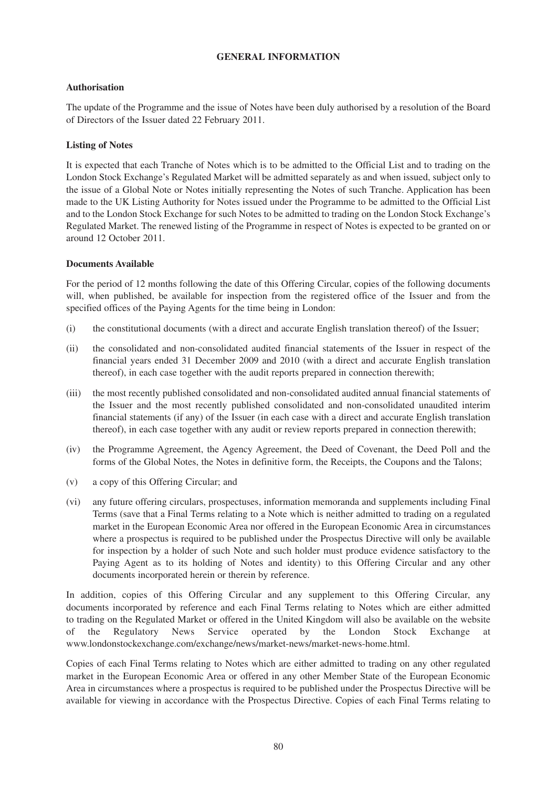#### **GENERAL INFORMATION**

#### **Authorisation**

The update of the Programme and the issue of Notes have been duly authorised by a resolution of the Board of Directors of the Issuer dated 22 February 2011.

#### **Listing of Notes**

It is expected that each Tranche of Notes which is to be admitted to the Official List and to trading on the London Stock Exchange's Regulated Market will be admitted separately as and when issued, subject only to the issue of a Global Note or Notes initially representing the Notes of such Tranche. Application has been made to the UK Listing Authority for Notes issued under the Programme to be admitted to the Official List and to the London Stock Exchange for such Notes to be admitted to trading on the London Stock Exchange's Regulated Market. The renewed listing of the Programme in respect of Notes is expected to be granted on or around 12 October 2011.

#### **Documents Available**

For the period of 12 months following the date of this Offering Circular, copies of the following documents will, when published, be available for inspection from the registered office of the Issuer and from the specified offices of the Paying Agents for the time being in London:

- (i) the constitutional documents (with a direct and accurate English translation thereof) of the Issuer;
- (ii) the consolidated and non-consolidated audited financial statements of the Issuer in respect of the financial years ended 31 December 2009 and 2010 (with a direct and accurate English translation thereof), in each case together with the audit reports prepared in connection therewith;
- (iii) the most recently published consolidated and non-consolidated audited annual financial statements of the Issuer and the most recently published consolidated and non-consolidated unaudited interim financial statements (if any) of the Issuer (in each case with a direct and accurate English translation thereof), in each case together with any audit or review reports prepared in connection therewith;
- (iv) the Programme Agreement, the Agency Agreement, the Deed of Covenant, the Deed Poll and the forms of the Global Notes, the Notes in definitive form, the Receipts, the Coupons and the Talons;
- (v) a copy of this Offering Circular; and
- (vi) any future offering circulars, prospectuses, information memoranda and supplements including Final Terms (save that a Final Terms relating to a Note which is neither admitted to trading on a regulated market in the European Economic Area nor offered in the European Economic Area in circumstances where a prospectus is required to be published under the Prospectus Directive will only be available for inspection by a holder of such Note and such holder must produce evidence satisfactory to the Paying Agent as to its holding of Notes and identity) to this Offering Circular and any other documents incorporated herein or therein by reference.

In addition, copies of this Offering Circular and any supplement to this Offering Circular, any documents incorporated by reference and each Final Terms relating to Notes which are either admitted to trading on the Regulated Market or offered in the United Kingdom will also be available on the website of the Regulatory News Service operated by the London Stock Exchange at www.londonstockexchange.com/exchange/news/market-news/market-news-home.html.

Copies of each Final Terms relating to Notes which are either admitted to trading on any other regulated market in the European Economic Area or offered in any other Member State of the European Economic Area in circumstances where a prospectus is required to be published under the Prospectus Directive will be available for viewing in accordance with the Prospectus Directive. Copies of each Final Terms relating to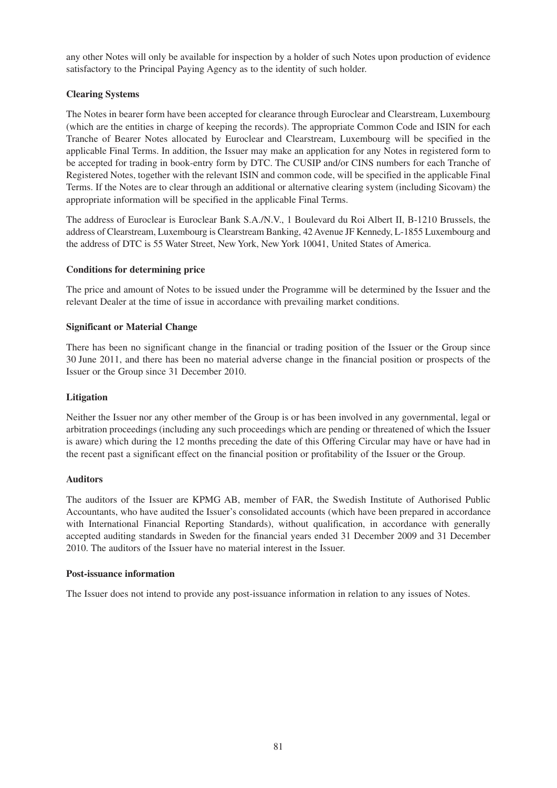any other Notes will only be available for inspection by a holder of such Notes upon production of evidence satisfactory to the Principal Paying Agency as to the identity of such holder.

### **Clearing Systems**

The Notes in bearer form have been accepted for clearance through Euroclear and Clearstream, Luxembourg (which are the entities in charge of keeping the records). The appropriate Common Code and ISIN for each Tranche of Bearer Notes allocated by Euroclear and Clearstream, Luxembourg will be specified in the applicable Final Terms. In addition, the Issuer may make an application for any Notes in registered form to be accepted for trading in book-entry form by DTC. The CUSIP and/or CINS numbers for each Tranche of Registered Notes, together with the relevant ISIN and common code, will be specified in the applicable Final Terms. If the Notes are to clear through an additional or alternative clearing system (including Sicovam) the appropriate information will be specified in the applicable Final Terms.

The address of Euroclear is Euroclear Bank S.A./N.V., 1 Boulevard du Roi Albert II, B-1210 Brussels, the address of Clearstream, Luxembourg is Clearstream Banking, 42 Avenue JF Kennedy, L-1855 Luxembourg and the address of DTC is 55 Water Street, New York, New York 10041, United States of America.

### **Conditions for determining price**

The price and amount of Notes to be issued under the Programme will be determined by the Issuer and the relevant Dealer at the time of issue in accordance with prevailing market conditions.

### **Significant or Material Change**

There has been no significant change in the financial or trading position of the Issuer or the Group since 30 June 2011, and there has been no material adverse change in the financial position or prospects of the Issuer or the Group since 31 December 2010.

#### **Litigation**

Neither the Issuer nor any other member of the Group is or has been involved in any governmental, legal or arbitration proceedings (including any such proceedings which are pending or threatened of which the Issuer is aware) which during the 12 months preceding the date of this Offering Circular may have or have had in the recent past a significant effect on the financial position or profitability of the Issuer or the Group.

#### **Auditors**

The auditors of the Issuer are KPMG AB, member of FAR, the Swedish Institute of Authorised Public Accountants, who have audited the Issuer's consolidated accounts (which have been prepared in accordance with International Financial Reporting Standards), without qualification, in accordance with generally accepted auditing standards in Sweden for the financial years ended 31 December 2009 and 31 December 2010. The auditors of the Issuer have no material interest in the Issuer.

#### **Post-issuance information**

The Issuer does not intend to provide any post-issuance information in relation to any issues of Notes.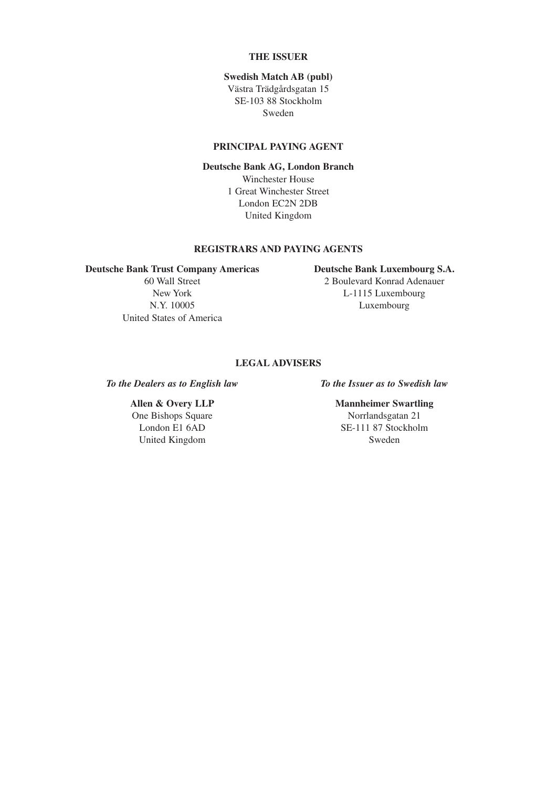#### **THE ISSUER**

#### **Swedish Match AB (publ)**

Västra Trädgårdsgatan 15 SE-103 88 Stockholm Sweden

#### **PRINCIPAL PAYING AGENT**

#### **Deutsche Bank AG, London Branch**

Winchester House 1 Great Winchester Street London EC2N 2DB United Kingdom

#### **REGISTRARS AND PAYING AGENTS**

#### **Deutsche Bank Trust Company Americas Deutsche Bank Luxembourg S.A.**

United States of America

## 60 Wall Street 2 Boulevard Konrad Adenauer

New York L-1115 Luxembourg N.Y. 10005 Luxembourg

#### **LEGAL ADVISERS**

*To the Dealers as to English law To the Issuer as to Swedish law*

One Bishops Square Norrlandsgatan 21 United Kingdom Sweden

## **Allen & Overy LLP Mannheimer Swartling**

London E1 6AD SE-111 87 Stockholm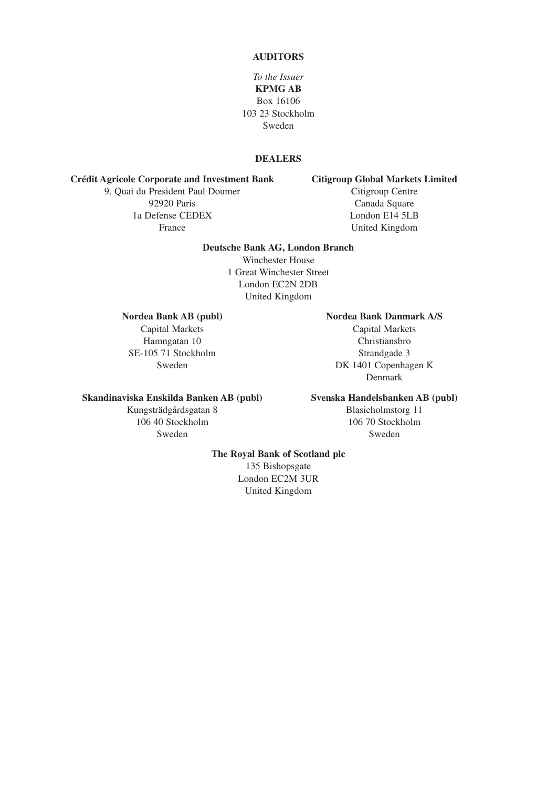#### **AUDITORS**

*To the Issuer* **KPMG AB** Box 16106 103 23 Stockholm Sweden

### **DEALERS**

# **Crédit Agricole Corporate and Investment Bank Citigroup Global Markets Limited**

9, Quai du President Paul Doumer 92920 Paris Canada Square 1a Defense CEDEX London E14 5LB France United Kingdom

#### **Deutsche Bank AG, London Branch**

Winchester House 1 Great Winchester Street London EC2N 2DB United Kingdom

SE-105 71 Stockholm Strandgade 3

#### **Nordea Bank AB (publ) Nordea Bank Danmark A/S**

Capital Markets Capital Markets Hamngatan 10 Christiansbro Sweden DK 1401 Copenhagen K Denmark

#### **Skandinaviska Enskilda Banken AB (publ) Svenska Handelsbanken AB (publ)**

Kungsträdgårdsgatan 8 Blasieholmstorg 11<br>106 40 Stockholm 106 70 Stockholm Sweden Sweden Sweden Sweden Sweden Sweden Sweden Sweden Sweden Sweden Sweden Sweden Sweden Sweden Sweden Sweden Sweden Sweden Sweden Sweden Sweden Sweden Sweden Sweden Sweden Sweden Sweden Sweden Sweden Sweden Sweden Swede

106 40 Stockholm 106 70 Stockholm

#### **The Royal Bank of Scotland plc**

135 Bishopsgate London EC2M 3UR United Kingdom